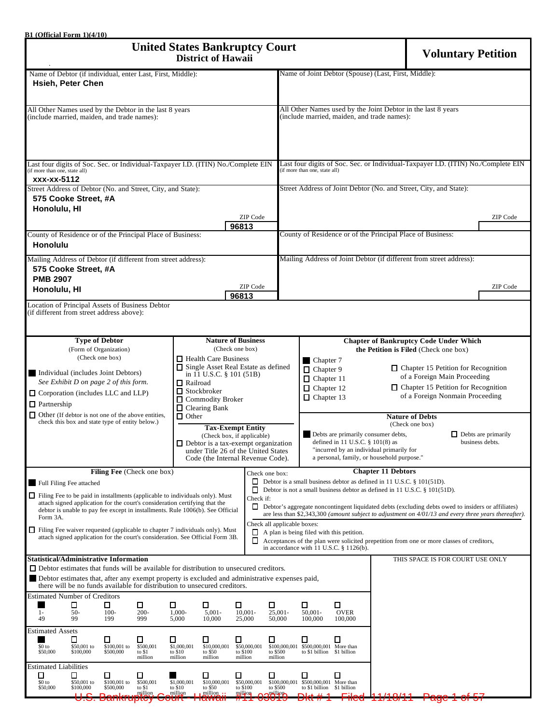| <b>United States Bankruptcy Court</b><br><b>District of Hawaii</b>                                                                                                          |                                        |                                                                                                                        |                                          |                             |                                                                                                                                                                                                               |                                            |                                                                                        | <b>Voluntary Petition</b>                                                                 |                            |
|-----------------------------------------------------------------------------------------------------------------------------------------------------------------------------|----------------------------------------|------------------------------------------------------------------------------------------------------------------------|------------------------------------------|-----------------------------|---------------------------------------------------------------------------------------------------------------------------------------------------------------------------------------------------------------|--------------------------------------------|----------------------------------------------------------------------------------------|-------------------------------------------------------------------------------------------|----------------------------|
| Name of Debtor (if individual, enter Last, First, Middle):<br>Hsieh, Peter Chen                                                                                             |                                        |                                                                                                                        |                                          |                             | Name of Joint Debtor (Spouse) (Last, First, Middle):                                                                                                                                                          |                                            |                                                                                        |                                                                                           |                            |
| All Other Names used by the Debtor in the last 8 years<br>(include married, maiden, and trade names):                                                                       |                                        |                                                                                                                        |                                          |                             |                                                                                                                                                                                                               |                                            | (include married, maiden, and trade names):                                            | All Other Names used by the Joint Debtor in the last 8 years                              |                            |
| Last four digits of Soc. Sec. or Individual-Taxpayer I.D. (ITIN) No./Complete EIN<br>(if more than one, state all)                                                          |                                        |                                                                                                                        |                                          |                             | (if more than one, state all)                                                                                                                                                                                 |                                            |                                                                                        | Last four digits of Soc. Sec. or Individual-Taxpayer I.D. (ITIN) No./Complete EIN         |                            |
| xxx-xx-5112<br>Street Address of Debtor (No. and Street, City, and State):<br>575 Cooke Street, #A<br>Honolulu, HI                                                          |                                        |                                                                                                                        | ZIP Code                                 |                             |                                                                                                                                                                                                               |                                            |                                                                                        | Street Address of Joint Debtor (No. and Street, City, and State):                         | ZIP Code                   |
|                                                                                                                                                                             |                                        |                                                                                                                        | 96813                                    |                             |                                                                                                                                                                                                               |                                            |                                                                                        |                                                                                           |                            |
| County of Residence or of the Principal Place of Business:<br><b>Honolulu</b>                                                                                               |                                        |                                                                                                                        |                                          |                             |                                                                                                                                                                                                               |                                            |                                                                                        | County of Residence or of the Principal Place of Business:                                |                            |
| Mailing Address of Debtor (if different from street address):<br>575 Cooke Street, #A<br><b>PMB 2907</b>                                                                    |                                        |                                                                                                                        |                                          |                             |                                                                                                                                                                                                               |                                            |                                                                                        | Mailing Address of Joint Debtor (if different from street address):                       |                            |
| Honolulu, HI                                                                                                                                                                |                                        |                                                                                                                        | ZIP Code<br>96813                        |                             |                                                                                                                                                                                                               |                                            |                                                                                        |                                                                                           | ZIP Code                   |
| Location of Principal Assets of Business Debtor<br>(if different from street address above):                                                                                |                                        |                                                                                                                        |                                          |                             |                                                                                                                                                                                                               |                                            |                                                                                        |                                                                                           |                            |
| <b>Type of Debtor</b>                                                                                                                                                       |                                        | <b>Nature of Business</b>                                                                                              |                                          |                             | <b>Chapter of Bankruptcy Code Under Which</b>                                                                                                                                                                 |                                            |                                                                                        |                                                                                           |                            |
| (Form of Organization)                                                                                                                                                      |                                        | (Check one box)                                                                                                        |                                          |                             | the Petition is Filed (Check one box)                                                                                                                                                                         |                                            |                                                                                        |                                                                                           |                            |
| (Check one box)                                                                                                                                                             |                                        | $\Box$ Health Care Business<br>$\Box$ Single Asset Real Estate as defined                                              |                                          |                             | Chapter 7<br>$\Box$ Chapter 15 Petition for Recognition                                                                                                                                                       |                                            |                                                                                        |                                                                                           |                            |
| Individual (includes Joint Debtors)                                                                                                                                         |                                        | in 11 U.S.C. § 101 (51B)                                                                                               |                                          |                             | $\Box$ Chapter 9                                                                                                                                                                                              |                                            |                                                                                        | of a Foreign Main Proceeding                                                              |                            |
| See Exhibit D on page 2 of this form.                                                                                                                                       | $\Box$ Railroad                        |                                                                                                                        |                                          |                             | $\Box$ Chapter 11<br>$\Box$ Chapter 12                                                                                                                                                                        |                                            |                                                                                        | $\Box$ Chapter 15 Petition for Recognition                                                |                            |
| □ Corporation (includes LLC and LLP)                                                                                                                                        | $\Box$ Stockbroker                     | <b>Commodity Broker</b>                                                                                                |                                          |                             | $\Box$ Chapter 13                                                                                                                                                                                             |                                            |                                                                                        | of a Foreign Nonmain Proceeding                                                           |                            |
| $\Box$ Partnership                                                                                                                                                          | $\Box$                                 | $\Box$ Clearing Bank                                                                                                   |                                          |                             |                                                                                                                                                                                                               |                                            |                                                                                        |                                                                                           |                            |
| $\Box$ Other (If debtor is not one of the above entities,                                                                                                                   | $\Box$ Other                           |                                                                                                                        |                                          |                             | <b>Nature of Debts</b>                                                                                                                                                                                        |                                            |                                                                                        |                                                                                           |                            |
| check this box and state type of entity below.)                                                                                                                             |                                        | <b>Tax-Exempt Entity</b>                                                                                               |                                          |                             | (Check one box)                                                                                                                                                                                               |                                            |                                                                                        |                                                                                           |                            |
|                                                                                                                                                                             |                                        | (Check box, if applicable)                                                                                             |                                          |                             |                                                                                                                                                                                                               | Debts are primarily consumer debts,        |                                                                                        |                                                                                           | $\Box$ Debts are primarily |
|                                                                                                                                                                             |                                        | $\Box$ Debtor is a tax-exempt organization<br>under Title 26 of the United States<br>Code (the Internal Revenue Code). |                                          |                             |                                                                                                                                                                                                               | defined in 11 U.S.C. $\S$ 101(8) as        | "incurred by an individual primarily for<br>a personal, family, or household purpose." |                                                                                           | business debts.            |
| Filing Fee (Check one box)                                                                                                                                                  |                                        |                                                                                                                        | Check one box:                           |                             |                                                                                                                                                                                                               |                                            | <b>Chapter 11 Debtors</b>                                                              |                                                                                           |                            |
| Full Filing Fee attached                                                                                                                                                    |                                        |                                                                                                                        | 0                                        |                             |                                                                                                                                                                                                               |                                            | Debtor is a small business debtor as defined in 11 U.S.C. § 101(51D).                  |                                                                                           |                            |
| $\Box$ Filing Fee to be paid in installments (applicable to individuals only). Must                                                                                         |                                        |                                                                                                                        | □<br>Check if:                           |                             | Debtor is not a small business debtor as defined in 11 U.S.C. § 101(51D).                                                                                                                                     |                                            |                                                                                        |                                                                                           |                            |
| attach signed application for the court's consideration certifying that the<br>debtor is unable to pay fee except in installments. Rule 1006(b). See Official<br>Form 3A.   |                                        |                                                                                                                        | □                                        |                             | Debtor's aggregate noncontingent liquidated debts (excluding debts owed to insiders or affiliates)<br>are less than \$2,343,300 (amount subject to adjustment on $4/01/13$ and every three years thereafter). |                                            |                                                                                        |                                                                                           |                            |
|                                                                                                                                                                             |                                        |                                                                                                                        |                                          | Check all applicable boxes: |                                                                                                                                                                                                               |                                            |                                                                                        |                                                                                           |                            |
| $\Box$ Filing Fee waiver requested (applicable to chapter 7 individuals only). Must<br>attach signed application for the court's consideration. See Official Form 3B.       |                                        |                                                                                                                        | □<br>□                                   |                             |                                                                                                                                                                                                               | A plan is being filed with this petition.  |                                                                                        | Acceptances of the plan were solicited prepetition from one or more classes of creditors, |                            |
| <b>Statistical/Administrative Information</b>                                                                                                                               |                                        |                                                                                                                        |                                          |                             |                                                                                                                                                                                                               | in accordance with 11 U.S.C. $\S$ 1126(b). |                                                                                        | THIS SPACE IS FOR COURT USE ONLY                                                          |                            |
| $\Box$ Debtor estimates that funds will be available for distribution to unsecured creditors.                                                                               |                                        |                                                                                                                        |                                          |                             |                                                                                                                                                                                                               |                                            |                                                                                        |                                                                                           |                            |
| Debtor estimates that, after any exempt property is excluded and administrative expenses paid,<br>there will be no funds available for distribution to unsecured creditors. |                                        |                                                                                                                        |                                          |                             |                                                                                                                                                                                                               |                                            |                                                                                        |                                                                                           |                            |
| <b>Estimated Number of Creditors</b><br>П<br>٠<br>□<br>□                                                                                                                    | □                                      | □                                                                                                                      |                                          |                             |                                                                                                                                                                                                               |                                            |                                                                                        |                                                                                           |                            |
| □<br>□<br>$50-$<br>$200 -$<br>$100 -$<br>$1,000-$<br>$5,001-$<br>$10,001 -$<br>$1-$<br>99<br>999<br>49<br>199<br>10,000<br>25,000<br>5,000                                  |                                        |                                                                                                                        | $25,001 -$<br>50,000                     | ◻<br>$50,001 -$<br>100,000  | □<br><b>OVER</b><br>100,000                                                                                                                                                                                   |                                            |                                                                                        |                                                                                           |                            |
| <b>Estimated Assets</b>                                                                                                                                                     |                                        |                                                                                                                        |                                          |                             |                                                                                                                                                                                                               |                                            |                                                                                        |                                                                                           |                            |
| □<br>□<br>⊔<br>$$100,001$ to<br>\$500,001<br>$\frac{$50,001}{0.00000}$ to<br>\$0 to<br>\$50,000<br>\$100,000<br>\$500,000<br>to $$1$<br>million                             | □<br>\$1,000,001<br>to \$10<br>million | □<br>\$10,000,001<br>to \$50<br>million                                                                                | □<br>\$50,000,001<br>to \$100<br>million | □<br>to \$500<br>million    | □<br>\$100,000,001 \$500,000,001 More than<br>to \$1 billion                                                                                                                                                  | □<br>\$1 billion                           |                                                                                        |                                                                                           |                            |
| <b>Estimated Liabilities</b><br>□<br>□<br>□<br>□<br>\$0 to<br>\$50,001 to<br>\$100,001 to<br>\$500,001<br>\$50,000<br>\$100,000<br>\$500,000<br>to \$1                      | \$1,000,001<br>to \$10                 | ⊔<br>\$10,000,001<br>to \$50                                                                                           | ⊔<br>\$50,000,001<br>to \$100            | □<br>to \$500               | □<br>\$100,000,001 \$500,000,001 More than<br>to \$1 billion                                                                                                                                                  | ⊔<br>\$1 billion                           |                                                                                        |                                                                                           |                            |
| million<br>⊃απιπταρτσγ<br><del>o.o.</del>                                                                                                                                   | million<br>σαπ                         | million<br>lawal                                                                                                       | million<br>$\pi$ T                       | <b>PALIOP</b><br>ᠳᠣ         | י זהכ                                                                                                                                                                                                         |                                            |                                                                                        | ayo                                                                                       |                            |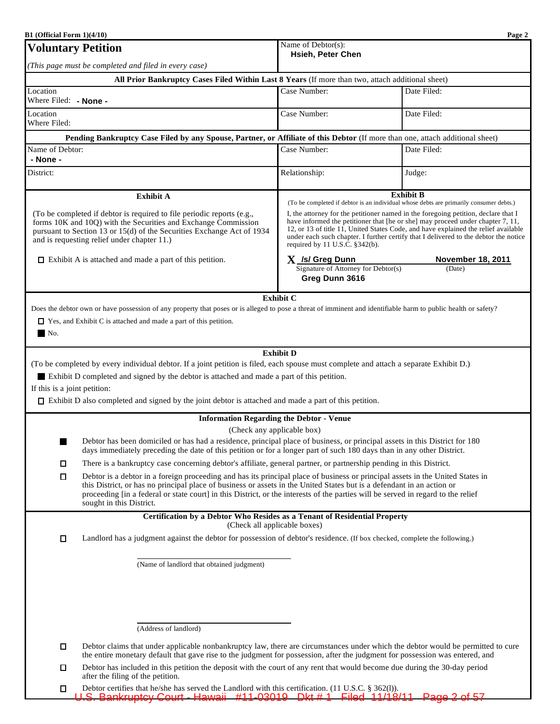| B1 (Official Form 1)(4/10)        |                                                                                                                                                                                                                                                                                                                                                                                                                           |                                                                                                              | Page 2                                                                                                                                                                                                                                                                                                                                                                                                                                                                             |
|-----------------------------------|---------------------------------------------------------------------------------------------------------------------------------------------------------------------------------------------------------------------------------------------------------------------------------------------------------------------------------------------------------------------------------------------------------------------------|--------------------------------------------------------------------------------------------------------------|------------------------------------------------------------------------------------------------------------------------------------------------------------------------------------------------------------------------------------------------------------------------------------------------------------------------------------------------------------------------------------------------------------------------------------------------------------------------------------|
|                                   | <b>Voluntary Petition</b>                                                                                                                                                                                                                                                                                                                                                                                                 | Name of Debtor(s):<br><b>Hsieh, Peter Chen</b>                                                               |                                                                                                                                                                                                                                                                                                                                                                                                                                                                                    |
|                                   | (This page must be completed and filed in every case)                                                                                                                                                                                                                                                                                                                                                                     |                                                                                                              |                                                                                                                                                                                                                                                                                                                                                                                                                                                                                    |
|                                   | All Prior Bankruptcy Cases Filed Within Last 8 Years (If more than two, attach additional sheet)                                                                                                                                                                                                                                                                                                                          |                                                                                                              |                                                                                                                                                                                                                                                                                                                                                                                                                                                                                    |
| Location<br>Where Filed: - None - |                                                                                                                                                                                                                                                                                                                                                                                                                           | Case Number:                                                                                                 | Date Filed:                                                                                                                                                                                                                                                                                                                                                                                                                                                                        |
| Location<br>Where Filed:          |                                                                                                                                                                                                                                                                                                                                                                                                                           | Case Number:                                                                                                 | Date Filed:                                                                                                                                                                                                                                                                                                                                                                                                                                                                        |
|                                   | Pending Bankruptcy Case Filed by any Spouse, Partner, or Affiliate of this Debtor (If more than one, attach additional sheet)                                                                                                                                                                                                                                                                                             |                                                                                                              |                                                                                                                                                                                                                                                                                                                                                                                                                                                                                    |
| Name of Debtor:<br>- None -       |                                                                                                                                                                                                                                                                                                                                                                                                                           | Case Number:                                                                                                 | Date Filed:                                                                                                                                                                                                                                                                                                                                                                                                                                                                        |
| District:                         |                                                                                                                                                                                                                                                                                                                                                                                                                           | Relationship:                                                                                                | Judge:                                                                                                                                                                                                                                                                                                                                                                                                                                                                             |
|                                   | <b>Exhibit A</b>                                                                                                                                                                                                                                                                                                                                                                                                          |                                                                                                              | <b>Exhibit B</b>                                                                                                                                                                                                                                                                                                                                                                                                                                                                   |
|                                   | (To be completed if debtor is required to file periodic reports (e.g.,<br>forms 10K and 10Q) with the Securities and Exchange Commission<br>pursuant to Section 13 or 15(d) of the Securities Exchange Act of 1934<br>and is requesting relief under chapter 11.)<br>$\Box$ Exhibit A is attached and made a part of this petition.                                                                                       | required by 11 U.S.C. §342(b).<br>$X$ /s/ Greg Dunn<br>Signature of Attorney for Debtor(s)<br>Greg Dunn 3616 | (To be completed if debtor is an individual whose debts are primarily consumer debts.)<br>I, the attorney for the petitioner named in the foregoing petition, declare that I<br>have informed the petitioner that [he or she] may proceed under chapter 7, 11,<br>12, or 13 of title 11, United States Code, and have explained the relief available<br>under each such chapter. I further certify that I delivered to the debtor the notice<br><b>November 18, 2011</b><br>(Date) |
|                                   |                                                                                                                                                                                                                                                                                                                                                                                                                           | <b>Exhibit C</b>                                                                                             |                                                                                                                                                                                                                                                                                                                                                                                                                                                                                    |
| $\blacksquare$ No.                | Does the debtor own or have possession of any property that poses or is alleged to pose a threat of imminent and identifiable harm to public health or safety?<br>$\Box$ Yes, and Exhibit C is attached and made a part of this petition.                                                                                                                                                                                 |                                                                                                              |                                                                                                                                                                                                                                                                                                                                                                                                                                                                                    |
|                                   |                                                                                                                                                                                                                                                                                                                                                                                                                           | <b>Exhibit D</b>                                                                                             |                                                                                                                                                                                                                                                                                                                                                                                                                                                                                    |
|                                   | (To be completed by every individual debtor. If a joint petition is filed, each spouse must complete and attach a separate Exhibit D.)                                                                                                                                                                                                                                                                                    |                                                                                                              |                                                                                                                                                                                                                                                                                                                                                                                                                                                                                    |
| If this is a joint petition:      | Exhibit D completed and signed by the debtor is attached and made a part of this petition.                                                                                                                                                                                                                                                                                                                                |                                                                                                              |                                                                                                                                                                                                                                                                                                                                                                                                                                                                                    |
|                                   | $\Box$ Exhibit D also completed and signed by the joint debtor is attached and made a part of this petition.                                                                                                                                                                                                                                                                                                              |                                                                                                              |                                                                                                                                                                                                                                                                                                                                                                                                                                                                                    |
|                                   | <b>Information Regarding the Debtor - Venue</b>                                                                                                                                                                                                                                                                                                                                                                           |                                                                                                              |                                                                                                                                                                                                                                                                                                                                                                                                                                                                                    |
|                                   | (Check any applicable box)                                                                                                                                                                                                                                                                                                                                                                                                |                                                                                                              |                                                                                                                                                                                                                                                                                                                                                                                                                                                                                    |
|                                   | Debtor has been domiciled or has had a residence, principal place of business, or principal assets in this District for 180<br>days immediately preceding the date of this petition or for a longer part of such 180 days than in any other District.                                                                                                                                                                     |                                                                                                              |                                                                                                                                                                                                                                                                                                                                                                                                                                                                                    |
| $\Box$                            | There is a bankruptcy case concerning debtor's affiliate, general partner, or partnership pending in this District.                                                                                                                                                                                                                                                                                                       |                                                                                                              |                                                                                                                                                                                                                                                                                                                                                                                                                                                                                    |
| П                                 | Debtor is a debtor in a foreign proceeding and has its principal place of business or principal assets in the United States in<br>this District, or has no principal place of business or assets in the United States but is a defendant in an action or<br>proceeding [in a federal or state court] in this District, or the interests of the parties will be served in regard to the relief<br>sought in this District. |                                                                                                              |                                                                                                                                                                                                                                                                                                                                                                                                                                                                                    |
|                                   | Certification by a Debtor Who Resides as a Tenant of Residential Property<br>(Check all applicable boxes)                                                                                                                                                                                                                                                                                                                 |                                                                                                              |                                                                                                                                                                                                                                                                                                                                                                                                                                                                                    |
| $\Box$                            | Landlord has a judgment against the debtor for possession of debtor's residence. (If box checked, complete the following.)                                                                                                                                                                                                                                                                                                |                                                                                                              |                                                                                                                                                                                                                                                                                                                                                                                                                                                                                    |
|                                   | (Name of landlord that obtained judgment)                                                                                                                                                                                                                                                                                                                                                                                 |                                                                                                              |                                                                                                                                                                                                                                                                                                                                                                                                                                                                                    |
|                                   |                                                                                                                                                                                                                                                                                                                                                                                                                           |                                                                                                              |                                                                                                                                                                                                                                                                                                                                                                                                                                                                                    |
|                                   |                                                                                                                                                                                                                                                                                                                                                                                                                           |                                                                                                              |                                                                                                                                                                                                                                                                                                                                                                                                                                                                                    |
|                                   | (Address of landlord)                                                                                                                                                                                                                                                                                                                                                                                                     |                                                                                                              |                                                                                                                                                                                                                                                                                                                                                                                                                                                                                    |
| □                                 | Debtor claims that under applicable nonbankruptcy law, there are circumstances under which the debtor would be permitted to cure<br>the entire monetary default that gave rise to the judgment for possession, after the judgment for possession was entered, and                                                                                                                                                         |                                                                                                              |                                                                                                                                                                                                                                                                                                                                                                                                                                                                                    |
| П                                 | Debtor has included in this petition the deposit with the court of any rent that would become due during the 30-day period<br>after the filing of the petition.                                                                                                                                                                                                                                                           |                                                                                                              |                                                                                                                                                                                                                                                                                                                                                                                                                                                                                    |
| □                                 | Debtor certifies that he/she has served the Landlord with this certification. (11 U.S.C. § 362(1)).                                                                                                                                                                                                                                                                                                                       |                                                                                                              |                                                                                                                                                                                                                                                                                                                                                                                                                                                                                    |

U.S. Bankruptcy Court - Hawaii #11-03019 Dkt # 1 Filed 11/18/11 Page 2 of 57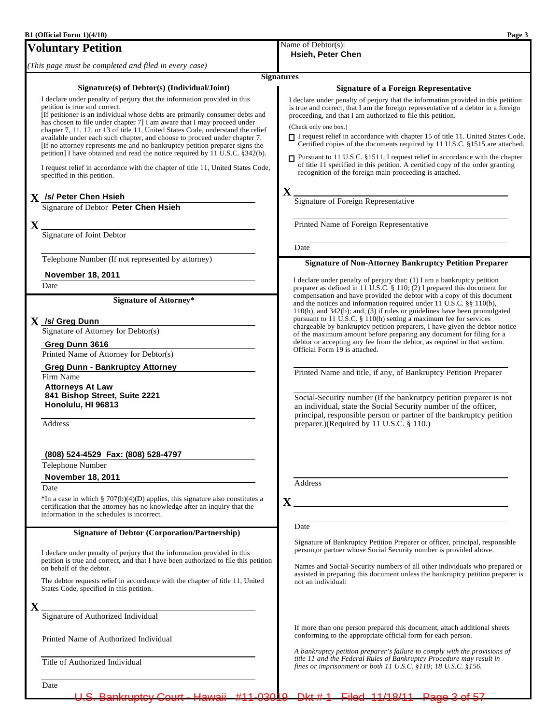|                                                                                                                                                                                                                                                                                                                                                                                                                                                                                                                                                                                                                                                                                                                                                                                                                                                                                                                                 | Name of Debtor(s):                                                                                                                                                                                                                                                                                                                                                                                                                                                                                                                                                                                                                                                                                                                                                                                                                   |
|---------------------------------------------------------------------------------------------------------------------------------------------------------------------------------------------------------------------------------------------------------------------------------------------------------------------------------------------------------------------------------------------------------------------------------------------------------------------------------------------------------------------------------------------------------------------------------------------------------------------------------------------------------------------------------------------------------------------------------------------------------------------------------------------------------------------------------------------------------------------------------------------------------------------------------|--------------------------------------------------------------------------------------------------------------------------------------------------------------------------------------------------------------------------------------------------------------------------------------------------------------------------------------------------------------------------------------------------------------------------------------------------------------------------------------------------------------------------------------------------------------------------------------------------------------------------------------------------------------------------------------------------------------------------------------------------------------------------------------------------------------------------------------|
| <b>Voluntary Petition</b>                                                                                                                                                                                                                                                                                                                                                                                                                                                                                                                                                                                                                                                                                                                                                                                                                                                                                                       | Hsieh, Peter Chen                                                                                                                                                                                                                                                                                                                                                                                                                                                                                                                                                                                                                                                                                                                                                                                                                    |
| (This page must be completed and filed in every case)                                                                                                                                                                                                                                                                                                                                                                                                                                                                                                                                                                                                                                                                                                                                                                                                                                                                           |                                                                                                                                                                                                                                                                                                                                                                                                                                                                                                                                                                                                                                                                                                                                                                                                                                      |
|                                                                                                                                                                                                                                                                                                                                                                                                                                                                                                                                                                                                                                                                                                                                                                                                                                                                                                                                 | <b>Signatures</b>                                                                                                                                                                                                                                                                                                                                                                                                                                                                                                                                                                                                                                                                                                                                                                                                                    |
| Signature(s) of Debtor(s) (Individual/Joint)<br>I declare under penalty of perjury that the information provided in this<br>petition is true and correct.<br>[If petitioner is an individual whose debts are primarily consumer debts and<br>has chosen to file under chapter 7] I am aware that I may proceed under<br>chapter 7, 11, 12, or 13 of title 11, United States Code, understand the relief<br>available under each such chapter, and choose to proceed under chapter 7.<br>[If no attorney represents me and no bankruptcy petition preparer signs the<br>petition] I have obtained and read the notice required by $11 \text{ U.S.C. }$ §342(b).<br>I request relief in accordance with the chapter of title 11, United States Code,<br>specified in this petition.<br>X /s/ Peter Chen Hsieh<br><b>ISI Peter Chen Hsieh</b><br>Signature of Debtor Peter Chen Hsieh<br>Signature of Joint Debtor<br>$\mathbf{X}$ | <b>Signature of a Foreign Representative</b><br>I declare under penalty of perjury that the information provided in this petition<br>is true and correct, that I am the foreign representative of a debtor in a foreign<br>proceeding, and that I am authorized to file this petition.<br>(Check only one box.)<br>$\Box$ I request relief in accordance with chapter 15 of title 11. United States Code.<br>Certified copies of the documents required by 11 U.S.C. §1515 are attached.<br>$\Box$ Pursuant to 11 U.S.C. §1511, I request relief in accordance with the chapter<br>of title 11 specified in this petition. A certified copy of the order granting<br>recognition of the foreign main proceeding is attached.<br>Signature of Foreign Representative<br>$\mathbf X$<br>Printed Name of Foreign Representative<br>Date |
| Telephone Number (If not represented by attorney)                                                                                                                                                                                                                                                                                                                                                                                                                                                                                                                                                                                                                                                                                                                                                                                                                                                                               | <b>Signature of Non-Attorney Bankruptcy Petition Preparer</b>                                                                                                                                                                                                                                                                                                                                                                                                                                                                                                                                                                                                                                                                                                                                                                        |
| <b>November 18, 2011</b>                                                                                                                                                                                                                                                                                                                                                                                                                                                                                                                                                                                                                                                                                                                                                                                                                                                                                                        |                                                                                                                                                                                                                                                                                                                                                                                                                                                                                                                                                                                                                                                                                                                                                                                                                                      |
| Date                                                                                                                                                                                                                                                                                                                                                                                                                                                                                                                                                                                                                                                                                                                                                                                                                                                                                                                            | I declare under penalty of perjury that: (1) I am a bankruptcy petition<br>preparer as defined in 11 U.S.C. § 110; (2) I prepared this document for<br>compensation and have provided the debtor with a copy of this document                                                                                                                                                                                                                                                                                                                                                                                                                                                                                                                                                                                                        |
| <b>Signature of Attorney*</b><br>$X$ /s/ Greg Dunn<br><b>Isl Greg Dunn</b><br>Signature of Attorney for Debtor(s)<br>Greg Dunn 3616<br>Printed Name of Attorney for Debtor(s)<br><b>Greg Dunn - Bankruptcy Attorney</b><br>Firm Name<br><b>Attorneys At Law</b><br>841 Bishop Street, Suite 2221<br>Honolulu, HI 96813<br>Address                                                                                                                                                                                                                                                                                                                                                                                                                                                                                                                                                                                               | and the notices and information required under 11 U.S.C. §§ 110(b),<br>$110(h)$ , and $342(b)$ ; and, (3) if rules or guidelines have been promulgated<br>pursuant to 11 U.S.C. § 110(h) setting a maximum fee for services<br>chargeable by bankruptcy petition preparers, I have given the debtor notice<br>of the maximum amount before preparing any document for filing for a<br>debtor or accepting any fee from the debtor, as required in that section.<br>Official Form 19 is attached.<br>Printed Name and title, if any, of Bankruptcy Petition Preparer<br>Social-Security number (If the bankrutpcy petition preparer is not<br>an individual, state the Social Security number of the officer,<br>principal, responsible person or partner of the bankruptcy petition<br>preparer.)(Required by 11 U.S.C. § 110.)      |
| Telephone Number                                                                                                                                                                                                                                                                                                                                                                                                                                                                                                                                                                                                                                                                                                                                                                                                                                                                                                                |                                                                                                                                                                                                                                                                                                                                                                                                                                                                                                                                                                                                                                                                                                                                                                                                                                      |
| November 18, 2011<br>Date<br>*In a case in which $\S 707(b)(4)(D)$ applies, this signature also constitutes a<br>certification that the attorney has no knowledge after an inquiry that the<br>information in the schedules is incorrect.                                                                                                                                                                                                                                                                                                                                                                                                                                                                                                                                                                                                                                                                                       | Address<br>$\mathbf{X}$<br><u> 1989 - Johann Stoff, deutscher Stoffen und der Stoffen und der Stoffen und der Stoffen und der Stoffen und der</u>                                                                                                                                                                                                                                                                                                                                                                                                                                                                                                                                                                                                                                                                                    |
| <b>Signature of Debtor (Corporation/Partnership)</b><br>I declare under penalty of perjury that the information provided in this<br>petition is true and correct, and that I have been authorized to file this petition<br>on behalf of the debtor.<br>The debtor requests relief in accordance with the chapter of title 11, United<br>States Code, specified in this petition.<br>$\mathbf X$                                                                                                                                                                                                                                                                                                                                                                                                                                                                                                                                 | Date<br>Signature of Bankruptcy Petition Preparer or officer, principal, responsible<br>person, or partner whose Social Security number is provided above.<br>Names and Social-Security numbers of all other individuals who prepared or<br>assisted in preparing this document unless the bankruptcy petition preparer is<br>not an individual:                                                                                                                                                                                                                                                                                                                                                                                                                                                                                     |
| Signature of Authorized Individual<br>Printed Name of Authorized Individual                                                                                                                                                                                                                                                                                                                                                                                                                                                                                                                                                                                                                                                                                                                                                                                                                                                     | If more than one person prepared this document, attach additional sheets<br>conforming to the appropriate official form for each person.<br>A bankruptcy petition preparer's failure to comply with the provisions of                                                                                                                                                                                                                                                                                                                                                                                                                                                                                                                                                                                                                |
| Title of Authorized Individual                                                                                                                                                                                                                                                                                                                                                                                                                                                                                                                                                                                                                                                                                                                                                                                                                                                                                                  | title 11 and the Federal Rules of Bankruptcy Procedure may result in<br>fines or imprisonment or both 11 U.S.C. §110; 18 U.S.C. §156.                                                                                                                                                                                                                                                                                                                                                                                                                                                                                                                                                                                                                                                                                                |
| Date                                                                                                                                                                                                                                                                                                                                                                                                                                                                                                                                                                                                                                                                                                                                                                                                                                                                                                                            |                                                                                                                                                                                                                                                                                                                                                                                                                                                                                                                                                                                                                                                                                                                                                                                                                                      |

U.S. Bankruptcy Court - Hawaii #11-03019 Dkt # 1 Filed 11/18/11 Page 3 of 57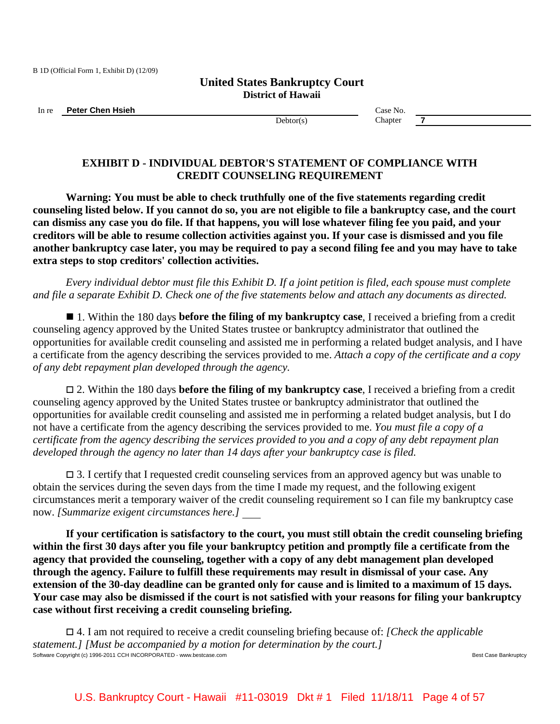# **United States Bankruptcy Court District of Hawaii**

In re **Peter Chen Hsieh** Case No.

Debtor(s) Chapter **7** 

# **EXHIBIT D - INDIVIDUAL DEBTOR'S STATEMENT OF COMPLIANCE WITH CREDIT COUNSELING REQUIREMENT**

**Warning: You must be able to check truthfully one of the five statements regarding credit counseling listed below. If you cannot do so, you are not eligible to file a bankruptcy case, and the court can dismiss any case you do file. If that happens, you will lose whatever filing fee you paid, and your creditors will be able to resume collection activities against you. If your case is dismissed and you file another bankruptcy case later, you may be required to pay a second filing fee and you may have to take extra steps to stop creditors' collection activities.**

*Every individual debtor must file this Exhibit D. If a joint petition is filed, each spouse must complete and file a separate Exhibit D. Check one of the five statements below and attach any documents as directed.*

 1. Within the 180 days **before the filing of my bankruptcy case**, I received a briefing from a credit counseling agency approved by the United States trustee or bankruptcy administrator that outlined the opportunities for available credit counseling and assisted me in performing a related budget analysis, and I have a certificate from the agency describing the services provided to me. *Attach a copy of the certificate and a copy of any debt repayment plan developed through the agency.*

 2. Within the 180 days **before the filing of my bankruptcy case**, I received a briefing from a credit counseling agency approved by the United States trustee or bankruptcy administrator that outlined the opportunities for available credit counseling and assisted me in performing a related budget analysis, but I do not have a certificate from the agency describing the services provided to me. *You must file a copy of a certificate from the agency describing the services provided to you and a copy of any debt repayment plan developed through the agency no later than 14 days after your bankruptcy case is filed.*

 $\Box$  3. I certify that I requested credit counseling services from an approved agency but was unable to obtain the services during the seven days from the time I made my request, and the following exigent circumstances merit a temporary waiver of the credit counseling requirement so I can file my bankruptcy case now. *[Summarize exigent circumstances here.]*

**If your certification is satisfactory to the court, you must still obtain the credit counseling briefing within the first 30 days after you file your bankruptcy petition and promptly file a certificate from the agency that provided the counseling, together with a copy of any debt management plan developed through the agency. Failure to fulfill these requirements may result in dismissal of your case. Any extension of the 30-day deadline can be granted only for cause and is limited to a maximum of 15 days. Your case may also be dismissed if the court is not satisfied with your reasons for filing your bankruptcy case without first receiving a credit counseling briefing.**

 4. I am not required to receive a credit counseling briefing because of: *[Check the applicable statement.] [Must be accompanied by a motion for determination by the court.]* Software Copyright (c) 1996-2011 CCH INCORPORATED - www.bestcase.com Best Case Bankruptcy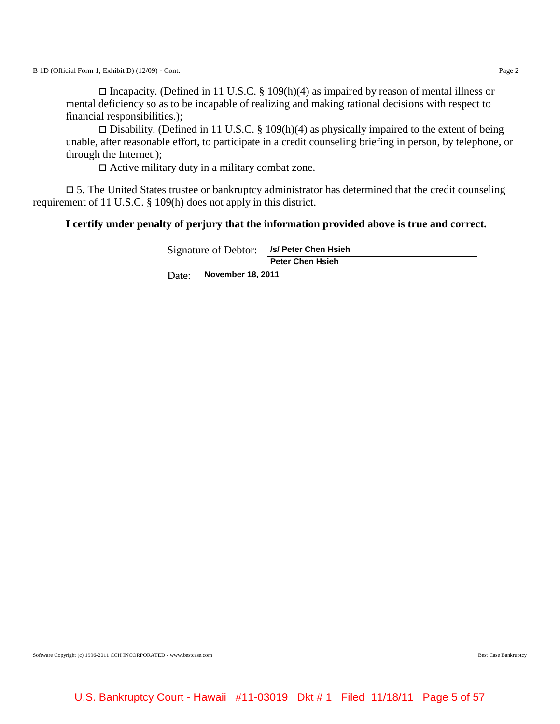$\Box$  Incapacity. (Defined in 11 U.S.C. § 109(h)(4) as impaired by reason of mental illness or mental deficiency so as to be incapable of realizing and making rational decisions with respect to financial responsibilities.);

 $\Box$  Disability. (Defined in 11 U.S.C. § 109(h)(4) as physically impaired to the extent of being unable, after reasonable effort, to participate in a credit counseling briefing in person, by telephone, or through the Internet.);

 $\Box$  Active military duty in a military combat zone.

 $\Box$  5. The United States trustee or bankruptcy administrator has determined that the credit counseling requirement of 11 U.S.C. § 109(h) does not apply in this district.

## **I certify under penalty of perjury that the information provided above is true and correct.**

Signature of Debtor: **/s/ Peter Chen Hsieh Peter Chen Hsieh** Date: **November 18, 2011**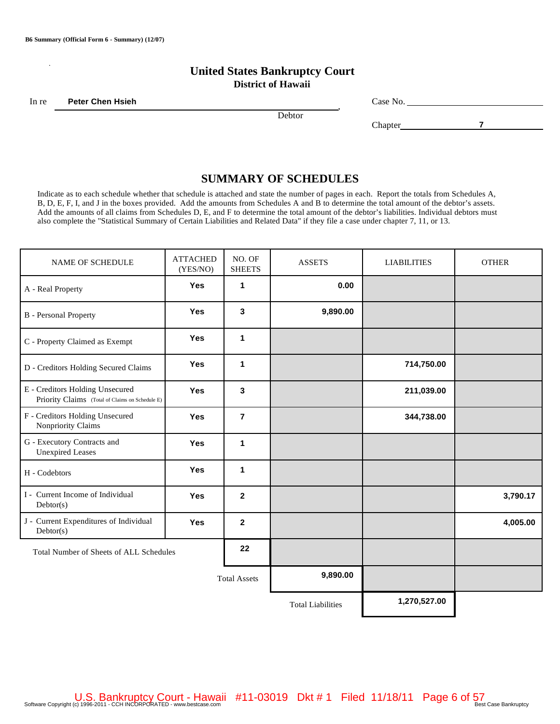# **United States Bankruptcy Court District of Hawaii**

**Peter Chen Hsieh**

Debtor

,

| Case No. |  |
|----------|--|
|          |  |

Chapter **7**

## **SUMMARY OF SCHEDULES**

Indicate as to each schedule whether that schedule is attached and state the number of pages in each. Report the totals from Schedules A, B, D, E, F, I, and J in the boxes provided. Add the amounts from Schedules A and B to determine the total amount of the debtor's assets. Add the amounts of all claims from Schedules D, E, and F to determine the total amount of the debtor's liabilities. Individual debtors must also complete the "Statistical Summary of Certain Liabilities and Related Data" if they file a case under chapter 7, 11, or 13.

| <b>NAME OF SCHEDULE</b>                                                            | <b>ATTACHED</b><br>(YES/NO) | NO. OF<br><b>SHEETS</b> | <b>ASSETS</b>            | <b>LIABILITIES</b> |          |
|------------------------------------------------------------------------------------|-----------------------------|-------------------------|--------------------------|--------------------|----------|
| A - Real Property                                                                  | <b>Yes</b>                  | $\mathbf 1$             | 0.00                     |                    |          |
| <b>B</b> - Personal Property                                                       | <b>Yes</b>                  | 3                       | 9,890.00                 |                    |          |
| C - Property Claimed as Exempt                                                     | <b>Yes</b>                  | 1                       |                          |                    |          |
| D - Creditors Holding Secured Claims                                               | <b>Yes</b>                  | $\mathbf 1$             |                          | 714,750.00         |          |
| E - Creditors Holding Unsecured<br>Priority Claims (Total of Claims on Schedule E) | <b>Yes</b>                  | 3                       |                          | 211,039.00         |          |
| F - Creditors Holding Unsecured<br>Nonpriority Claims                              | <b>Yes</b>                  | $\overline{7}$          |                          | 344,738.00         |          |
| G - Executory Contracts and<br><b>Unexpired Leases</b>                             | <b>Yes</b>                  | 1                       |                          |                    |          |
| H - Codebtors                                                                      | <b>Yes</b>                  | $\mathbf 1$             |                          |                    |          |
| I - Current Income of Individual<br>Debtor(s)                                      | <b>Yes</b>                  | $\mathbf{2}$            |                          |                    | 3,790.17 |
| J - Current Expenditures of Individual<br>Debtor(s)                                | <b>Yes</b>                  | $\overline{2}$          |                          |                    | 4,005.00 |
| <b>Total Number of Sheets of ALL Schedules</b>                                     |                             | 22                      |                          |                    |          |
|                                                                                    |                             | <b>Total Assets</b>     | 9,890.00                 |                    |          |
|                                                                                    |                             |                         | <b>Total Liabilities</b> | 1,270,527.00       |          |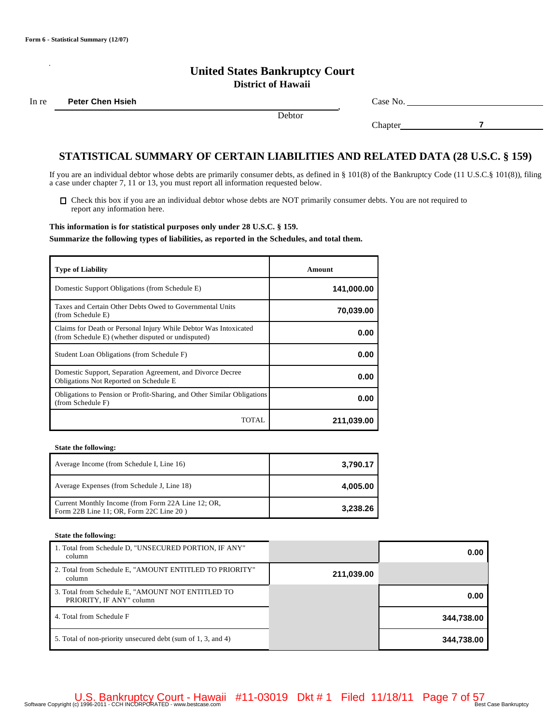# **United States Bankruptcy Court District of Hawaii**

In re

**Peter Chen Hsieh**

Debtor

,

Case No.

Chapter **7**

## **STATISTICAL SUMMARY OF CERTAIN LIABILITIES AND RELATED DATA (28 U.S.C. § 159)**

If you are an individual debtor whose debts are primarily consumer debts, as defined in § 101(8) of the Bankruptcy Code (11 U.S.C.§ 101(8)), filing a case under chapter 7, 11 or 13, you must report all information requested below.

 $\Box$  Check this box if you are an individual debtor whose debts are NOT primarily consumer debts. You are not required to report any information here.

### **This information is for statistical purposes only under 28 U.S.C. § 159.**

## **Summarize the following types of liabilities, as reported in the Schedules, and total them.**

| <b>Type of Liability</b>                                                                                               | Amount     |
|------------------------------------------------------------------------------------------------------------------------|------------|
| Domestic Support Obligations (from Schedule E)                                                                         | 141,000.00 |
| Taxes and Certain Other Debts Owed to Governmental Units<br>(from Schedule E)                                          | 70,039.00  |
| Claims for Death or Personal Injury While Debtor Was Intoxicated<br>(from Schedule E) (whether disputed or undisputed) | 0.00       |
| Student Loan Obligations (from Schedule F)                                                                             | 0.00       |
| Domestic Support, Separation Agreement, and Divorce Decree<br>Obligations Not Reported on Schedule E                   | 0.00       |
| Obligations to Pension or Profit-Sharing, and Other Similar Obligations<br>(from Schedule F)                           | 0.00       |
| TOTAL                                                                                                                  | 211,039.00 |

### **State the following:**

| Average Income (from Schedule I, Line 16)                                                     | 3,790.17 |
|-----------------------------------------------------------------------------------------------|----------|
| Average Expenses (from Schedule J, Line 18)                                                   | 4,005.00 |
| Current Monthly Income (from Form 22A Line 12; OR,<br>Form 22B Line 11; OR, Form 22C Line 20) | 3,238.26 |

#### **State the following:**

| 1. Total from Schedule D, "UNSECURED PORTION, IF ANY"<br>column               |            | 0.00       |
|-------------------------------------------------------------------------------|------------|------------|
| 2. Total from Schedule E, "AMOUNT ENTITLED TO PRIORITY"<br>column             | 211,039.00 |            |
| 3. Total from Schedule E, "AMOUNT NOT ENTITLED TO<br>PRIORITY, IF ANY" column |            | 0.00       |
| 4. Total from Schedule F                                                      |            | 344,738.00 |
| 5. Total of non-priority unsecured debt (sum of 1, 3, and 4)                  |            | 344,738.00 |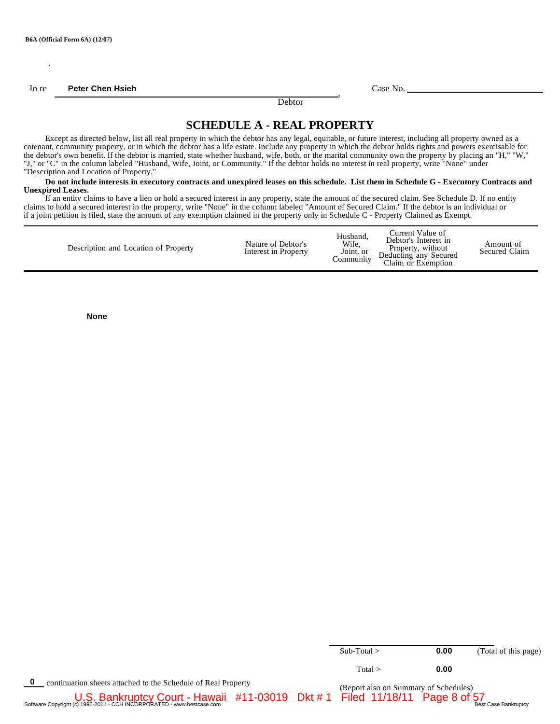In re **Peter Chen Hsieh Case No. Case No. Case No. Case No. Case No. Case No. Case No. Case No. Case No. Case No. Case No. Case No. Case No. Case No. Case No. Case No. Case No. Case No. Case N** 

,

Debtor

# **SCHEDULE A - REAL PROPERTY**

Except as directed below, list all real property in which the debtor has any legal, equitable, or future interest, including all property owned as a cotenant, community property, or in which the debtor has a life estate. Include any property in which the debtor holds rights and powers exercisable for the debtor's own benefit. If the debtor is married, state whether husband, wife, both, or the marital community own the property by placing an "H," "W," "J," or "C" in the column labeled "Husband, Wife, Joint, or Community." If the debtor holds no interest in real property, write "None" under "Description and Location of Property."

**Do not include interests in executory contracts and unexpired leases on this schedule. List them in Schedule G - Executory Contracts and Unexpired Leases.**

If an entity claims to have a lien or hold a secured interest in any property, state the amount of the secured claim. See Schedule D. If no entity claims to hold a secured interest in the property, write "None" in the column labeled "Amount of Secured Claim." If the debtor is an individual or if a joint petition is filed, state the amount of any exemption claimed in the property only in Schedule C - Property Claimed as Exempt.

| Description and Location of Property | Nature of Debtor's<br>Interest in Property | Husband,<br>Wife,<br>Joint, or<br>Community | Current Value of<br>Debtor's Interest in<br>Property, without<br>Deducting any Secured<br>Claim or Exemption | Amount of<br>Secured Claim |
|--------------------------------------|--------------------------------------------|---------------------------------------------|--------------------------------------------------------------------------------------------------------------|----------------------------|
|--------------------------------------|--------------------------------------------|---------------------------------------------|--------------------------------------------------------------------------------------------------------------|----------------------------|

**None**

|                                                                                                                                                                                           | $Sub-Total >$ | 0.00 | (Total of this page)        |
|-------------------------------------------------------------------------------------------------------------------------------------------------------------------------------------------|---------------|------|-----------------------------|
|                                                                                                                                                                                           | Total >       | 0.00 |                             |
| continuation sheets attached to the Schedule of Real Property                                                                                                                             |               |      |                             |
| (Report also on Summary of Schedules)<br>Software Copyright (c) 1996-2011 - CCH INCORPORATED - www.bestcase.com<br>Software Copyright (c) 1996-2011 - CCH INCORPORATED - www.bestcase.com |               |      | <b>Best Case Bankruptcy</b> |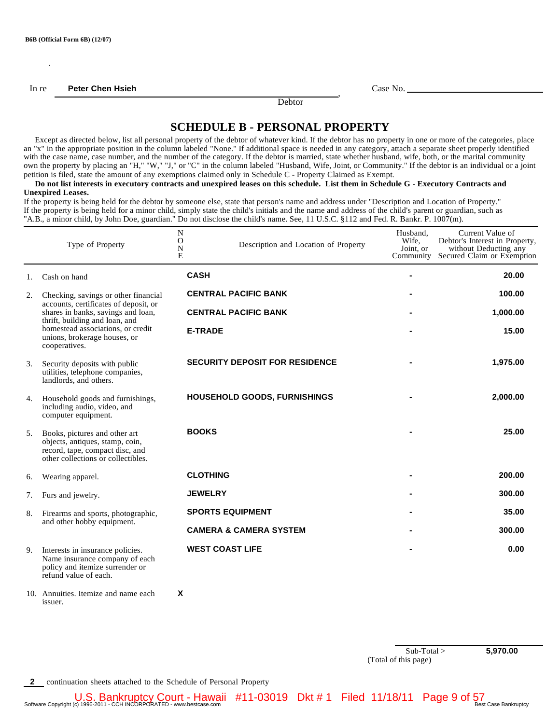In re **Peter Chen Hsieh Case No. 2008 No. 2008 No. 2008 No. 2008 No. 2008 No. 2008 No. 2008 No. 2008 No. 2008 No. 2008 No. 2008 No. 2008 No. 2008 No. 2008 No. 2008 No. 2008 No. 2009 No. 2008 No. 2009 No. 2008 No. 2009 No. 2008 N** 

,

Debtor

# **SCHEDULE B - PERSONAL PROPERTY**

Except as directed below, list all personal property of the debtor of whatever kind. If the debtor has no property in one or more of the categories, place an "x" in the appropriate position in the column labeled "None." If additional space is needed in any category, attach a separate sheet properly identified with the case name, case number, and the number of the category. If the debtor is married, state whether husband, wife, both, or the marital community own the property by placing an "H," "W," "J," or "C" in the column labeled "Husband, Wife, Joint, or Community." If the debtor is an individual or a joint petition is filed, state the amount of any exemptions claimed only in Schedule C - Property Claimed as Exempt.

**Do not list interests in executory contracts and unexpired leases on this schedule. List them in Schedule G - Executory Contracts and Unexpired Leases.**

If the property is being held for the debtor by someone else, state that person's name and address under "Description and Location of Property." If the property is being held for a minor child, simply state the child's initials and the name and address of the child's parent or guardian, such as "A.B., a minor child, by John Doe, guardian." Do not disclose the child's name. See, 11 U.S.C. §112 and Fed. R. Bankr. P. 1007(m).

|    | Type of Property                                                                                                                          | N<br>$\Omega$<br>Description and Location of Property<br>N<br>E | Husband.<br>Wife,<br>Joint, or | Current Value of<br>Debtor's Interest in Property,<br>without Deducting any<br>Community Secured Claim or Exemption |
|----|-------------------------------------------------------------------------------------------------------------------------------------------|-----------------------------------------------------------------|--------------------------------|---------------------------------------------------------------------------------------------------------------------|
| 1. | Cash on hand                                                                                                                              | <b>CASH</b>                                                     |                                | 20.00                                                                                                               |
| 2. | Checking, savings or other financial                                                                                                      | <b>CENTRAL PACIFIC BANK</b>                                     |                                | 100.00                                                                                                              |
|    | accounts, certificates of deposit, or<br>shares in banks, savings and loan,<br>thrift, building and loan, and                             | <b>CENTRAL PACIFIC BANK</b>                                     |                                | 1,000.00                                                                                                            |
|    | homestead associations, or credit<br>unions, brokerage houses, or<br>cooperatives.                                                        | <b>E-TRADE</b>                                                  |                                | 15.00                                                                                                               |
| 3. | Security deposits with public<br>utilities, telephone companies,<br>landlords, and others.                                                | <b>SECURITY DEPOSIT FOR RESIDENCE</b>                           |                                | 1,975.00                                                                                                            |
| 4. | Household goods and furnishings,<br>including audio, video, and<br>computer equipment.                                                    | <b>HOUSEHOLD GOODS, FURNISHINGS</b>                             |                                | 2,000.00                                                                                                            |
| 5. | Books, pictures and other art<br>objects, antiques, stamp, coin,<br>record, tape, compact disc, and<br>other collections or collectibles. | <b>BOOKS</b>                                                    |                                | 25.00                                                                                                               |
| 6. | Wearing apparel.                                                                                                                          | <b>CLOTHING</b>                                                 |                                | 200.00                                                                                                              |
| 7. | Furs and jewelry.                                                                                                                         | <b>JEWELRY</b>                                                  |                                | 300.00                                                                                                              |
| 8. | Firearms and sports, photographic,                                                                                                        | <b>SPORTS EQUIPMENT</b>                                         |                                | 35.00                                                                                                               |
|    | and other hobby equipment.                                                                                                                | <b>CAMERA &amp; CAMERA SYSTEM</b>                               |                                | 300.00                                                                                                              |
| 9. | Interests in insurance policies.<br>Name insurance company of each<br>policy and itemize surrender or<br>refund value of each.            | <b>WEST COAST LIFE</b>                                          |                                | 0.00                                                                                                                |

10. Annuities. Itemize and name each issuer. **X**

> Sub-Total > (Total of this page) **5,970.00**

2 continuation sheets attached to the Schedule of Personal Property

U.S. Bankruptcy Court - Hawaii #11-03019 Dkt # 1 Filed 11/18/11 Page 9 of 57<br>Software Copyright (c) 1996-2011 - CCH INCORPORATED - www.bestcase.com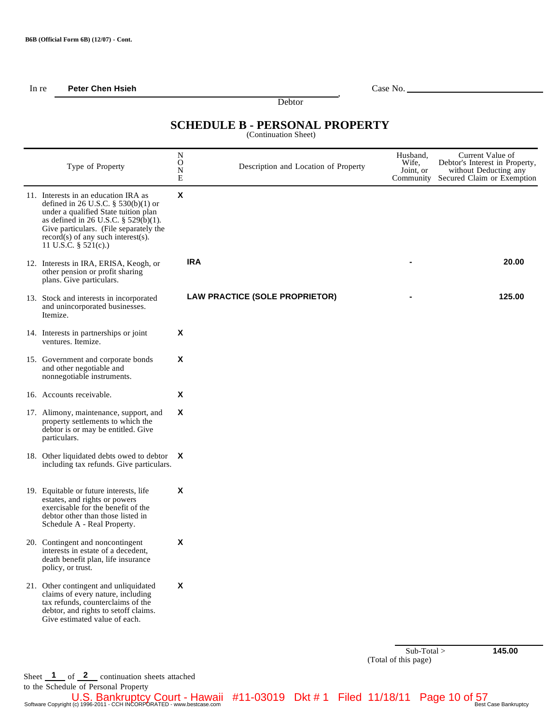In re **Peter Chen Hsieh Case No. 2008 Case No. 2008 Case No. 2008 Case No. 2008 Case No. 2008 Case No. 2008 Case No. 2008 Case No. 2008 Case No. 2008 Case No. 2009 Case No. 2009 Case No. 2009 Case No. 2009 Case No. 2009 Case No.** 

Debtor

,

# **SCHEDULE B - PERSONAL PROPERTY**

(Continuation Sheet)

| Type of Property                                                                                                                                                                                                                                                                | N<br>$\mathbf{O}$<br>N<br>E | Description and Location of Property | Husband,<br>Wife,<br>Joint, or<br>Community | Current Value of<br>Debtor's Interest in Property,<br>without Deducting any<br>Secured Claim or Exemption |
|---------------------------------------------------------------------------------------------------------------------------------------------------------------------------------------------------------------------------------------------------------------------------------|-----------------------------|--------------------------------------|---------------------------------------------|-----------------------------------------------------------------------------------------------------------|
| 11. Interests in an education IRA as<br>defined in 26 U.S.C. § 530(b)(1) or<br>under a qualified State tuition plan<br>as defined in 26 U.S.C. $\S$ 529(b)(1).<br>Give particulars. (File separately the<br>$record(s)$ of any such interest $(s)$ .<br>11 U.S.C. $\S$ 521(c).) | X                           |                                      |                                             |                                                                                                           |
| 12. Interests in IRA, ERISA, Keogh, or<br>other pension or profit sharing<br>plans. Give particulars.                                                                                                                                                                           |                             | <b>IRA</b>                           |                                             | 20.00                                                                                                     |
| 13. Stock and interests in incorporated<br>and unincorporated businesses.<br>Itemize.                                                                                                                                                                                           |                             | LAW PRACTICE (SOLE PROPRIETOR)       |                                             | 125.00                                                                                                    |
| 14. Interests in partnerships or joint<br>ventures. Itemize.                                                                                                                                                                                                                    | X                           |                                      |                                             |                                                                                                           |
| 15. Government and corporate bonds<br>and other negotiable and<br>nonnegotiable instruments.                                                                                                                                                                                    | X                           |                                      |                                             |                                                                                                           |
| 16. Accounts receivable.                                                                                                                                                                                                                                                        | X                           |                                      |                                             |                                                                                                           |
| 17. Alimony, maintenance, support, and<br>property settlements to which the<br>debtor is or may be entitled. Give<br>particulars.                                                                                                                                               | X                           |                                      |                                             |                                                                                                           |
| 18. Other liquidated debts owed to debtor $\mathsf{X}$<br>including tax refunds. Give particulars.                                                                                                                                                                              |                             |                                      |                                             |                                                                                                           |
| 19. Equitable or future interests, life<br>estates, and rights or powers<br>exercisable for the benefit of the<br>debtor other than those listed in<br>Schedule A - Real Property.                                                                                              | X                           |                                      |                                             |                                                                                                           |
| 20. Contingent and noncontingent<br>interests in estate of a decedent,<br>death benefit plan, life insurance<br>policy, or trust.                                                                                                                                               | X                           |                                      |                                             |                                                                                                           |
| 21. Other contingent and unliquidated<br>claims of every nature, including<br>tax refunds, counterclaims of the<br>debtor, and rights to set off claims.<br>Give estimated value of each.                                                                                       | X                           |                                      |                                             |                                                                                                           |

Sheet  $\begin{array}{c} 1 \end{array}$  of  $\begin{array}{c} 2 \end{array}$  continuation sheets attached to the Schedule of Personal Property **1 2**

U.S. Bankruptcy Court - Hawaii #11-03019 Dkt # 1 Filed 11/18/11 Page 10 of 57<br>Software Copyright (c) 1996-2011 - CCH INCORPORATED - www.bestcase.com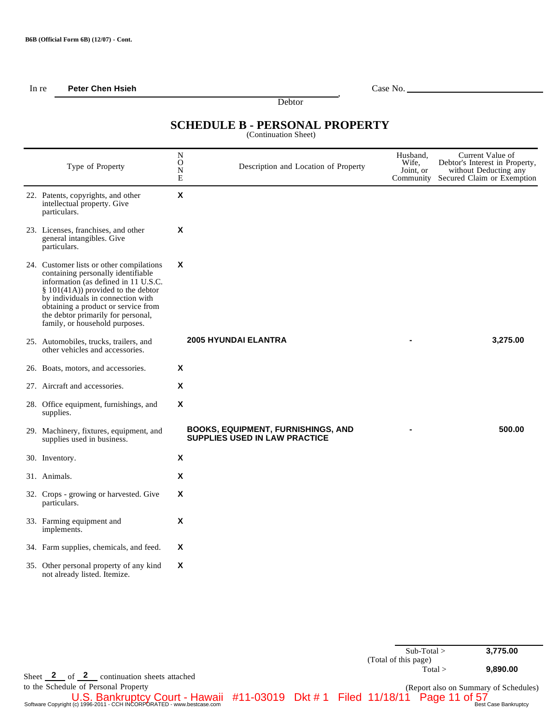In re **Peter Chen Hsieh Case No. 2008 No. 2008 No. 2008 No. 2008 No. 2008 No. 2008 No. 2008 No. 2008 No. 2008 No. 2008 No. 2008 No. 2008 No. 2008 No. 2008 No. 2008 No. 2008 No. 2009 No. 2008 No. 2009 No. 2008 No. 2009 No. 2008 N** 

Debtor

,

# **SCHEDULE B - PERSONAL PROPERTY**

(Continuation Sheet)

| Type of Property                                                                                                                                                                                                                                                                                                    | N<br>$\mathcal{O}$<br>N<br>E | Description and Location of Property                                              | Husband,<br>Wife,<br>Joint, or<br>Community | Current Value of<br>Debtor's Interest in Property,<br>without Deducting any<br>Secured Claim or Exemption |
|---------------------------------------------------------------------------------------------------------------------------------------------------------------------------------------------------------------------------------------------------------------------------------------------------------------------|------------------------------|-----------------------------------------------------------------------------------|---------------------------------------------|-----------------------------------------------------------------------------------------------------------|
| 22. Patents, copyrights, and other<br>intellectual property. Give<br>particulars.                                                                                                                                                                                                                                   | $\pmb{\mathsf{X}}$           |                                                                                   |                                             |                                                                                                           |
| 23. Licenses, franchises, and other<br>general intangibles. Give<br>particulars.                                                                                                                                                                                                                                    | X                            |                                                                                   |                                             |                                                                                                           |
| 24. Customer lists or other compilations<br>containing personally identifiable<br>information (as defined in 11 U.S.C.<br>§ $101(41A)$ ) provided to the debtor<br>by individuals in connection with<br>obtaining a product or service from<br>the debtor primarily for personal,<br>family, or household purposes. | X                            |                                                                                   |                                             |                                                                                                           |
| 25. Automobiles, trucks, trailers, and<br>other vehicles and accessories.                                                                                                                                                                                                                                           |                              | <b>2005 HYUNDAI ELANTRA</b>                                                       |                                             | 3,275.00                                                                                                  |
| 26. Boats, motors, and accessories.                                                                                                                                                                                                                                                                                 | X                            |                                                                                   |                                             |                                                                                                           |
| 27. Aircraft and accessories.                                                                                                                                                                                                                                                                                       | X                            |                                                                                   |                                             |                                                                                                           |
| 28. Office equipment, furnishings, and<br>supplies.                                                                                                                                                                                                                                                                 | X                            |                                                                                   |                                             |                                                                                                           |
| 29. Machinery, fixtures, equipment, and<br>supplies used in business.                                                                                                                                                                                                                                               |                              | <b>BOOKS, EQUIPMENT, FURNISHINGS, AND</b><br><b>SUPPLIES USED IN LAW PRACTICE</b> |                                             | 500.00                                                                                                    |
| 30. Inventory.                                                                                                                                                                                                                                                                                                      | X                            |                                                                                   |                                             |                                                                                                           |
| 31. Animals.                                                                                                                                                                                                                                                                                                        | $\pmb{\chi}$                 |                                                                                   |                                             |                                                                                                           |
| 32. Crops - growing or harvested. Give<br>particulars.                                                                                                                                                                                                                                                              | X                            |                                                                                   |                                             |                                                                                                           |
| 33. Farming equipment and<br>implements.                                                                                                                                                                                                                                                                            | X                            |                                                                                   |                                             |                                                                                                           |
| 34. Farm supplies, chemicals, and feed.                                                                                                                                                                                                                                                                             | X                            |                                                                                   |                                             |                                                                                                           |
| 35. Other personal property of any kind<br>not already listed. Itemize.                                                                                                                                                                                                                                             | X                            |                                                                                   |                                             |                                                                                                           |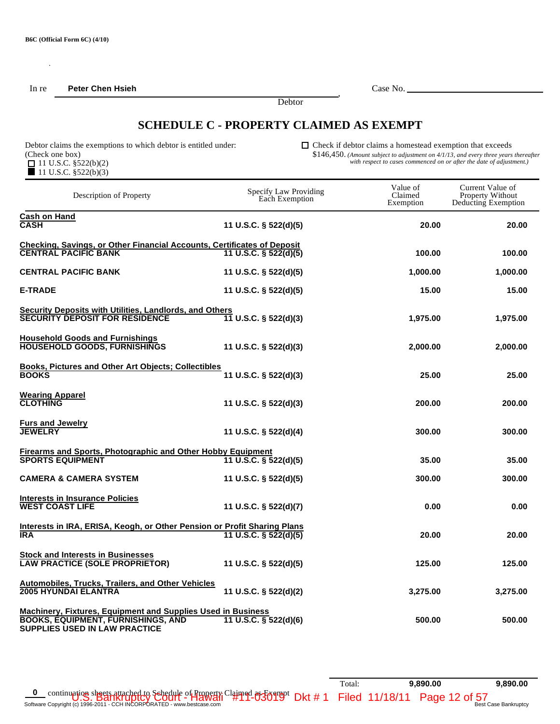$\mathbf{S}$ 

In re **Peter Chen Hsieh Case No. Case No. Case No. Case No. Case No. Case No. Case No. Case No. Case No. Case No. Case No. Case No. Case No. Case No. Case No. Case No. Case No. Case No. Case N** 

Debtor

,

# **SCHEDULE C - PROPERTY CLAIMED AS EXEMPT**

Debtor claims the exemptions to which debtor is entitled under:  $\Box$  Check if debtor claims a homestead exemption that exceeds

 $\Box$  11 U.S.C. §522(b)(2)<br>11 U.S.C. §522(b)(3)

(Check one box) \$146,450. *(Amount subject to adjustment on 4/1/13, and every three years thereafter* with respect to cases commenced on or after the date of adjustment.)

| Description of Property                                                                                                                                  | Specify Law Providing<br>Each Exemption | Value of<br>Claimed<br>Exemption | Current Value of<br>Property Without<br>Deducting Exemption |
|----------------------------------------------------------------------------------------------------------------------------------------------------------|-----------------------------------------|----------------------------------|-------------------------------------------------------------|
| <b>Cash on Hand</b><br><b>CASH</b>                                                                                                                       | 11 U.S.C. $\S$ 522(d)(5)                | 20.00                            | 20.00                                                       |
| <b>Checking, Savings, or Other Financial Accounts, Certificates of Deposit</b><br><b>CENTRAL PACIFIC BANK</b>                                            | 11 U.S.C. $\S$ 522(d)(5)                | 100.00                           | 100.00                                                      |
| <b>CENTRAL PACIFIC BANK</b>                                                                                                                              | 11 U.S.C. § 522(d)(5)                   | 1,000.00                         | 1,000.00                                                    |
| <b>E-TRADE</b>                                                                                                                                           | 11 U.S.C. § 522(d)(5)                   | 15.00                            | 15.00                                                       |
| Security Deposits with Utilities, Landlords, and Others<br><b>SECURITY DEPOSIT FOR RESIDENCE</b>                                                         | $\overline{11}$ U.S.C. § 522(d)(3)      | 1,975.00                         | 1,975.00                                                    |
| <b>Household Goods and Furnishings</b><br><b>HOUSEHOLD GOODS, FURNISHINGS</b>                                                                            | 11 U.S.C. § 522(d)(3)                   | 2,000.00                         | 2,000.00                                                    |
| Books, Pictures and Other Art Objects; Collectibles<br><b>BOOKS</b>                                                                                      | 11 U.S.C. § 522(d)(3)                   | 25.00                            | 25.00                                                       |
| <b>Wearing Apparel</b><br><b>CLOTHING</b>                                                                                                                | 11 U.S.C. § 522(d)(3)                   | 200.00                           | 200.00                                                      |
| <b>Furs and Jewelry</b><br><b>JEWELRY</b>                                                                                                                | 11 U.S.C. $\S$ 522(d)(4)                | 300.00                           | 300.00                                                      |
| Firearms and Sports, Photographic and Other Hobby Equipment<br><b>SPORTS EQUIPMENT</b>                                                                   | $11 \overline{U.S.C. \S 522(d)(5)}$     | 35.00                            | 35.00                                                       |
| <b>CAMERA &amp; CAMERA SYSTEM</b>                                                                                                                        | 11 U.S.C. § 522(d)(5)                   | 300.00                           | 300.00                                                      |
| <b>Interests in Insurance Policies</b><br><b>WEST COAST LIFE</b>                                                                                         | 11 U.S.C. § 522(d)(7)                   | 0.00                             | 0.00                                                        |
| Interests in IRA, ERISA, Keogh, or Other Pension or Profit Sharing Plans<br><b>IRA</b>                                                                   | 11 U.S.C. $\S$ 522(d)(5)                | 20.00                            | 20.00                                                       |
| <b>Stock and Interests in Businesses</b><br><b>LAW PRACTICE (SOLE PROPRIETOR)</b>                                                                        | 11 U.S.C. § 522(d)(5)                   | 125.00                           | 125.00                                                      |
| <b>Automobiles, Trucks, Trailers, and Other Vehicles</b><br><b>2005 HYUNDAI ELANTRA</b>                                                                  | 11 U.S.C. § 522(d)(2)                   | 3,275.00                         | 3,275.00                                                    |
| <b>Machinery, Fixtures, Equipment and Supplies Used in Business</b><br><b>BOOKS, EQUIPMENT, FURNISHINGS, AND</b><br><b>SUPPLIES USED IN LAW PRACTICE</b> | 11 U.S.C. $\frac{1}{9}$ 522(d)(6)       | 500.00                           | 500.00                                                      |

continuation sheets attached to Schedule of Property Claimed as Exempt Software Copyright (c) 1996-2011 - CCH INCORPORATED - www.bestcase.com **Best Case Bankruptcy** Best Case Bankruptcy **0** continuation sheets attached to Schedule of Hawaii Claimed of 50190<sup>t</sup> Dkt # 1 Filed 11/18/11 Page 12 of 57 Total: **9,890.00 9,890.00**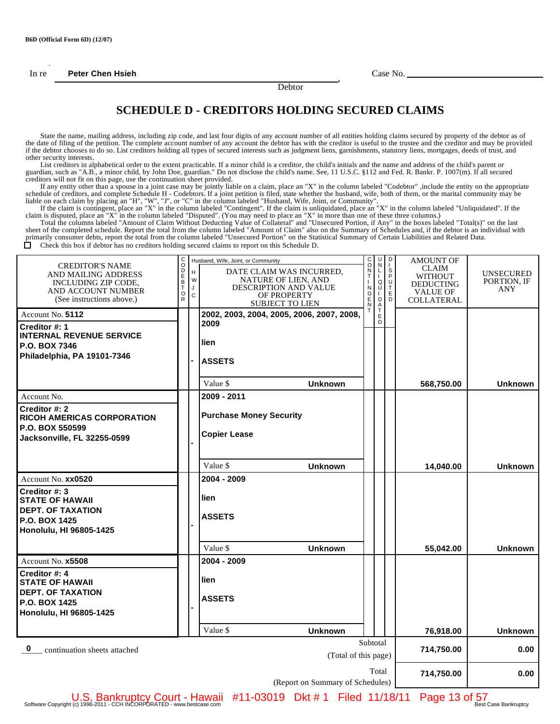**Peter Chen Hsieh Case No. 2008 Case No. 2008 Case No. 2008 Case No. 2008 Case No. 2008 Case No. 2009 Case No. 2009 Case No. 2009 Case No. 2009 Case No. 2009 Case No. 2009 Case No. 2009 Case No. 2009 Case No. 2009 Case No.** 

Debtor

,

# **SCHEDULE D - CREDITORS HOLDING SECURED CLAIMS**

State the name, mailing address, including zip code, and last four digits of any account number of all entities holding claims secured by property of the debtor as of the date of filing of the petition. The complete accoun if the debtor chooses to do so. List creditors holding all types of secured interests such as judgment liens, garnishments, statutory liens, mortgages, deeds of trust, and other security interests.

List creditors in alphabetical order to the extent practicable. If a minor child is a creditor, the child's initials and the name and address of the child's parent or guardian, such as "A.B., a minor child, by John Doe, gu

If any entity other than a spouse in a joint case may be jointly liable on a claim, place an "X" in the column labeled "Codebtor", include the entity on the appropriate schedule of creditors, and complete Schedule H - Code

Check this box if debtor has no creditors holding secured claims to report on this Schedule D.

| <b>CREDITOR'S NAME</b><br>AND MAILING ADDRESS<br>INCLUDING ZIP CODE,<br>AND ACCOUNT NUMBER<br>(See instructions above.) | С<br>$\overline{O}$<br>D<br>E<br>B<br>T<br>$\circ$<br>${\sf R}$ | $\mathsf H$<br>W<br>J<br>$\mathbf C$ | Husband, Wife, Joint, or Community<br>DATE CLAIM WAS INCURRED,<br>NATURE OF LIEN, AND<br>DESCRIPTION AND VALUE<br>OF PROPERTY<br><b>SUBJECT TO LIEN</b> | C<br>O<br>T<br>T<br>200Z | $C \cup C$<br>$\mathbf{L}$<br>D | $\overline{1}$<br>$_{\rm P}^{\rm S}$<br>$\frac{1}{T}$<br>Ε<br>D | <b>AMOUNT OF</b><br><b>CLAIM</b><br><b>WITHOUT</b><br><b>DEDUCTING</b><br><b>VALUE OF</b><br><b>COLLATERAL</b> | <b>UNSECURED</b><br>PORTION, IF<br>ANY |
|-------------------------------------------------------------------------------------------------------------------------|-----------------------------------------------------------------|--------------------------------------|---------------------------------------------------------------------------------------------------------------------------------------------------------|--------------------------|---------------------------------|-----------------------------------------------------------------|----------------------------------------------------------------------------------------------------------------|----------------------------------------|
| Account No. 5112                                                                                                        |                                                                 |                                      | 2002, 2003, 2004, 2005, 2006, 2007, 2008,                                                                                                               |                          | A<br>T<br>E<br>D                |                                                                 |                                                                                                                |                                        |
| Creditor #: 1<br><b>INTERNAL REVENUE SERVICE</b><br>P.O. BOX 7346<br>Philadelphia, PA 19101-7346                        |                                                                 |                                      | 2009<br>lien<br><b>ASSETS</b>                                                                                                                           |                          |                                 |                                                                 |                                                                                                                |                                        |
|                                                                                                                         |                                                                 |                                      | Value \$<br><b>Unknown</b>                                                                                                                              |                          |                                 |                                                                 | 568,750.00                                                                                                     | <b>Unknown</b>                         |
| Account No.                                                                                                             |                                                                 |                                      | 2009 - 2011                                                                                                                                             |                          |                                 |                                                                 |                                                                                                                |                                        |
| Creditor #: 2<br><b>RICOH AMERICAS CORPORATION</b><br>P.O. BOX 550599<br>Jacksonville, FL 32255-0599                    |                                                                 |                                      | <b>Purchase Money Security</b><br><b>Copier Lease</b>                                                                                                   |                          |                                 |                                                                 |                                                                                                                |                                        |
|                                                                                                                         |                                                                 |                                      | Value \$<br><b>Unknown</b>                                                                                                                              |                          |                                 |                                                                 | 14,040.00                                                                                                      | <b>Unknown</b>                         |
| Account No. xx0520                                                                                                      |                                                                 |                                      | 2004 - 2009                                                                                                                                             |                          |                                 |                                                                 |                                                                                                                |                                        |
| Creditor #: 3<br><b>STATE OF HAWAII</b><br><b>DEPT. OF TAXATION</b><br>P.O. BOX 1425<br>Honolulu, HI 96805-1425         |                                                                 |                                      | lien<br><b>ASSETS</b>                                                                                                                                   |                          |                                 |                                                                 |                                                                                                                |                                        |
|                                                                                                                         |                                                                 |                                      | Value \$<br><b>Unknown</b>                                                                                                                              |                          |                                 |                                                                 | 55,042.00                                                                                                      | <b>Unknown</b>                         |
| Account No. x5508                                                                                                       |                                                                 |                                      | 2004 - 2009                                                                                                                                             |                          |                                 |                                                                 |                                                                                                                |                                        |
| Creditor #: 4<br><b>STATE OF HAWAII</b>                                                                                 |                                                                 |                                      | lien.                                                                                                                                                   |                          |                                 |                                                                 |                                                                                                                |                                        |
| <b>DEPT. OF TAXATION</b><br>P.O. BOX 1425<br>Honolulu, HI 96805-1425                                                    |                                                                 |                                      | <b>ASSETS</b>                                                                                                                                           |                          |                                 |                                                                 |                                                                                                                |                                        |
|                                                                                                                         |                                                                 |                                      | Value \$<br><b>Unknown</b>                                                                                                                              |                          |                                 |                                                                 | 76,918.00                                                                                                      | <b>Unknown</b>                         |
| 0<br>continuation sheets attached                                                                                       |                                                                 |                                      | (Total of this page)                                                                                                                                    | Subtotal                 |                                 |                                                                 | 714,750.00                                                                                                     | 0.00                                   |
|                                                                                                                         |                                                                 |                                      |                                                                                                                                                         |                          | Total                           |                                                                 | 714,750.00                                                                                                     | 0.00                                   |

(Report on Summary of Schedules)

U.S. Bankruptcy Court - Hawaii #11-03019 Dkt # 1 Filed 11/18/11 Page 13 of 57<br>Software Copyright (c) 1996-2011 - CCH INCORPORATED - www.bestcase.com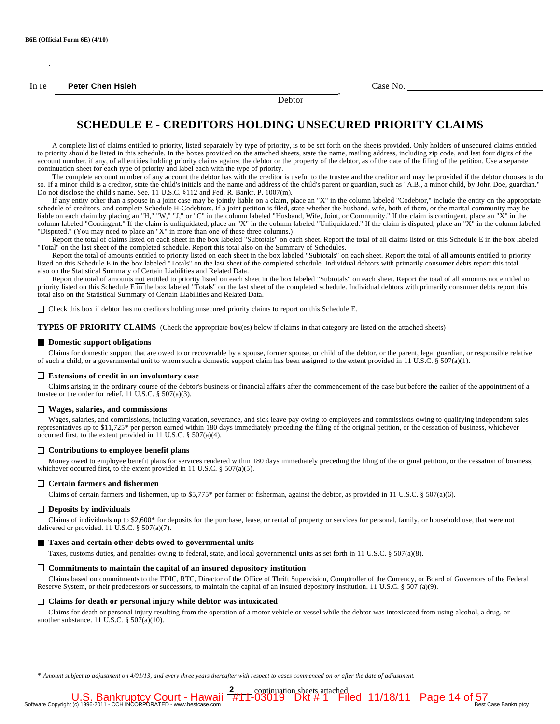### **Peter Chen Hsieh Case No. 2008 Case No. 2008 Case No. 2008 Case No. 2008 Case No. 2008 Case No. 2009 Case No. 2009 Case No. 2009 Case No. 2009 Case No. 2009 Case No. 2009 Case No. 2009 Case No. 2009 Case No. 2009 Case No.**

,

Debtor

# **SCHEDULE E - CREDITORS HOLDING UNSECURED PRIORITY CLAIMS**

A complete list of claims entitled to priority, listed separately by type of priority, is to be set forth on the sheets provided. Only holders of unsecured claims entitled to priority should be listed in this schedule. In the boxes provided on the attached sheets, state the name, mailing address, including zip code, and last four digits of the account number, if any, of all entities holding priority claims against the debtor or the property of the debtor, as of the date of the filing of the petition. Use a separate continuation sheet for each type of priority and label each with the type of priority.

The complete account number of any account the debtor has with the creditor is useful to the trustee and the creditor and may be provided if the debtor chooses to do so. If a minor child is a creditor, state the child's initials and the name and address of the child's parent or guardian, such as "A.B., a minor child, by John Doe, guardian." Do not disclose the child's name. See, 11 U.S.C. §112 and Fed. R. Bankr. P. 1007(m).

If any entity other than a spouse in a joint case may be jointly liable on a claim, place an "X" in the column labeled "Codebtor," include the entity on the appropriate schedule of creditors, and complete Schedule H-Codebtors. If a joint petition is filed, state whether the husband, wife, both of them, or the marital community may be liable on each claim by placing an "H," "W," "J," or "C" in the column labeled "Husband, Wife, Joint, or Community." If the claim is contingent, place an "X" in the column labeled "Contingent." If the claim is unliquidated, place an "X" in the column labeled "Unliquidated." If the claim is disputed, place an "X" in the column labeled "Disputed." (You may need to place an "X" in more than one of these three columns.)

Report the total of claims listed on each sheet in the box labeled "Subtotals" on each sheet. Report the total of all claims listed on this Schedule E in the box labeled "Total" on the last sheet of the completed schedule. Report this total also on the Summary of Schedules.

Report the total of amounts entitled to priority listed on each sheet in the box labeled "Subtotals" on each sheet. Report the total of all amounts entitled to priority listed on this Schedule E in the box labeled "Totals" on the last sheet of the completed schedule. Individual debtors with primarily consumer debts report this total also on the Statistical Summary of Certain Liabilities and Related Data.

Report the total of amounts not entitled to priority listed on each sheet in the box labeled "Subtotals" on each sheet. Report the total of all amounts not entitled to priority listed on this Schedule E in the box labeled "Totals" on the last sheet of the completed schedule. Individual debtors with primarily consumer debts report this total also on the Statistical Summary of Certain Liabilities and Related Data.

Check this box if debtor has no creditors holding unsecured priority claims to report on this Schedule E.

**TYPES OF PRIORITY CLAIMS** (Check the appropriate box(es) below if claims in that category are listed on the attached sheets)

#### ■ Domestic support obligations

Claims for domestic support that are owed to or recoverable by a spouse, former spouse, or child of the debtor, or the parent, legal guardian, or responsible relative of such a child, or a governmental unit to whom such a domestic support claim has been assigned to the extent provided in 11 U.S.C. § 507(a)(1).

### **Extensions of credit in an involuntary case**

Claims arising in the ordinary course of the debtor's business or financial affairs after the commencement of the case but before the earlier of the appointment of a trustee or the order for relief. 11 U.S.C. § 507(a)(3).

#### **Wages, salaries, and commissions**

Wages, salaries, and commissions, including vacation, severance, and sick leave pay owing to employees and commissions owing to qualifying independent sales representatives up to \$11,725\* per person earned within 180 days immediately preceding the filing of the original petition, or the cessation of business, whichever occurred first, to the extent provided in 11 U.S.C. § 507(a)(4).

### **Contributions to employee benefit plans**

Money owed to employee benefit plans for services rendered within 180 days immediately preceding the filing of the original petition, or the cessation of business, whichever occurred first, to the extent provided in 11 U.S.C. § 507(a)(5).

### **Certain farmers and fishermen**

Claims of certain farmers and fishermen, up to \$5,775\* per farmer or fisherman, against the debtor, as provided in 11 U.S.C. § 507(a)(6).

#### **Deposits by individuals**

Claims of individuals up to \$2,600\* for deposits for the purchase, lease, or rental of property or services for personal, family, or household use, that were not delivered or provided. 11 U.S.C.  $\S$  507(a)(7).

### **Taxes and certain other debts owed to governmental units**

Taxes, customs duties, and penalties owing to federal, state, and local governmental units as set forth in 11 U.S.C. § 507(a)(8).

### **Commitments to maintain the capital of an insured depository institution**

Claims based on commitments to the FDIC, RTC, Director of the Office of Thrift Supervision, Comptroller of the Currency, or Board of Governors of the Federal Reserve System, or their predecessors or successors, to maintain the capital of an insured depository institution. 11 U.S.C. § 507 (a)(9).

### **Claims for death or personal injury while debtor was intoxicated**

Claims for death or personal injury resulting from the operation of a motor vehicle or vessel while the debtor was intoxicated from using alcohol, a drug, or another substance. 11 U.S.C.  $\S$  507(a)(10).

\* *Amount subject to adjustment on 4/01/13, and every three years thereafter with respect to cases commenced on or after the date of adjustment.*

continuation sheets attached U.S. Bankruptcy Court - Hawaii <sup>2</sup> #11-03019 Dkt # 1 Filed 11/18/11 Page 14 of 57

Software Copyright (c) 1996-2011 - CCH INCORPORATED - www.bestcase.com **Best Case Bankruptcy** Best Case Bankruptcy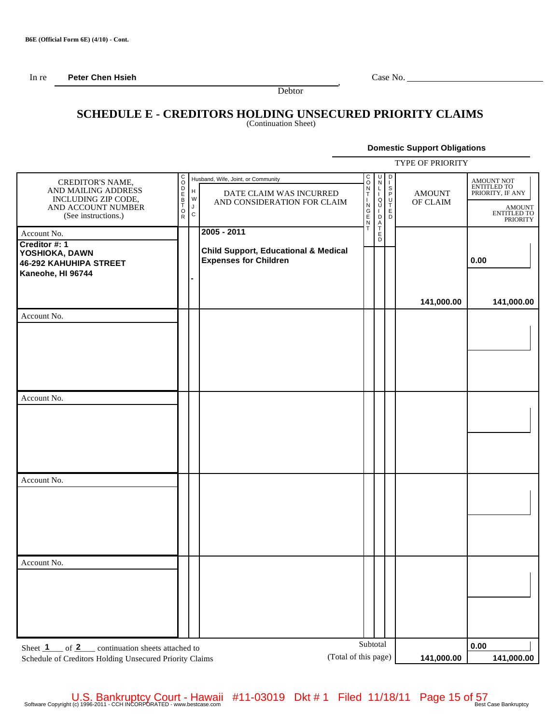**Peter Chen Hsieh Case No. 2008 Case No. 2008 Case No. 2008 Case No. 2008 Case No. 2008 Case No. 2009 Case No. 2009 Case No. 2009 Case No. 2009 Case No. 2009 Case No. 2009 Case No. 2009 Case No. 2009 Case No. 2009 Case No.** 

Debtor

,

# **SCHEDULE E - CREDITORS HOLDING UNSECURED PRIORITY CLAIMS**

(Continuation Sheet)

## **Domestic Support Obligations**

|                                                                                                                    |          |                                                 |                                                                                              |                                                                            |                                                     |                                                                                                                                                                             | TYPE OF PRIORITY          |                                                                                        |
|--------------------------------------------------------------------------------------------------------------------|----------|-------------------------------------------------|----------------------------------------------------------------------------------------------|----------------------------------------------------------------------------|-----------------------------------------------------|-----------------------------------------------------------------------------------------------------------------------------------------------------------------------------|---------------------------|----------------------------------------------------------------------------------------|
| <b>CREDITOR'S NAME,</b><br>AND MAILING ADDRESS<br>INCLUDING ZIP CODE,<br>AND ACCOUNT NUMBER<br>(See instructions.) | CODEBTOR | $\,$ H<br>${\sf W}$<br>$\mathsf J$<br>${\bf C}$ | Husband, Wife, Joint, or Community<br>DATE CLAIM WAS INCURRED<br>AND CONSIDERATION FOR CLAIM | $_{\rm o}^{\rm c}$<br>$\begin{array}{c}\nN \\ T \\ I\n\end{array}$<br>2mQZ | $\frac{L}{L}$<br>I.<br>$\overline{D}$<br>$_{T}^{A}$ | $\begin{array}{c} U \\ N \end{array}$ $\begin{array}{c} D \\ I \end{array}$<br>D<br>$_{\rm P}^{\rm S}$<br>$\begin{bmatrix} 0 \\ 0 \\ 1 \end{bmatrix}$<br>$_{\rm D}^{\rm E}$ | <b>AMOUNT</b><br>OF CLAIM | AMOUNT NOT ENTITLED TO<br>PRIORITY, IF ANY<br>AMOUNT<br><b>ENTITLED TO</b><br>PRIORITY |
| Account No.                                                                                                        |          |                                                 | 2005 - 2011                                                                                  | T.                                                                         | $_{\rm D}^{\rm E}$                                  |                                                                                                                                                                             |                           |                                                                                        |
| Creditor #: 1<br>YOSHIOKA, DAWN<br><b>46-292 KAHUHIPA STREET</b><br>Kaneohe, HI 96744                              |          |                                                 | <b>Child Support, Educational &amp; Medical</b><br><b>Expenses for Children</b>              |                                                                            |                                                     |                                                                                                                                                                             |                           | 0.00                                                                                   |
|                                                                                                                    |          |                                                 |                                                                                              |                                                                            |                                                     |                                                                                                                                                                             | 141,000.00                | 141,000.00                                                                             |
| Account No.                                                                                                        |          |                                                 |                                                                                              |                                                                            |                                                     |                                                                                                                                                                             |                           |                                                                                        |
|                                                                                                                    |          |                                                 |                                                                                              |                                                                            |                                                     |                                                                                                                                                                             |                           |                                                                                        |
| Account No.                                                                                                        |          |                                                 |                                                                                              |                                                                            |                                                     |                                                                                                                                                                             |                           |                                                                                        |
| Account No.                                                                                                        |          |                                                 |                                                                                              |                                                                            |                                                     |                                                                                                                                                                             |                           |                                                                                        |
|                                                                                                                    |          |                                                 |                                                                                              |                                                                            |                                                     |                                                                                                                                                                             |                           |                                                                                        |
| Account No.                                                                                                        |          |                                                 |                                                                                              |                                                                            |                                                     |                                                                                                                                                                             |                           |                                                                                        |
|                                                                                                                    |          |                                                 |                                                                                              |                                                                            |                                                     |                                                                                                                                                                             |                           |                                                                                        |
| Sheet 1<br>of $2$<br>continuation sheets attached to                                                               |          |                                                 |                                                                                              | Subtotal                                                                   |                                                     |                                                                                                                                                                             |                           | 0.00                                                                                   |
| Schedule of Creditors Holding Unsecured Priority Claims                                                            |          |                                                 | (Total of this page)                                                                         |                                                                            |                                                     |                                                                                                                                                                             | 141,000.00                | 141,000.00                                                                             |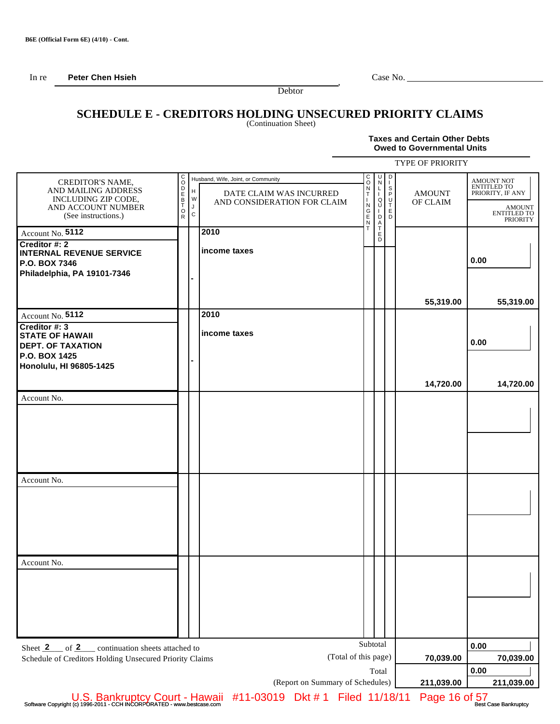**Peter Chen Hsieh Case No.** 2008 No.

Debtor

,

# **SCHEDULE E - CREDITORS HOLDING UNSECURED PRIORITY CLAIMS**

(Continuation Sheet)

### $T$ **Taxes and Certain Other Debts Owed to Governmental Units**

|                                                                                                          |                                      |                                     |                                                                                              |                                                                                                 |                                                                                 |                                                      | TYPE OF PRIORITY          |                                                             |
|----------------------------------------------------------------------------------------------------------|--------------------------------------|-------------------------------------|----------------------------------------------------------------------------------------------|-------------------------------------------------------------------------------------------------|---------------------------------------------------------------------------------|------------------------------------------------------|---------------------------|-------------------------------------------------------------|
| <b>CREDITOR'S NAME,</b><br>AND MAILING ADDRESS<br><b>INCLUDING ZIP CODE,</b><br>AND ACCOUNT NUMBER       | $\rm ^c_{\rm O}$<br>D<br>E<br>B<br>T | $\boldsymbol{\mathsf{H}}$<br>W<br>J | Husband, Wife, Joint, or Community<br>DATE CLAIM WAS INCURRED<br>AND CONSIDERATION FOR CLAIM | $\begin{array}{c}\n\overline{C} \\ \overline{C} \\ \overline{T}\n\end{array}$<br>$\overline{1}$ | $\underset{\mathsf{N}}{\mathsf{U}}$<br>L.<br>$\mathbf{L}$<br>$rac{1}{\sqrt{2}}$ | $\frac{D}{I}$<br>$_{\rm P}^{\rm S}$<br>$\frac{1}{T}$ | <b>AMOUNT</b><br>OF CLAIM | AMOUNT NOT ENTITLED TO<br>PRIORITY, IF ANY<br><b>AMOUNT</b> |
| (See instructions.)<br>Account No. 5112                                                                  | O<br>R                               | $\mathbf C$                         | 2010                                                                                         | 2mQZ<br>T                                                                                       | D<br>Α<br>T<br>$_{\rm D}^{\rm E}$                                               | E<br>D                                               |                           | <b>ENTITLED TO</b><br>PRIORITY                              |
| Creditor #: 2<br><b>INTERNAL REVENUE SERVICE</b><br>P.O. BOX 7346<br>Philadelphia, PA 19101-7346         |                                      |                                     | income taxes                                                                                 |                                                                                                 |                                                                                 |                                                      |                           | 0.00                                                        |
|                                                                                                          |                                      |                                     |                                                                                              |                                                                                                 |                                                                                 |                                                      | 55,319.00                 | 55,319.00                                                   |
| Account No. 5112                                                                                         |                                      |                                     | 2010                                                                                         |                                                                                                 |                                                                                 |                                                      |                           |                                                             |
| Creditor #: 3<br><b>STATE OF HAWAII</b><br><b>DEPT. OF TAXATION</b>                                      |                                      |                                     | income taxes                                                                                 |                                                                                                 |                                                                                 |                                                      |                           | 0.00                                                        |
| P.O. BOX 1425<br>Honolulu, HI 96805-1425                                                                 |                                      |                                     |                                                                                              |                                                                                                 |                                                                                 |                                                      |                           |                                                             |
|                                                                                                          |                                      |                                     |                                                                                              |                                                                                                 |                                                                                 |                                                      | 14,720.00                 | 14,720.00                                                   |
| Account No.                                                                                              |                                      |                                     |                                                                                              |                                                                                                 |                                                                                 |                                                      |                           |                                                             |
|                                                                                                          |                                      |                                     |                                                                                              |                                                                                                 |                                                                                 |                                                      |                           |                                                             |
|                                                                                                          |                                      |                                     |                                                                                              |                                                                                                 |                                                                                 |                                                      |                           |                                                             |
| Account No.                                                                                              |                                      |                                     |                                                                                              |                                                                                                 |                                                                                 |                                                      |                           |                                                             |
|                                                                                                          |                                      |                                     |                                                                                              |                                                                                                 |                                                                                 |                                                      |                           |                                                             |
|                                                                                                          |                                      |                                     |                                                                                              |                                                                                                 |                                                                                 |                                                      |                           |                                                             |
| Account No.                                                                                              |                                      |                                     |                                                                                              |                                                                                                 |                                                                                 |                                                      |                           |                                                             |
|                                                                                                          |                                      |                                     |                                                                                              |                                                                                                 |                                                                                 |                                                      |                           |                                                             |
|                                                                                                          |                                      |                                     |                                                                                              |                                                                                                 |                                                                                 |                                                      |                           |                                                             |
|                                                                                                          |                                      |                                     |                                                                                              |                                                                                                 |                                                                                 |                                                      |                           |                                                             |
| Sheet 2<br>of $2$<br>continuation sheets attached to                                                     |                                      |                                     |                                                                                              | Subtotal                                                                                        |                                                                                 |                                                      |                           | 0.00                                                        |
| Schedule of Creditors Holding Unsecured Priority Claims                                                  |                                      |                                     | (Total of this page)                                                                         |                                                                                                 |                                                                                 |                                                      | 70,039.00                 | 70,039.00                                                   |
|                                                                                                          |                                      |                                     |                                                                                              |                                                                                                 | Total                                                                           |                                                      |                           | 0.00                                                        |
|                                                                                                          |                                      |                                     | (Report on Summary of Schedules)                                                             |                                                                                                 |                                                                                 |                                                      | 211,039.00                | 211,039.00                                                  |
| U.S. Bankruptcy Court - Hawaii<br>Software Copyright (c) 1996-2011 - CCH INCORPORATED - www.bestcase.com |                                      |                                     | #11-03019 Dkt #1 Filed 11/18/11                                                              |                                                                                                 |                                                                                 |                                                      |                           | Page 16 of 57<br>Best Case Bankruptcy                       |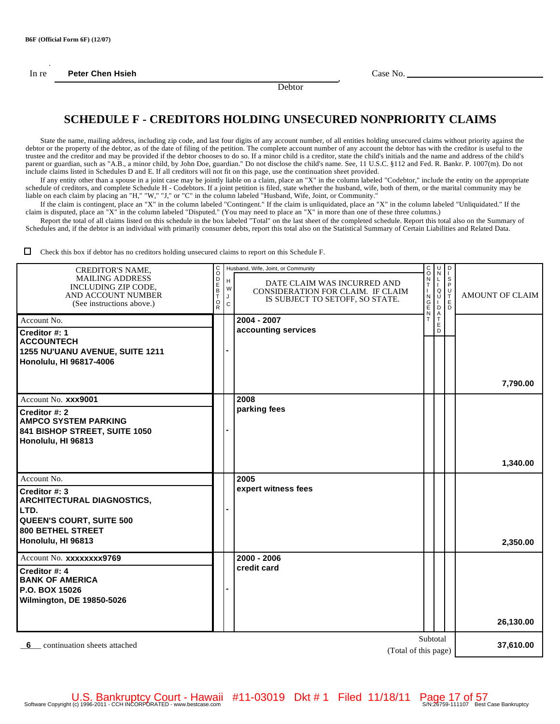**Peter Chen Hsieh Case No. Case No. Case No. Case No. Case No.** 

Debtor

,

# **SCHEDULE F - CREDITORS HOLDING UNSECURED NONPRIORITY CLAIMS**

State the name, mailing address, including zip code, and last four digits of any account number, of all entities holding unsecured claims without priority against the debtor or the property of the debtor, as of the date of filing of the petition. The complete account number of any account the debtor has with the creditor is useful to the trustee and the creditor and may be provided if the debtor chooses to do so. If a minor child is a creditor, state the child's initials and the name and address of the child's parent or guardian, such as "A.B., a minor child, by John Doe, guardian." Do not disclose the child's name. See, 11 U.S.C. §112 and Fed. R. Bankr. P. 1007(m). Do not include claims listed in Schedules D and E. If all creditors will not fit on this page, use the continuation sheet provided.

If any entity other than a spouse in a joint case may be jointly liable on a claim, place an "X" in the column labeled "Codebtor," include the entity on the appropriate schedule of creditors, and complete Schedule H - Codebtors. If a joint petition is filed, state whether the husband, wife, both of them, or the marital community may be liable on each claim by placing an "H," "W," "J," or "C" in the column labeled "Husband, Wife, Joint, or Community."

If the claim is contingent, place an "X" in the column labeled "Contingent." If the claim is unliquidated, place an "X" in the column labeled "Unliquidated." If the claim is disputed, place an "X" in the column labeled "Disputed." (You may need to place an "X" in more than one of these three columns.)

Report the total of all claims listed on this schedule in the box labeled "Total" on the last sheet of the completed schedule. Report this total also on the Summary of Schedules and, if the debtor is an individual with primarily consumer debts, report this total also on the Statistical Summary of Certain Liabilities and Related Data.

 $\Box$ Check this box if debtor has no creditors holding unsecured claims to report on this Schedule F.

| <b>CREDITOR'S NAME,</b>                                                                                                           |         |                               | Husband, Wife, Joint, or Community                                                                  | $rac{C}{O}$                         | $z \subset$                                                                          | $\Box$ |                        |
|-----------------------------------------------------------------------------------------------------------------------------------|---------|-------------------------------|-----------------------------------------------------------------------------------------------------|-------------------------------------|--------------------------------------------------------------------------------------|--------|------------------------|
| <b>MAILING ADDRESS</b><br><b>INCLUDING ZIP CODE,</b><br>AND ACCOUNT NUMBER<br>(See instructions above.)                           | ROHWHOO | н<br>W<br>$\mathbf{I}$ .<br>C | DATE CLAIM WAS INCURRED AND<br>CONSIDERATION FOR CLAIM. IF CLAIM<br>IS SUBJECT TO SETOFF, SO STATE. | $\frac{\tilde{N}}{T}$<br>I.<br>200Z | $\mathbf{L}$<br>$\overline{C}$<br>$\overline{P}$<br>$\overline{P}$<br>$\overline{T}$ | OFJCPS | <b>AMOUNT OF CLAIM</b> |
| Account No.                                                                                                                       |         |                               | 2004 - 2007                                                                                         |                                     |                                                                                      |        |                        |
| Creditor #: 1<br><b>ACCOUNTECH</b><br>1255 NU'UANU AVENUE, SUITE 1211<br>Honolulu, HI 96817-4006                                  |         |                               | accounting services                                                                                 |                                     | $\overline{E}$                                                                       |        | 7,790.00               |
| Account No. xxx9001                                                                                                               |         |                               | 2008                                                                                                |                                     |                                                                                      |        |                        |
| Creditor #: 2<br><b>AMPCO SYSTEM PARKING</b><br>841 BISHOP STREET, SUITE 1050<br>Honolulu, HI 96813                               |         |                               | parking fees                                                                                        |                                     |                                                                                      |        | 1,340.00               |
| Account No.                                                                                                                       |         |                               | 2005                                                                                                |                                     |                                                                                      |        |                        |
| Creditor #: 3<br>ARCHITECTURAL DIAGNOSTICS,<br>LTD.<br>QUEEN'S COURT, SUITE 500<br><b>800 BETHEL STREET</b><br>Honolulu, HI 96813 |         |                               | expert witness fees                                                                                 |                                     |                                                                                      |        | 2,350.00               |
| Account No. XXXXXXXX9769                                                                                                          |         |                               | 2000 - 2006                                                                                         |                                     |                                                                                      |        |                        |
| Creditor #: 4<br><b>BANK OF AMERICA</b><br>P.O. BOX 15026<br>Wilmington, DE 19850-5026                                            |         |                               | credit card                                                                                         |                                     |                                                                                      |        |                        |
|                                                                                                                                   |         |                               |                                                                                                     |                                     |                                                                                      |        | 26,130.00              |
| <b>6</b> continuation sheets attached                                                                                             |         |                               | (Total of this page)                                                                                | Subtotal                            |                                                                                      |        | 37,610.00              |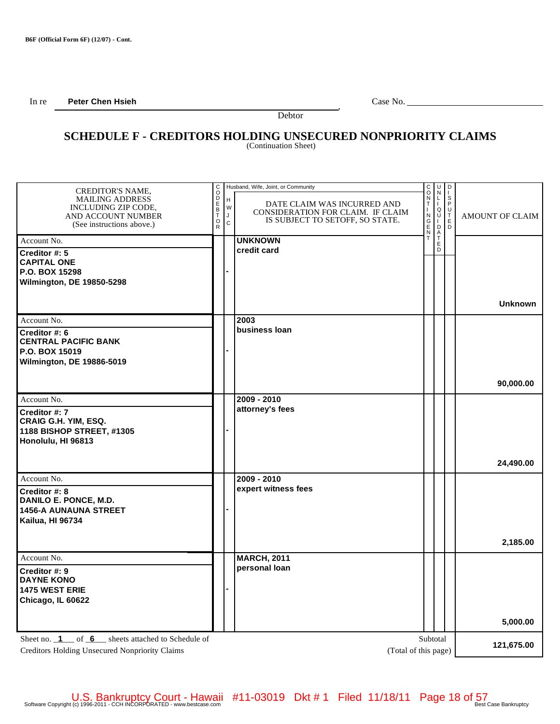**Peter Chen Hsieh Case No. 2008 No. 2008 No. 2008 No. 2008 No. 2008 No. 2008 No. 2008 No. 2008 No. 2008 No. 2008 No. 2008 No. 2008 No. 2008 No. 2008 No. 2008 No. 2009 No. 2008 No. 2009 No. 2009 No. 2009 No. 2009 No. 2009 N** 

Debtor

,

## **SCHEDULE F - CREDITORS HOLDING UNSECURED NONPRIORITY CLAIMS** (Continuation Sheet)

| <b>CREDITOR'S NAME,</b><br><b>MAILING ADDRESS</b><br>INCLUDING ZIP CODE,<br>AND ACCOUNT NUMBER<br>(See instructions above.) | CODEBTOR | $\mathsf{H}% _{\mathsf{H}}^{\ast}(\mathcal{M}_{0})$<br>W<br>J<br>$\mathbf C$ | Husband, Wife, Joint, or Community<br>DATE CLAIM WAS INCURRED AND<br>CONSIDERATION FOR CLAIM. IF CLAIM<br>IS SUBJECT TO SETOFF, SO STATE. | $_{\rm o}^{\rm c}$<br>$\frac{\overline{N}}{T}$<br>N<br>2 <sub>m</sub> | U<br>Ň<br>Ë<br>$rac{1}{\alpha}$<br>$\overline{R}$ | D<br>$\begin{array}{c}\n1 \\ 5 \\ P \\ U \\ T\n\end{array}$<br>E<br>D | <b>AMOUNT OF CLAIM</b> |
|-----------------------------------------------------------------------------------------------------------------------------|----------|------------------------------------------------------------------------------|-------------------------------------------------------------------------------------------------------------------------------------------|-----------------------------------------------------------------------|---------------------------------------------------|-----------------------------------------------------------------------|------------------------|
| Account No.                                                                                                                 |          |                                                                              | <b>UNKNOWN</b>                                                                                                                            | T                                                                     | T<br>E<br>D                                       |                                                                       |                        |
| Creditor #: 5<br><b>CAPITAL ONE</b><br>P.O. BOX 15298<br><b>Wilmington, DE 19850-5298</b>                                   |          |                                                                              | credit card                                                                                                                               |                                                                       |                                                   |                                                                       | <b>Unknown</b>         |
| Account No.                                                                                                                 |          |                                                                              | 2003                                                                                                                                      |                                                                       |                                                   |                                                                       |                        |
| Creditor #: 6<br><b>CENTRAL PACIFIC BANK</b><br>P.O. BOX 15019<br>Wilmington, DE 19886-5019                                 |          |                                                                              | business Ioan                                                                                                                             |                                                                       |                                                   |                                                                       | 90,000.00              |
| Account No.                                                                                                                 |          |                                                                              | 2009 - 2010                                                                                                                               |                                                                       |                                                   |                                                                       |                        |
| Creditor #: 7<br>CRAIG G.H. YIM, ESQ.<br>1188 BISHOP STREET, #1305<br>Honolulu, HI 96813                                    |          |                                                                              | attorney's fees                                                                                                                           |                                                                       |                                                   |                                                                       | 24,490.00              |
| Account No.                                                                                                                 |          |                                                                              | 2009 - 2010                                                                                                                               |                                                                       |                                                   |                                                                       |                        |
| Creditor #: 8<br>DANILO E. PONCE, M.D.<br><b>1456-A AUNAUNA STREET</b><br>Kailua, HI 96734                                  |          |                                                                              | expert witness fees                                                                                                                       |                                                                       |                                                   |                                                                       | 2,185.00               |
| Account No.                                                                                                                 |          |                                                                              | <b>MARCH, 2011</b>                                                                                                                        |                                                                       |                                                   |                                                                       |                        |
| Creditor #: 9<br><b>DAYNE KONO</b><br><b>1475 WEST ERIE</b><br>Chicago, IL 60622                                            |          |                                                                              | personal loan                                                                                                                             |                                                                       |                                                   |                                                                       | 5,000.00               |
| Sheet no. 1 of 6 sheets attached to Schedule of                                                                             |          |                                                                              |                                                                                                                                           | Subtotal                                                              |                                                   |                                                                       | 121,675.00             |
| Creditors Holding Unsecured Nonpriority Claims                                                                              |          |                                                                              | (Total of this page)                                                                                                                      |                                                                       |                                                   |                                                                       |                        |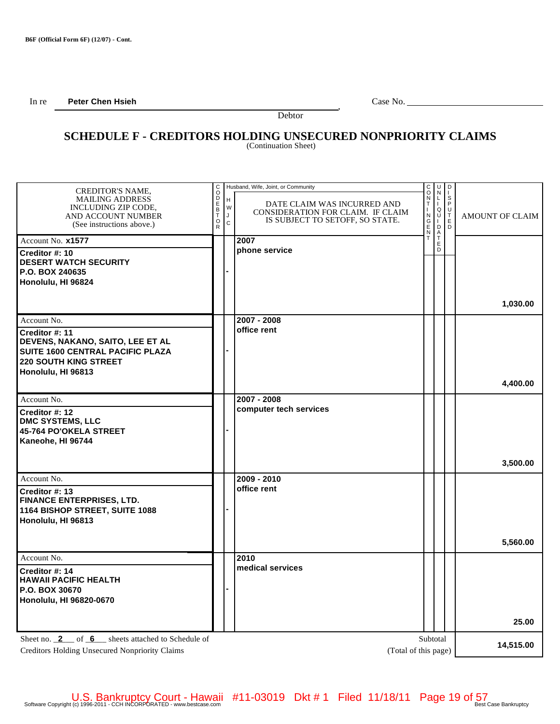**Peter Chen Hsieh Case No. 2008 Case No. 2008 Case No. 2008 Case No. 2008 Case No. 2008 Case No. 2009 Case No. 2009 Case No. 2009 Case No. 2009 Case No. 2009 Case No. 2009 Case No. 2009 Case No. 2009 Case No. 2009 Case No.** 

Debtor

,

## **SCHEDULE F - CREDITORS HOLDING UNSECURED NONPRIORITY CLAIMS** (Continuation Sheet)

C O D E B T O R CONT INGENT U N L I Q U I D A T E D D I S P U T E D Husband, Wife, Joint, or Community H W J C CREDITOR'S NAME, MAILING ADDRESS INCLUDING ZIP CODE, AND ACCOUNT NUMBER (See instructions above.) Account No. **x1577 2007** Account No. Account No. Account No. Account No. DATE CLAIM WAS INCURRED AND CONSIDERATION FOR CLAIM. IF CLAIM **IS SUBJECT TO SETOFF, SO STATE.**  $\begin{bmatrix} \cdot & \cdot & \cdot \\ \cdot & \cdot & \cdot \\ \cdot & \cdot & \cdot \end{bmatrix} \begin{bmatrix} \cdot & \cdot \\ \cdot & \cdot \\ \cdot & \cdot \end{bmatrix} \begin{bmatrix} \cdot & \cdot \\ \cdot & \cdot \\ \cdot & \cdot \end{bmatrix}$  AMOUNT OF CLAIM **phone service**  $\begin{array}{|c|c|c|c|c|}\n\hline\n\textbf{Predictor $\#$: 10}\n\hline\n\end{array}$  | phone service **DESERT WATCH SECURITY P.O. BOX 240635 Honolulu, HI 96824 - 1,030.00 2007 - 2008 Creditor #: 11 office rent DEVENS, NAKANO, SAITO, LEE ET AL SUITE 1600 CENTRAL PACIFIC PLAZA 220 SOUTH KING STREET Honolulu, HI 96813 - 4,400.00 2007 - 2008 creditor #: 12 Creditor #: 12 Creditor #: 12 Computer tech services DMC SYSTEMS, LLC 45-764 PO'OKELA STREET Kaneohe, HI 96744 - 3,500.00 2009 - 2010 Creditor #: 13 office rent FINANCE ENTERPRISES, LTD. 1164 BISHOP STREET, SUITE 1088 Honolulu, HI 96813 - 5,560.00 2010 Creditor #: 14 creditor #: 14 medical services HAWAII PACIFIC HEALTH P.O. BOX 30670 Honolulu, HI 96820-0670 - 25.00**

Sheet no. <u>2 of 6</u> sheets attached to Schedule of Subtotal

Creditors Holding Unsecured Nonpriority Claims (Total of this page)

**14,515.00**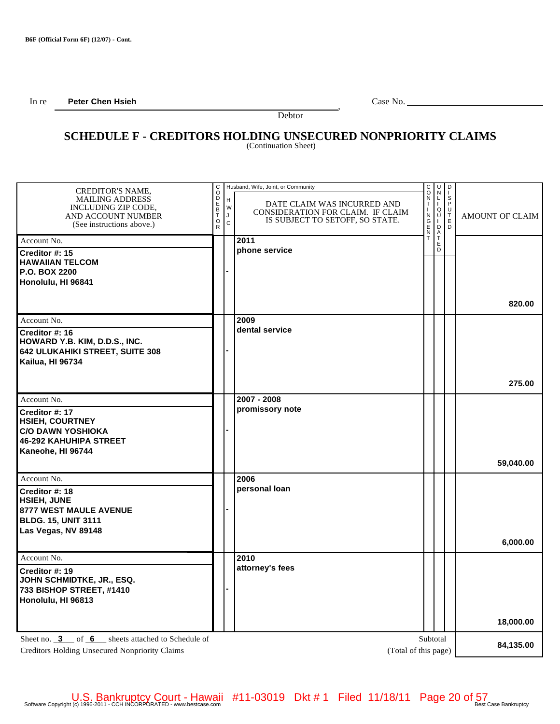**Peter Chen Hsieh Case No. 2008 Case No. 2008 Case No. 2008 Case No. 2008 Case No. 2008 Case No. 2009 Case No. 2009 Case No. 2009 Case No. 2009 Case No. 2009 Case No. 2009 Case No. 2009 Case No. 2009 Case No. 2009 Case No.** 

Debtor

,

## **SCHEDULE F - CREDITORS HOLDING UNSECURED NONPRIORITY CLAIMS** (Continuation Sheet)

C O D E B T O R CONT INGENT U N L I Q U I D A T E D D I S P U T E D Husband, Wife, Joint, or Community H W J C CREDITOR'S NAME, MAILING ADDRESS INCLUDING ZIP CODE, AND ACCOUNT NUMBER (See instructions above.) Account No. Account No. Account No. Account No. Account No. DATE CLAIM WAS INCURRED AND CONSIDERATION FOR CLAIM. IF CLAIM INSIDERATION FOR CLAIM. IF CLAIM  $\begin{bmatrix} \vdots \\ \vdots \\ \vdots \end{bmatrix} \begin{bmatrix} 1 \\ 2 \\ 1 \end{bmatrix} \begin{bmatrix} 1 \\ 2 \\ 1 \end{bmatrix}$  AMOUNT OF CLAIM **2011 phone service**  $\begin{array}{|c|c|c|c|c|}\n\hline\n\textbf{Predictor $\#$: 15}\n\hline\n\end{array}$  | phone service **HAWAIIAN TELCOM P.O. BOX 2200 Honolulu, HI 96841 - 820.00 2009 dental service Creditor #: 16 HOWARD Y.B. KIM, D.D.S., INC. 642 ULUKAHIKI STREET, SUITE 308 Kailua, HI 96734 - 275.00 2007 - 2008 promissory note Creditor #: 17 promissory note HSIEH, COURTNEY C/O DAWN YOSHIOKA 46-292 KAHUHIPA STREET Kaneohe, HI 96744 - 59,040.00 2006 personal loan creditor #: 18 personal loan HSIEH, JUNE 8777 WEST MAULE AVENUE BLDG. 15, UNIT 3111 Las Vegas, NV 89148 - 6,000.00 2010 attorney's fees Creditor #: 19 JOHN SCHMIDTKE, JR., ESQ. 733 BISHOP STREET, #1410 Honolulu, HI 96813 - 18,000.00**

Sheet no. <u>3</u> of 6 sheets attached to Schedule of Subtotal

Creditors Holding Unsecured Nonpriority Claims (Total of this page)

**84,135.00**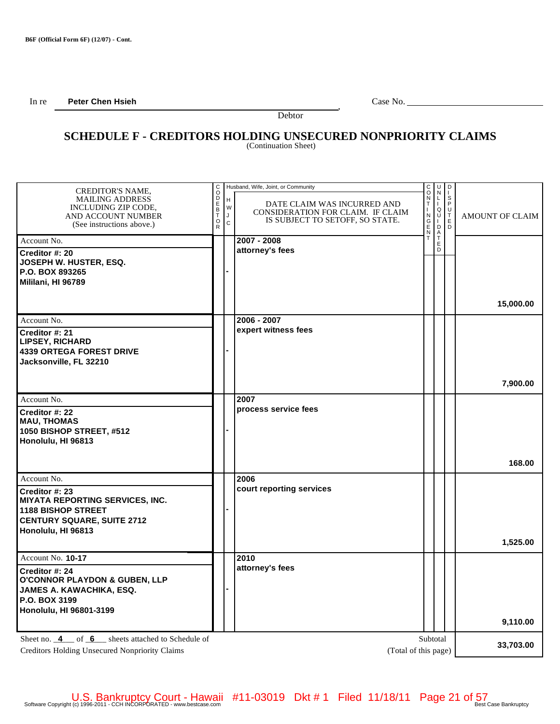**Peter Chen Hsieh** Case No.

Debtor

,

## **SCHEDULE F - CREDITORS HOLDING UNSECURED NONPRIORITY CLAIMS** (Continuation Sheet)

C O D E B T O R CONT INGENT U N L I Q U I D A T E D D I S P U T E D Husband, Wife, Joint, or Community H W J C CREDITOR'S NAME, MAILING ADDRESS INCLUDING ZIP CODE, AND ACCOUNT NUMBER (See instructions above.) Account No. Account No. Account No. Account No. Account No. **10-17 12010** DATE CLAIM WAS INCURRED AND CONSIDERATION FOR CLAIM. IF CLAIM **IS SUBJECT TO SETOFF, SO STATE.**  $\begin{bmatrix} \cdot & \cdot & \cdot \\ \cdot & \cdot & \cdot \\ \cdot & \cdot & \cdot \end{bmatrix} \begin{bmatrix} \cdot & \cdot \\ \cdot & \cdot \\ \cdot & \cdot \end{bmatrix} \begin{bmatrix} \cdot & \cdot \\ \cdot & \cdot \\ \cdot & \cdot \end{bmatrix}$  AMOUNT OF CLAIM **2007 - 2008 attorney's fees Creditor #: 20 JOSEPH W. HUSTER, ESQ. P.O. BOX 893265 Mililani, HI 96789 - 15,000.00 2006 - 2007 expert witness fees Creditor #: 21 LIPSEY, RICHARD 4339 ORTEGA FOREST DRIVE Jacksonville, FL 32210 - 7,900.00 2007 process service fees Creditor #: 22 MAU, THOMAS 1050 BISHOP STREET, #512 Honolulu, HI 96813 - 168.00 2006 court reporting services Creditor #: 23 MIYATA REPORTING SERVICES, INC. 1188 BISHOP STREET CENTURY SQUARE, SUITE 2712 Honolulu, HI 96813 - 1,525.00 attorney's fees Creditor #: 24 O'CONNOR PLAYDON & GUBEN, LLP JAMES A. KAWACHIKA, ESQ. P.O. BOX 3199 Honolulu, HI 96801-3199 - 9,110.00**

Sheet no. <u>4 of 6</u> sheets attached to Schedule of Subtotal

Creditors Holding Unsecured Nonpriority Claims (Total of this page)

**33,703.00**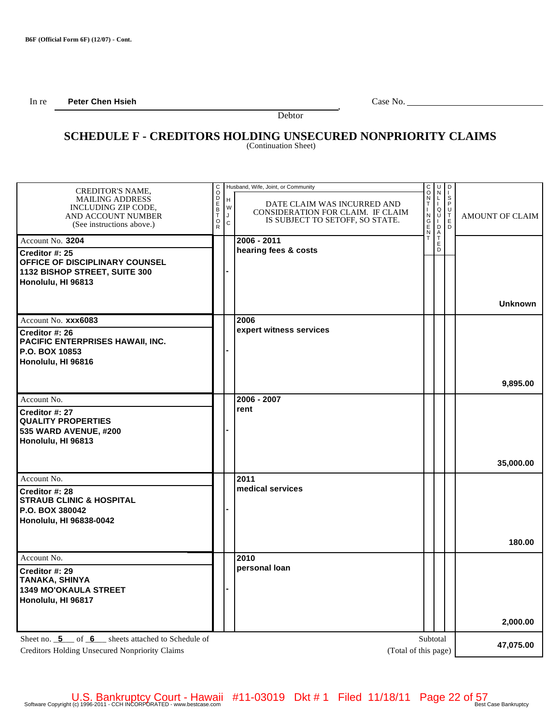**Peter Chen Hsieh Case No. 2008 Case No. 2008 Case No. 2008 Case No. 2008 Case No. 2008 Case No. 2008 Case No. 2009 Case No. 2009 Case No. 2009 Case No. 2009 Case No. 2009 Case No. 2009 Case No. 2009 Case No. 2009 Case No.** 

Debtor

,

## **SCHEDULE F - CREDITORS HOLDING UNSECURED NONPRIORITY CLAIMS** (Continuation Sheet)

C O D E B T O R CONT INGENT U N L I Q U I D A T E D D I S P U T E D Husband, Wife, Joint, or Community H W J C CREDITOR'S NAME, MAILING ADDRESS INCLUDING ZIP CODE, AND ACCOUNT NUMBER (See instructions above.) Account No. Account No. **xxx6083 2006** Account No. Account No. Account No. DATE CLAIM WAS INCURRED AND CONSIDERATION FOR CLAIM. IF CLAIM INSIDERATION FOR CLAIM. IF CLAIM  $\begin{bmatrix} \ddot{a} & \ddot{b} \\ \ddot{b} & \ddot{c} \end{bmatrix} \begin{bmatrix} \ddot{r} \\ \ddot{r} \end{bmatrix}$  AMOUNT OF CLAIM **3204 2006 - 2011 hearing fees & costs OFFICE OF DISCIPLINARY COUNSEL 1132 BISHOP STREET, SUITE 300 Honolulu, HI 96813 - Unknown expert witness services Creditor #: 26 PACIFIC ENTERPRISES HAWAII, INC. P.O. BOX 10853 Honolulu, HI 96816 - 9,895.00 2006 - 2007 Creditor #: 27 rent QUALITY PROPERTIES 535 WARD AVENUE, #200 Honolulu, HI 96813 - 35,000.00 2011 medical services Creditor #: 28 STRAUB CLINIC & HOSPITAL P.O. BOX 380042 Honolulu, HI 96838-0042 - 180.00 2010 personal loan creditor #: 29 personal loan TANAKA, SHINYA 1349 MO'OKAULA STREET Honolulu, HI 96817 - 2,000.00**

Sheet no.  $\frac{5}{5}$  of  $\frac{6}{5}$  sheets attached to Schedule of

Creditors Holding Unsecured Nonpriority Claims (Total of this page)

**47,075.00**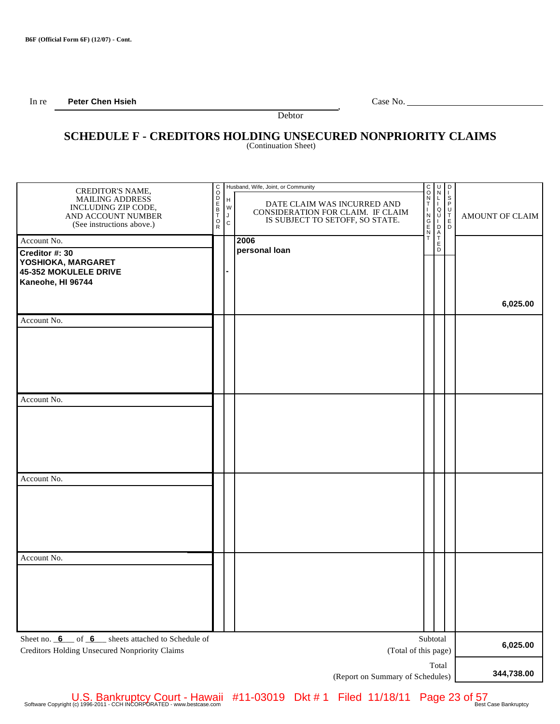**Peter Chen Hsieh Case No.** Case No.

Debtor

,

## **SCHEDULE F - CREDITORS HOLDING UNSECURED NONPRIORITY CLAIMS** (Continuation Sheet)

C O D E B T O R CONT INGENT U N L I Q U I D A T E D D I S P UT E D Husband, Wife, Joint, or Community H W J C CREDITOR'S NAME, MAILING ADDRESS INCLUDING ZIP CODE, AND ACCOUNT NUMBER (See instructions above.) Account No. Account No. Account No. Account No. Account No. Sheet no. <u>6 of 6 sheets</u> attached to Schedule of Subtotal Subtotal Subtotal Subtotal Subtotal Subtotal Subtotal Subtotal Subtotal Subtotal Subtotal Subtotal Subtotal Subtotal Subtotal Subtotal Subtotal Subtotal Subtotal S Creditors Holding Unsecured Nonpriority Claims (Total of this page) DATE CLAIM WAS INCURRED AND CONSIDERATION FOR CLAIM. IF CLAIM IS SUBJECT TO SETOFF, SO STATE.<br>IS SUBJECT TO SETOFF, SO STATE.  $\begin{bmatrix} \vdots \\ \vdots \\ \vdots \end{bmatrix} \begin{bmatrix} 1 \\ \vdots \\ \vdots \end{bmatrix}$  AMOUNT OF CLAIM **2006 personal loan** Creditor #: 30 **YOSHIOKA, MARGARET 45-352 MOKULELE DRIVE Kaneohe, HI 96744 - 6,025.00 6,025.00**

U.S. Bankruptcy Court - Hawaii #11-03019 Dkt # 1 Filed 11/18/11 Page 23 of 57<br>Software Copyright (c) 1996-2011 - CCH INCORPORATED - www.bestcase.com

**344,738.00**

Total

(Report on Summary of Schedules)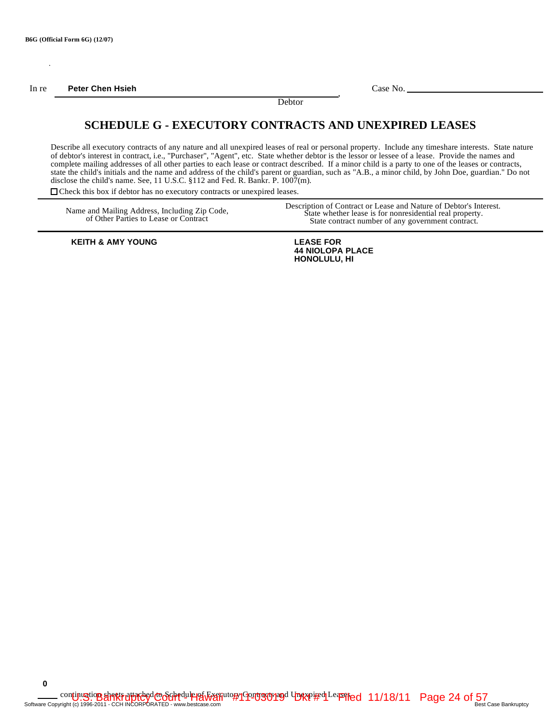**Peter Chen Hsieh Case No.** 2008 No. 2008 No. 2008 No. 2008 No. 2008 No. 2008 No. 2008 No. 2008 No. 2008 No. 2008 No. 2008 No. 2008 No. 2008 No. 2008 No. 2008 No. 2008 No. 2008 No. 2008 No. 2008 No. 2008 No. 2008 No. 2008

**Debtor** 

# **SCHEDULE G - EXECUTORY CONTRACTS AND UNEXPIRED LEASES**

Describe all executory contracts of any nature and all unexpired leases of real or personal property. Include any timeshare interests. State nature of debtor's interest in contract, i.e., "Purchaser", "Agent", etc. State whether debtor is the lessor or lessee of a lease. Provide the names and complete mailing addresses of all other parties to each lease or contract described. If a minor child is a party to one of the leases or contracts, state the child's initials and the name and address of the child's parent or guardian, such as "A.B., a minor child, by John Doe, guardian." Do not disclose the child's name. See, 11 U.S.C. §112 and Fed. R. Bankr. P. 1007(m).

Check this box if debtor has no executory contracts or unexpired leases.

Name and Mailing Address, Including Zip Code, of Other Parties to Lease or Contract

Description of Contract or Lease and Nature of Debtor's Interest. State whether lease is for nonresidential real property. State contract number of any government contract.

**KEITH & AMY YOUNG LEASE FOR**

**44 NIOLOPA PLACE HONOLULU, HI**

,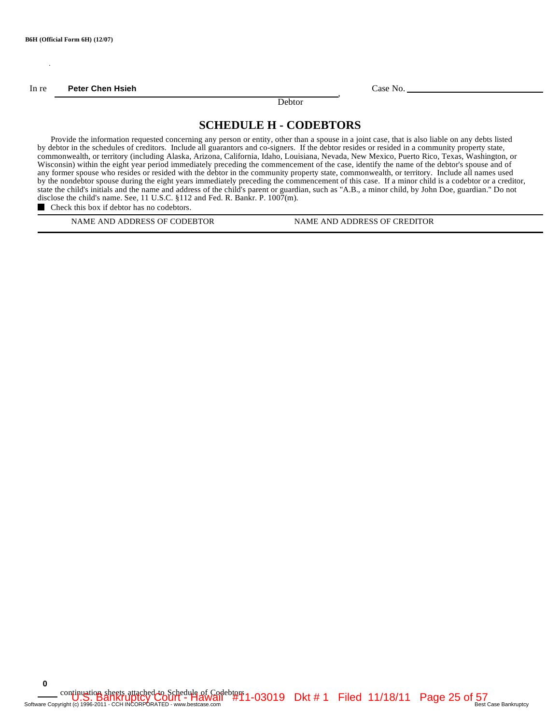In re **Peter Chen Hsieh Case No. 2008 No. 2008 No. 2008 No. 2008 No. 2008 No. 2008 No. 2008 No. 2008 No. 2008 No. 2008 No. 2008 No. 2008 No. 2008 No. 2008 No. 2008 No. 2008 No. 2009 No. 2008 No. 2009 No. 2008 No. 2009 No. 2008 N** 

**0**

Debtor

# **SCHEDULE H - CODEBTORS**

Provide the information requested concerning any person or entity, other than a spouse in a joint case, that is also liable on any debts listed by debtor in the schedules of creditors. Include all guarantors and co-signers. If the debtor resides or resided in a community property state, commonwealth, or territory (including Alaska, Arizona, California, Idaho, Louisiana, Nevada, New Mexico, Puerto Rico, Texas, Washington, or Wisconsin) within the eight year period immediately preceding the commencement of the case, identify the name of the debtor's spouse and of any former spouse who resides or resided with the debtor in the community property state, commonwealth, or territory. Include all names used by the nondebtor spouse during the eight years immediately preceding the commencement of this case. If a minor child is a codebtor or a creditor, state the child's initials and the name and address of the child's parent or guardian, such as "A.B., a minor child, by John Doe, guardian." Do not disclose the child's name. See, 11 U.S.C. §112 and Fed. R. Bankr. P. 1007(m).

Check this box if debtor has no codebtors.

NAME AND ADDRESS OF CODEBTOR NAME AND ADDRESS OF CREDITOR

,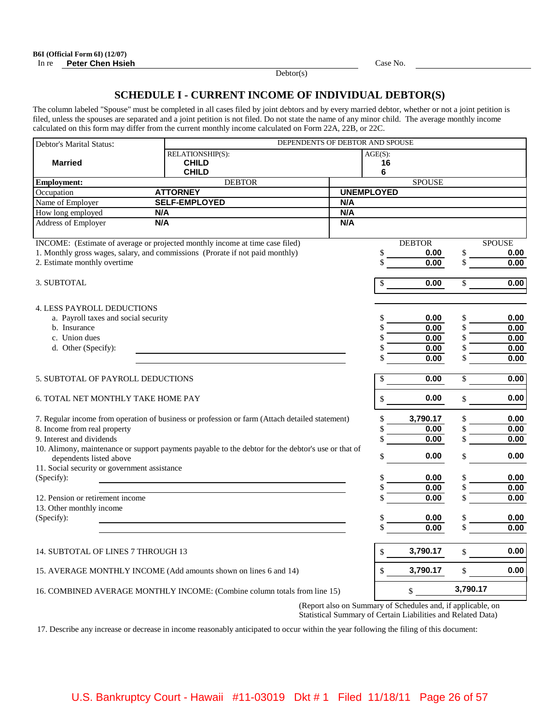Debtor(s)

## **SCHEDULE I - CURRENT INCOME OF INDIVIDUAL DEBTOR(S)**

The column labeled "Spouse" must be completed in all cases filed by joint debtors and by every married debtor, whether or not a joint petition is filed, unless the spouses are separated and a joint petition is not filed. Do not state the name of any minor child. The average monthly income calculated on this form may differ from the current monthly income calculated on Form 22A, 22B, or 22C.

| Debtor's Marital Status:                                     | DEPENDENTS OF DEBTOR AND SPOUSE                                                                    |     |                       |               |          |               |
|--------------------------------------------------------------|----------------------------------------------------------------------------------------------------|-----|-----------------------|---------------|----------|---------------|
| <b>Married</b>                                               | RELATIONSHIP(S):<br><b>CHILD</b><br><b>CHILD</b>                                                   |     | $AGE(S)$ :<br>16<br>6 |               |          |               |
| <b>Employment:</b>                                           | <b>DEBTOR</b>                                                                                      |     |                       | <b>SPOUSE</b> |          |               |
| Occupation                                                   | <b>ATTORNEY</b>                                                                                    |     | <b>UNEMPLOYED</b>     |               |          |               |
| Name of Employer                                             | <b>SELF-EMPLOYED</b>                                                                               | N/A |                       |               |          |               |
| How long employed<br>N/A                                     |                                                                                                    | N/A |                       |               |          |               |
| N/A<br><b>Address of Employer</b>                            |                                                                                                    | N/A |                       |               |          |               |
|                                                              | INCOME: (Estimate of average or projected monthly income at time case filed)                       |     |                       | <b>DEBTOR</b> |          | <b>SPOUSE</b> |
|                                                              | 1. Monthly gross wages, salary, and commissions (Prorate if not paid monthly)                      |     | \$                    | 0.00          | \$       | 0.00          |
| 2. Estimate monthly overtime                                 |                                                                                                    |     | \$                    | 0.00          | \$       | 0.00          |
| 3. SUBTOTAL                                                  |                                                                                                    |     |                       | 0.00          | \$       | 0.00          |
| <b>4. LESS PAYROLL DEDUCTIONS</b>                            |                                                                                                    |     |                       |               |          |               |
| a. Payroll taxes and social security                         |                                                                                                    |     | \$                    | 0.00          | \$       | 0.00          |
| b. Insurance                                                 |                                                                                                    |     |                       | 0.00          | \$       | 0.00          |
| c. Union dues                                                |                                                                                                    |     | S                     | 0.00          | \$       | 0.00          |
| d. Other (Specify):                                          |                                                                                                    |     |                       | 0.00          | \$       | 0.00          |
|                                                              |                                                                                                    |     |                       | 0.00          | \$       | 0.00          |
| 5. SUBTOTAL OF PAYROLL DEDUCTIONS                            |                                                                                                    |     |                       | 0.00          | \$       | 0.00          |
| <b>6. TOTAL NET MONTHLY TAKE HOME PAY</b>                    |                                                                                                    |     | \$                    | 0.00          | \$       | 0.00          |
|                                                              | 7. Regular income from operation of business or profession or farm (Attach detailed statement)     |     | \$                    | 3,790.17      | \$       | 0.00          |
| 8. Income from real property                                 |                                                                                                    |     | S                     | 0.00          |          | 0.00          |
| 9. Interest and dividends                                    |                                                                                                    |     | \$                    | 0.00          | \$       | 0.00          |
| dependents listed above                                      | 10. Alimony, maintenance or support payments payable to the debtor for the debtor's use or that of |     | \$                    | 0.00          | \$       | 0.00          |
| 11. Social security or government assistance                 |                                                                                                    |     |                       |               |          |               |
| (Specify):                                                   |                                                                                                    |     |                       | 0.00          | \$       | 0.00          |
|                                                              |                                                                                                    |     |                       | 0.00          | \$       | 0.00          |
| 12. Pension or retirement income<br>13. Other monthly income |                                                                                                    |     |                       | 0.00          |          | 0.00          |
| (Specify):                                                   |                                                                                                    |     |                       | 0.00          |          | 0.00          |
|                                                              |                                                                                                    |     |                       | 0.00          | \$       | 0.00          |
| 14. SUBTOTAL OF LINES 7 THROUGH 13                           |                                                                                                    |     | \$                    | 3,790.17      | \$       | 0.00          |
|                                                              | 15. AVERAGE MONTHLY INCOME (Add amounts shown on lines 6 and 14)                                   |     | \$                    | 3,790.17      | \$       | 0.00          |
|                                                              | 16. COMBINED AVERAGE MONTHLY INCOME: (Combine column totals from line 15)                          |     |                       | $\frac{1}{2}$ | 3,790.17 |               |

(Report also on Summary of Schedules and, if applicable, on Statistical Summary of Certain Liabilities and Related Data)

17. Describe any increase or decrease in income reasonably anticipated to occur within the year following the filing of this document: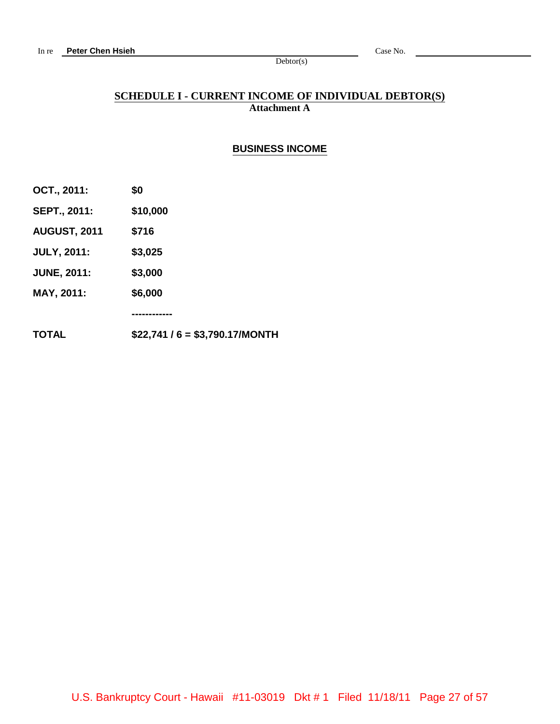# In re **Peter Chen Hsieh Case No.** Case No.

Debtor(s)

## **SCHEDULE I - CURRENT INCOME OF INDIVIDUAL DEBTOR(S) Attachment A**

# **BUSINESS INCOME**

- **OCT., 2011: \$0**
- **SEPT., 2011: \$10,000**
- **AUGUST, 2011 \$716**
- **JULY, 2011: \$3,025**
- **JUNE, 2011: \$3,000**
- **MAY, 2011: \$6,000**

**TOTAL \$22,741 / 6 = \$3,790.17/MONTH**

**------------**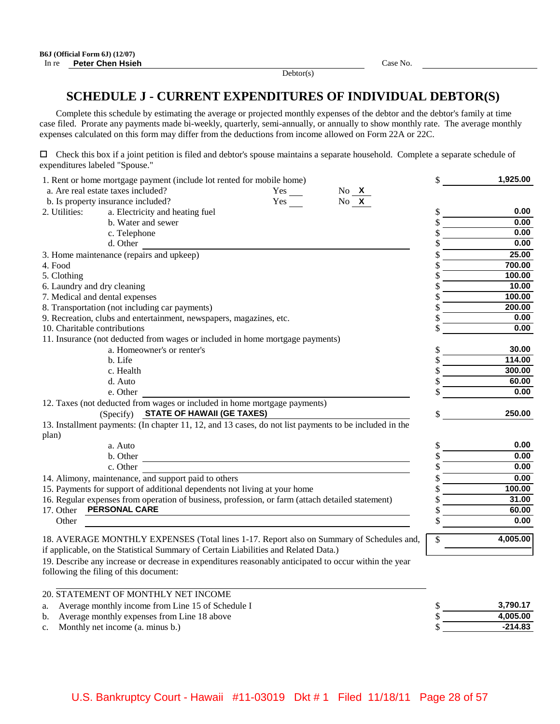Debtor(s)

# **SCHEDULE J - CURRENT EXPENDITURES OF INDIVIDUAL DEBTOR(S)**

Complete this schedule by estimating the average or projected monthly expenses of the debtor and the debtor's family at time case filed. Prorate any payments made bi-weekly, quarterly, semi-annually, or annually to show monthly rate. The average monthly expenses calculated on this form may differ from the deductions from income allowed on Form 22A or 22C.

 Check this box if a joint petition is filed and debtor's spouse maintains a separate household. Complete a separate schedule of expenditures labeled "Spouse."

|                                | 1. Rent or home mortgage payment (include lot rented for mobile home)                                  |                    |          | \$ | 1,925.00 |
|--------------------------------|--------------------------------------------------------------------------------------------------------|--------------------|----------|----|----------|
|                                | a. Are real estate taxes included?                                                                     | $Yes$ <sub>—</sub> | No X     |    |          |
|                                | b. Is property insurance included?                                                                     | Yes                | $No$ $X$ |    |          |
| 2. Utilities:                  | a. Electricity and heating fuel                                                                        |                    |          | \$ | 0.00     |
|                                | b. Water and sewer                                                                                     |                    |          | \$ | 0.00     |
|                                | c. Telephone                                                                                           |                    |          | \$ | 0.00     |
|                                | d. Other                                                                                               |                    |          | \$ | 0.00     |
|                                | 3. Home maintenance (repairs and upkeep)                                                               |                    |          |    | 25.00    |
| 4. Food                        |                                                                                                        |                    |          |    | 700.00   |
| 5. Clothing                    |                                                                                                        |                    |          | \$ | 100.00   |
| 6. Laundry and dry cleaning    |                                                                                                        |                    |          |    | 10.00    |
| 7. Medical and dental expenses |                                                                                                        |                    |          |    | 100.00   |
|                                | 8. Transportation (not including car payments)                                                         |                    |          | \$ | 200.00   |
|                                | 9. Recreation, clubs and entertainment, newspapers, magazines, etc.                                    |                    |          |    | 0.00     |
| 10. Charitable contributions   |                                                                                                        |                    |          | \$ | 0.00     |
|                                | 11. Insurance (not deducted from wages or included in home mortgage payments)                          |                    |          |    |          |
|                                | a. Homeowner's or renter's                                                                             |                    |          | \$ | 30.00    |
|                                | b. Life                                                                                                |                    |          | \$ | 114.00   |
|                                | c. Health                                                                                              |                    |          | \$ | 300.00   |
|                                | d. Auto                                                                                                |                    |          | \$ | 60.00    |
|                                | e. Other                                                                                               |                    |          | \$ | 0.00     |
|                                | 12. Taxes (not deducted from wages or included in home mortgage payments)                              |                    |          |    |          |
|                                | (Specify) STATE OF HAWAII (GE TAXES)                                                                   |                    |          | \$ | 250.00   |
|                                | 13. Installment payments: (In chapter 11, 12, and 13 cases, do not list payments to be included in the |                    |          |    |          |
| plan)                          |                                                                                                        |                    |          |    |          |
|                                | a. Auto                                                                                                |                    |          | \$ | 0.00     |
|                                | b. Other                                                                                               |                    |          | \$ | 0.00     |
|                                | c. Other                                                                                               |                    |          | \$ | 0.00     |
|                                | 14. Alimony, maintenance, and support paid to others                                                   |                    |          | \$ | 0.00     |
|                                | 15. Payments for support of additional dependents not living at your home                              |                    |          | \$ | 100.00   |
|                                | 16. Regular expenses from operation of business, profession, or farm (attach detailed statement)       |                    |          | \$ | 31.00    |
| 17. Other PERSONAL CARE        |                                                                                                        |                    |          | \$ | 60.00    |
| Other                          |                                                                                                        |                    |          |    | 0.00     |
|                                |                                                                                                        |                    |          |    |          |
|                                | 18. AVERAGE MONTHLY EXPENSES (Total lines 1-17. Report also on Summary of Schedules and,               |                    |          | \$ | 4,005.00 |
|                                | if applicable, on the Statistical Summary of Certain Liabilities and Related Data.)                    |                    |          |    |          |
|                                | 19. Describe any increase or decrease in expenditures reasonably anticipated to occur within the year  |                    |          |    |          |
|                                | following the filing of this document:                                                                 |                    |          |    |          |
|                                |                                                                                                        |                    |          |    |          |
|                                | 20. STATEMENT OF MONTHLY NET INCOME                                                                    |                    |          |    |          |
| a.                             | Average monthly income from Line 15 of Schedule I                                                      |                    |          | \$ | 3.790.17 |

b. Average monthly expenses from Line 18 above \$ **4,005.00**

c. Monthly net income (a. minus b.)  $\qquad \qquad$  **-214.83**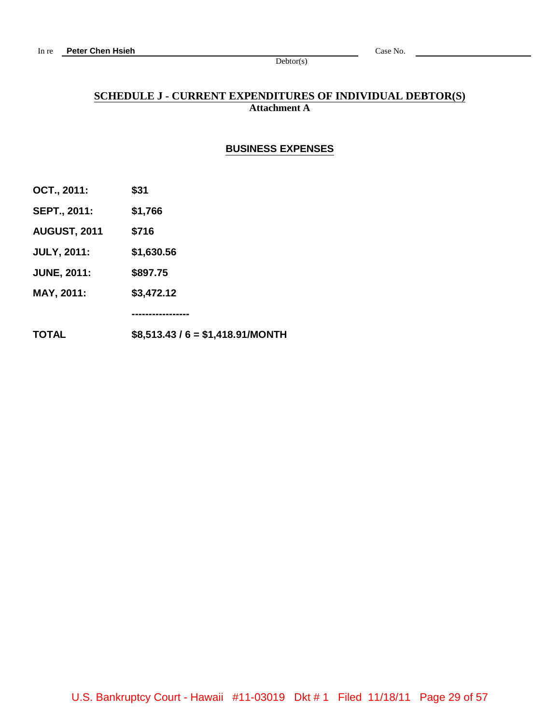Debtor(s)

## **SCHEDULE J - CURRENT EXPENDITURES OF INDIVIDUAL DEBTOR(S) Attachment A**

# **BUSINESS EXPENSES**

- **OCT., 2011: \$31**
- **SEPT., 2011: \$1,766**
- **AUGUST, 2011 \$716**
- **JULY, 2011: \$1,630.56**
- **JUNE, 2011: \$897.75**
- **MAY, 2011: \$3,472.12**

**TOTAL \$8,513.43 / 6 = \$1,418.91/MONTH**

**-----------------**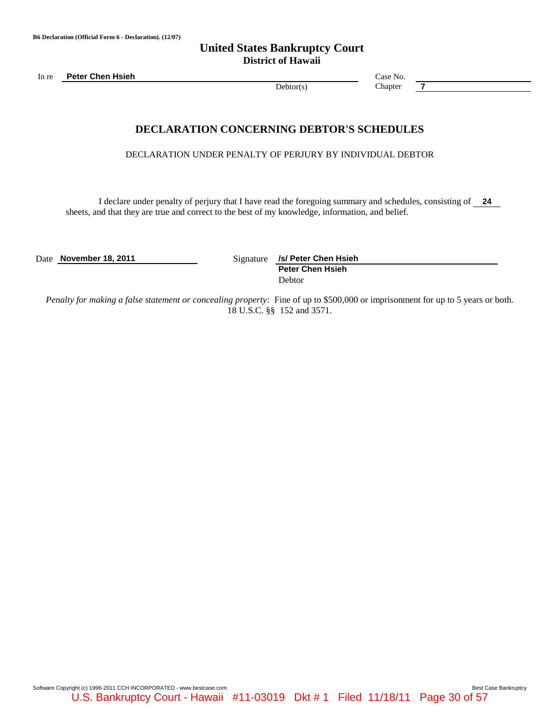## **United States Bankruptcy Court District of Hawaii**

In re **Peter Chen Hsieh** Case No.

Debtor(s) Chapter **7**

# **DECLARATION CONCERNING DEBTOR'S SCHEDULES**

DECLARATION UNDER PENALTY OF PERJURY BY INDIVIDUAL DEBTOR

I declare under penalty of perjury that I have read the foregoing summary and schedules, consisting of **24**  sheets, and that they are true and correct to the best of my knowledge, information, and belief.

Date **November 18, 2011** Signature **/s/ Peter Chen Hsieh** 

**Peter Chen Hsieh** Debtor

*Penalty for making a false statement or concealing property:* Fine of up to \$500,000 or imprisonment for up to 5 years or both. 18 U.S.C. §§ 152 and 3571.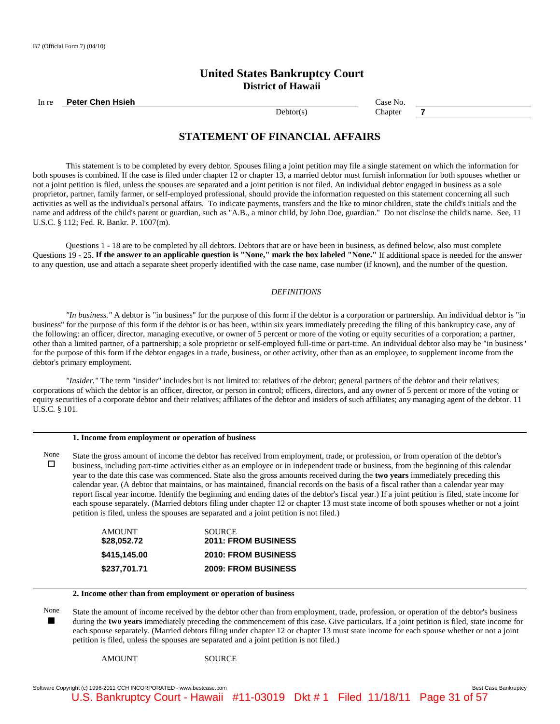## **United States Bankruptcy Court District of Hawaii**

In re **Peter Chen Hsieh** Case No.

Debtor(s) Chapter

## **STATEMENT OF FINANCIAL AFFAIRS**

This statement is to be completed by every debtor. Spouses filing a joint petition may file a single statement on which the information for both spouses is combined. If the case is filed under chapter 12 or chapter 13, a married debtor must furnish information for both spouses whether or not a joint petition is filed, unless the spouses are separated and a joint petition is not filed. An individual debtor engaged in business as a sole proprietor, partner, family farmer, or self-employed professional, should provide the information requested on this statement concerning all such activities as well as the individual's personal affairs. To indicate payments, transfers and the like to minor children, state the child's initials and the name and address of the child's parent or guardian, such as "A.B., a minor child, by John Doe, guardian." Do not disclose the child's name. See, 11 U.S.C. § 112; Fed. R. Bankr. P. 1007(m).

Questions 1 - 18 are to be completed by all debtors. Debtors that are or have been in business, as defined below, also must complete Questions 19 - 25. **If the answer to an applicable question is "None," mark the box labeled "None."** If additional space is needed for the answer to any question, use and attach a separate sheet properly identified with the case name, case number (if known), and the number of the question.

## *DEFINITIONS*

*"In business."* A debtor is "in business" for the purpose of this form if the debtor is a corporation or partnership. An individual debtor is "in business" for the purpose of this form if the debtor is or has been, within six years immediately preceding the filing of this bankruptcy case, any of the following: an officer, director, managing executive, or owner of 5 percent or more of the voting or equity securities of a corporation; a partner, other than a limited partner, of a partnership; a sole proprietor or self-employed full-time or part-time. An individual debtor also may be "in business" for the purpose of this form if the debtor engages in a trade, business, or other activity, other than as an employee, to supplement income from the debtor's primary employment.

*"Insider."* The term "insider" includes but is not limited to: relatives of the debtor; general partners of the debtor and their relatives; corporations of which the debtor is an officer, director, or person in control; officers, directors, and any owner of 5 percent or more of the voting or equity securities of a corporate debtor and their relatives; affiliates of the debtor and insiders of such affiliates; any managing agent of the debtor. 11 U.S.C. § 101.

## **1. Income from employment or operation of business**

None  $\Box$ State the gross amount of income the debtor has received from employment, trade, or profession, or from operation of the debtor's business, including part-time activities either as an employee or in independent trade or business, from the beginning of this calendar year to the date this case was commenced. State also the gross amounts received during the **two years** immediately preceding this calendar year. (A debtor that maintains, or has maintained, financial records on the basis of a fiscal rather than a calendar year may report fiscal year income. Identify the beginning and ending dates of the debtor's fiscal year.) If a joint petition is filed, state income for each spouse separately. (Married debtors filing under chapter 12 or chapter 13 must state income of both spouses whether or not a joint petition is filed, unless the spouses are separated and a joint petition is not filed.)

| <b>AMOUNT</b><br>\$28,052.72 | <b>SOURCE</b><br><b>2011: FROM BUSINESS</b> |
|------------------------------|---------------------------------------------|
| \$415,145,00                 | <b>2010: FROM BUSINESS</b>                  |
| \$237.701.71                 | <b>2009: FROM BUSINESS</b>                  |

## **2. Income other than from employment or operation of business**

None State the amount of income received by the debtor other than from employment, trade, profession, or operation of the debtor's business during the **two years** immediately preceding the commencement of this case. Give particulars. If a joint petition is filed, state income for each spouse separately. (Married debtors filing under chapter 12 or chapter 13 must state income for each spouse whether or not a joint petition is filed, unless the spouses are separated and a joint petition is not filed.)

### AMOUNT SOURCE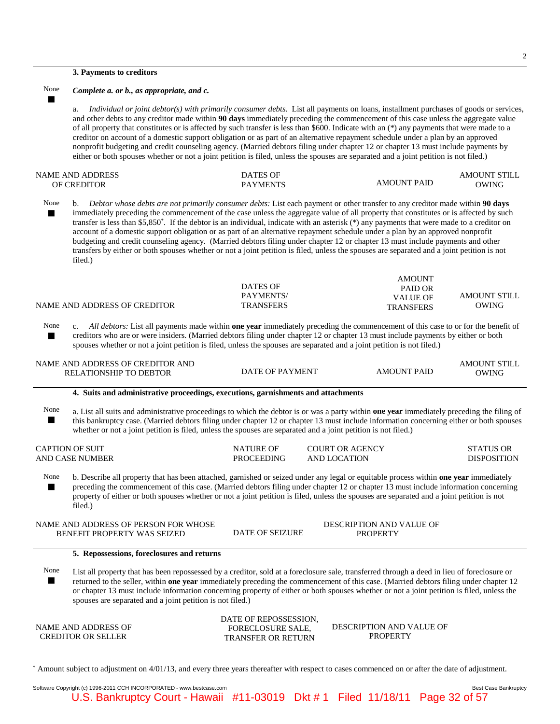### 2

#### **3. Payments to creditors**

#### None  $\blacksquare$ *Complete a. or b., as appropriate, and c.*

a. *Individual or joint debtor(s) with primarily consumer debts.* List all payments on loans, installment purchases of goods or services, and other debts to any creditor made within **90 days** immediately preceding the commencement of this case unless the aggregate value of all property that constitutes or is affected by such transfer is less than \$600. Indicate with an (\*) any payments that were made to a creditor on account of a domestic support obligation or as part of an alternative repayment schedule under a plan by an approved nonprofit budgeting and credit counseling agency. (Married debtors filing under chapter 12 or chapter 13 must include payments by either or both spouses whether or not a joint petition is filed, unless the spouses are separated and a joint petition is not filed.)

|  | <b>NAME AND ADDRESS</b><br>OF CREDITOR | <b>DATES OF</b><br><b>PAYMENTS</b> | AMOUNT PAID | <b>AMOUNT STILL</b><br>OWING |
|--|----------------------------------------|------------------------------------|-------------|------------------------------|
|--|----------------------------------------|------------------------------------|-------------|------------------------------|

None ш b. *Debtor whose debts are not primarily consumer debts:* List each payment or other transfer to any creditor made within **90 days** immediately preceding the commencement of the case unless the aggregate value of all property that constitutes or is affected by such transfer is less than \$5,850\* . If the debtor is an individual, indicate with an asterisk (\*) any payments that were made to a creditor on account of a domestic support obligation or as part of an alternative repayment schedule under a plan by an approved nonprofit budgeting and credit counseling agency. (Married debtors filing under chapter 12 or chapter 13 must include payments and other transfers by either or both spouses whether or not a joint petition is filed, unless the spouses are separated and a joint petition is not filed.)

|                              |                  | AMUUNT           |                     |
|------------------------------|------------------|------------------|---------------------|
|                              | <b>DATES OF</b>  | <b>PAID OR</b>   |                     |
|                              | PAYMENTS/        | <b>VALUE OF</b>  | <b>AMOUNT STILL</b> |
| NAME AND ADDRESS OF CREDITOR | <b>TRANSFERS</b> | <b>TRANSFERS</b> | OWING               |
|                              |                  |                  |                     |

 $\overline{\mathbf{A}}$ 

 $\overline{\mathbf{A}}$ 

None  $\blacksquare$ c. *All debtors:* List all payments made within **one year** immediately preceding the commencement of this case to or for the benefit of creditors who are or were insiders. (Married debtors filing under chapter 12 or chapter 13 must include payments by either or both spouses whether or not a joint petition is filed, unless the spouses are separated and a joint petition is not filed.)

|           | NAME AND ADDRESS OF CREDITOR AND<br><b>RELATIONSHIP TO DEBTOR</b>                                                                                                                                                                                                                                                                                                                                                                                                                                     | <b>DATE OF PAYMENT</b>                                                         |                                               | <b>AMOUNT PAID</b>                                 | <b>AMOUNT STILL</b><br><b>OWING</b>    |
|-----------|-------------------------------------------------------------------------------------------------------------------------------------------------------------------------------------------------------------------------------------------------------------------------------------------------------------------------------------------------------------------------------------------------------------------------------------------------------------------------------------------------------|--------------------------------------------------------------------------------|-----------------------------------------------|----------------------------------------------------|----------------------------------------|
|           | 4. Suits and administrative proceedings, executions, garnishments and attachments                                                                                                                                                                                                                                                                                                                                                                                                                     |                                                                                |                                               |                                                    |                                        |
| None<br>п | a. List all suits and administrative proceedings to which the debtor is or was a party within <b>one year</b> immediately preceding the filing of<br>this bankruptcy case. (Married debtors filing under chapter 12 or chapter 13 must include information concerning either or both spouses<br>whether or not a joint petition is filed, unless the spouses are separated and a joint petition is not filed.)                                                                                        |                                                                                |                                               |                                                    |                                        |
|           | <b>CAPTION OF SUIT</b><br><b>AND CASE NUMBER</b>                                                                                                                                                                                                                                                                                                                                                                                                                                                      | <b>NATURE OF</b><br><b>PROCEEDING</b>                                          | <b>COURT OR AGENCY</b><br><b>AND LOCATION</b> |                                                    | <b>STATUS OR</b><br><b>DISPOSITION</b> |
| None<br>H | b. Describe all property that has been attached, garnished or seized under any legal or equitable process within one year immediately<br>preceding the commencement of this case. (Married debtors filing under chapter 12 or chapter 13 must include information concerning<br>property of either or both spouses whether or not a joint petition is filed, unless the spouses are separated and a joint petition is not<br>filed.)                                                                  |                                                                                |                                               |                                                    |                                        |
|           | NAME AND ADDRESS OF PERSON FOR WHOSE<br>BENEFIT PROPERTY WAS SEIZED                                                                                                                                                                                                                                                                                                                                                                                                                                   | <b>DATE OF SEIZURE</b>                                                         |                                               | <b>DESCRIPTION AND VALUE OF</b><br><b>PROPERTY</b> |                                        |
|           | 5. Repossessions, foreclosures and returns                                                                                                                                                                                                                                                                                                                                                                                                                                                            |                                                                                |                                               |                                                    |                                        |
| None<br>п | List all property that has been repossessed by a creditor, sold at a foreclosure sale, transferred through a deed in lieu of foreclosure or<br>returned to the seller, within <b>one year</b> immediately preceding the commencement of this case. (Married debtors filing under chapter 12<br>or chapter 13 must include information concerning property of either or both spouses whether or not a joint petition is filed, unless the<br>spouses are separated and a joint petition is not filed.) |                                                                                |                                               |                                                    |                                        |
|           | <b>NAME AND ADDRESS OF</b><br><b>CREDITOR OR SELLER</b>                                                                                                                                                                                                                                                                                                                                                                                                                                               | DATE OF REPOSSESSION,<br><b>FORECLOSURE SALE,</b><br><b>TRANSFER OR RETURN</b> |                                               | <b>DESCRIPTION AND VALUE OF</b><br><b>PROPERTY</b> |                                        |
|           | * Amount subject to adjustment on 4/01/13, and every three years thereafter with respect to cases commenced on or after the date of adjustment.                                                                                                                                                                                                                                                                                                                                                       |                                                                                |                                               |                                                    |                                        |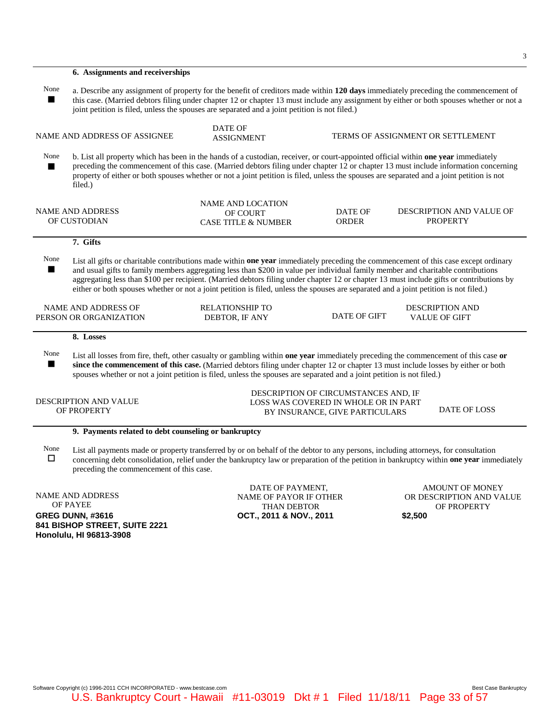|  | Ξ<br>v.<br>۰.<br>٠<br>- |
|--|-------------------------|

|                        |                                                                                                                                                                    | joint petition is filed, unless the spouses are separated and a joint petition is not filed.)                                                                                                                                                                                                                                                                                                                                                                                                                                                                |                                                                              |                                                                                                                                                                                                                         |
|------------------------|--------------------------------------------------------------------------------------------------------------------------------------------------------------------|--------------------------------------------------------------------------------------------------------------------------------------------------------------------------------------------------------------------------------------------------------------------------------------------------------------------------------------------------------------------------------------------------------------------------------------------------------------------------------------------------------------------------------------------------------------|------------------------------------------------------------------------------|-------------------------------------------------------------------------------------------------------------------------------------------------------------------------------------------------------------------------|
|                        | NAME AND ADDRESS OF ASSIGNEE                                                                                                                                       | DATE OF<br><b>ASSIGNMENT</b>                                                                                                                                                                                                                                                                                                                                                                                                                                                                                                                                 |                                                                              | TERMS OF ASSIGNMENT OR SETTLEMENT                                                                                                                                                                                       |
| None<br>$\blacksquare$ | filed.)                                                                                                                                                            | b. List all property which has been in the hands of a custodian, receiver, or court-appointed official within one year immediately<br>property of either or both spouses whether or not a joint petition is filed, unless the spouses are separated and a joint petition is not                                                                                                                                                                                                                                                                              |                                                                              | preceding the commencement of this case. (Married debtors filing under chapter 12 or chapter 13 must include information concerning                                                                                     |
|                        | <b>NAME AND ADDRESS</b><br>OF CUSTODIAN                                                                                                                            | <b>NAME AND LOCATION</b><br>OF COURT<br><b>CASE TITLE &amp; NUMBER</b>                                                                                                                                                                                                                                                                                                                                                                                                                                                                                       | <b>DATE OF</b><br><b>ORDER</b>                                               | DESCRIPTION AND VALUE OF<br><b>PROPERTY</b>                                                                                                                                                                             |
|                        | 7. Gifts                                                                                                                                                           |                                                                                                                                                                                                                                                                                                                                                                                                                                                                                                                                                              |                                                                              |                                                                                                                                                                                                                         |
| None<br>$\blacksquare$ |                                                                                                                                                                    | List all gifts or charitable contributions made within one year immediately preceding the commencement of this case except ordinary<br>and usual gifts to family members aggregating less than \$200 in value per individual family member and charitable contributions<br>aggregating less than \$100 per recipient. (Married debtors filing under chapter 12 or chapter 13 must include gifts or contributions by<br>either or both spouses whether or not a joint petition is filed, unless the spouses are separated and a joint petition is not filed.) |                                                                              |                                                                                                                                                                                                                         |
|                        | <b>NAME AND ADDRESS OF</b><br>PERSON OR ORGANIZATION                                                                                                               | <b>RELATIONSHIP TO</b><br>DEBTOR, IF ANY                                                                                                                                                                                                                                                                                                                                                                                                                                                                                                                     | <b>DATE OF GIFT</b>                                                          | <b>DESCRIPTION AND</b><br><b>VALUE OF GIFT</b>                                                                                                                                                                          |
| None<br>ш              | 8. Losses<br>DESCRIPTION AND VALUE                                                                                                                                 | List all losses from fire, theft, other casualty or gambling within one year immediately preceding the commencement of this case or<br>since the commencement of this case. (Married debtors filing under chapter 12 or chapter 13 must include losses by either or both<br>spouses whether or not a joint petition is filed, unless the spouses are separated and a joint petition is not filed.)                                                                                                                                                           | DESCRIPTION OF CIRCUMSTANCES AND, IF<br>LOSS WAS COVERED IN WHOLE OR IN PART |                                                                                                                                                                                                                         |
|                        | OF PROPERTY                                                                                                                                                        |                                                                                                                                                                                                                                                                                                                                                                                                                                                                                                                                                              | BY INSURANCE, GIVE PARTICULARS                                               | DATE OF LOSS                                                                                                                                                                                                            |
| None<br>$\Box$         | 9. Payments related to debt counseling or bankruptcy<br>preceding the commencement of this case.<br><b>NAME AND ADDRESS</b><br>OF PAYEE<br><b>GREG DUNN, #3616</b> | List all payments made or property transferred by or on behalf of the debtor to any persons, including attorneys, for consultation<br>DATE OF PAYMENT,<br>NAME OF PAYOR IF OTHER<br><b>THAN DEBTOR</b><br>OCT., 2011 & NOV., 2011                                                                                                                                                                                                                                                                                                                            |                                                                              | concerning debt consolidation, relief under the bankruptcy law or preparation of the petition in bankruptcy within one year immediately<br><b>AMOUNT OF MONEY</b><br>OR DESCRIPTION AND VALUE<br>OF PROPERTY<br>\$2,500 |
|                        | 841 BISHOP STREET, SUITE 2221<br>Honolulu, HI 96813-3908                                                                                                           |                                                                                                                                                                                                                                                                                                                                                                                                                                                                                                                                                              |                                                                              |                                                                                                                                                                                                                         |

a. Describe any assignment of property for the benefit of creditors made within **120 days** immediately preceding the commencement of this case. (Married debtors filing under chapter 12 or chapter 13 must include any assignment by either or both spouses whether or not a

None  $\blacksquare$ 

**6. Assignments and receiverships**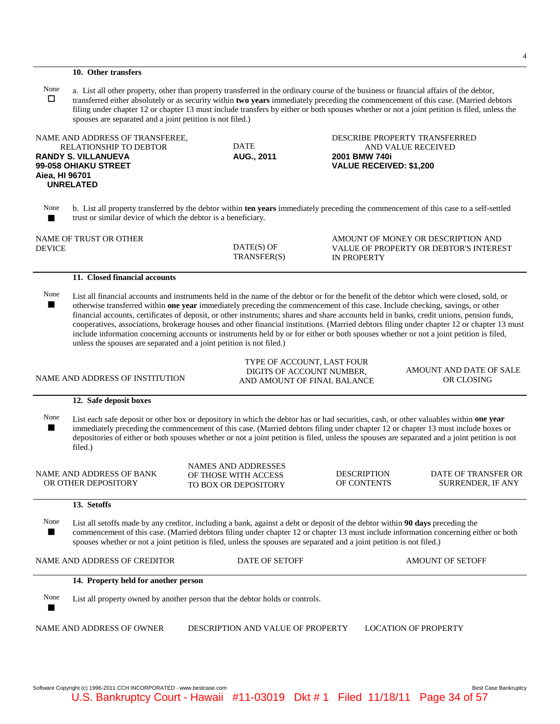### **10. Other transfers**

| None | a. List all other property, other than property transferred in the ordinary course of the business or financial affairs of the debtor,      |
|------|---------------------------------------------------------------------------------------------------------------------------------------------|
|      | transferred either absolutely or as security within <b>two years</b> immediately preceding the commencement of this case. (Married debtors  |
|      | filing under chapter 12 or chapter 13 must include transfers by either or both spouses whether or not a joint petition is filed, unless the |
|      | spouses are separated and a joint petition is not filed.)                                                                                   |

| NAME AND ADDRESS OF TRANSFEREE,<br>RELATIONSHIP TO DEBTOR<br><b>RANDY S. VILLANUEVA</b><br>99-058 OHIAKU STREET<br>Aiea, HI 96701<br><b>UNRELATED</b> | <b>DATE</b><br><b>AUG., 2011</b> | DESCRIBE PROPERTY TRANSFERRED<br>AND VALUE RECEIVED<br>2001 BMW 740i<br><b>VALUE RECEIVED: \$1,200</b>                                  |
|-------------------------------------------------------------------------------------------------------------------------------------------------------|----------------------------------|-----------------------------------------------------------------------------------------------------------------------------------------|
| None<br>trust or similar device of which the debtor is a beneficiary.                                                                                 |                                  | b. List all property transferred by the debtor within ten years immediately preceding the commencement of this case to a self-settled   |
| NAME OF TRUST OR OTHER<br><b>DEVICE</b>                                                                                                               | DATE(S) OF<br>TRANSFER(S)        | AMOUNT OF MONEY OR DESCRIPTION AND<br>VALUE OF PROPERTY OR DEBTOR'S INTEREST<br>IN PROPERTY                                             |
| 11. Closed financial accounts<br>None                                                                                                                 |                                  | List all financial accounts and instruments held in the name of the debtor or for the benefit of the debtor which were closed, sold, or |

۳ otherwise transferred within **one year** immediately preceding the commencement of this case. Include checking, savings, or other financial accounts, certificates of deposit, or other instruments; shares and share accounts held in banks, credit unions, pension funds, cooperatives, associations, brokerage houses and other financial institutions. (Married debtors filing under chapter 12 or chapter 13 must include information concerning accounts or instruments held by or for either or both spouses whether or not a joint petition is filed, unless the spouses are separated and a joint petition is not filed.)

|                                           | NAME AND ADDRESS OF INSTITUTION                                                                                                                                                                                                                                                                                                                                                                                                    | TYPE OF ACCOUNT, LAST FOUR<br>DIGITS OF ACCOUNT NUMBER,<br>AND AMOUNT OF FINAL BALANCE | AMOUNT AND DATE OF SALE<br>OR CLOSING |
|-------------------------------------------|------------------------------------------------------------------------------------------------------------------------------------------------------------------------------------------------------------------------------------------------------------------------------------------------------------------------------------------------------------------------------------------------------------------------------------|----------------------------------------------------------------------------------------|---------------------------------------|
| 12. Safe deposit boxes<br>None<br>filed.) | List each safe deposit or other box or depository in which the debtor has or had securities, cash, or other valuables within <b>one year</b><br>immediately preceding the commencement of this case. (Married debtors filing under chapter 12 or chapter 13 must include boxes or<br>depositories of either or both spouses whether or not a joint petition is filed, unless the spouses are separated and a joint petition is not |                                                                                        |                                       |

| NAME AND ADDRESS OF BANK<br><b>DESCRIPTION</b><br>OF THOSE WITH ACCESS<br>OF CONTENTS<br>OR OTHER DEPOSITORY<br>TO BOX OR DEPOSITORY |  | NAMES AND ADDRESSES |  | DATE OF TRANSFER OR<br><b>SURRENDER, IF ANY</b> |
|--------------------------------------------------------------------------------------------------------------------------------------|--|---------------------|--|-------------------------------------------------|
|--------------------------------------------------------------------------------------------------------------------------------------|--|---------------------|--|-------------------------------------------------|

### **13. Setoffs**

None ш List all setoffs made by any creditor, including a bank, against a debt or deposit of the debtor within **90 days** preceding the commencement of this case. (Married debtors filing under chapter 12 or chapter 13 must include information concerning either or both spouses whether or not a joint petition is filed, unless the spouses are separated and a joint petition is not filed.)

|      | NAME AND ADDRESS OF CREDITOR         | DATE OF SETOFF                                                               | <b>AMOUNT OF SETOFF</b> |
|------|--------------------------------------|------------------------------------------------------------------------------|-------------------------|
|      | 14. Property held for another person |                                                                              |                         |
| None |                                      | List all property owned by another person that the debtor holds or controls. |                         |
|      | NAME AND ADDRESS OF OWNER            | DESCRIPTION AND VALUE OF PROPERTY                                            | LOCATION OF PROPERTY    |
|      |                                      |                                                                              |                         |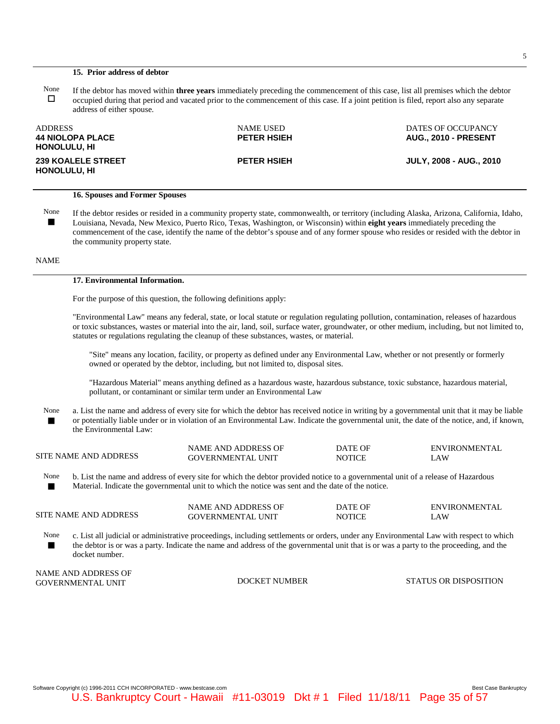### **15. Prior address of debtor**

None  $\Box$ If the debtor has moved within **three years** immediately preceding the commencement of this case, list all premises which the debtor occupied during that period and vacated prior to the commencement of this case. If a joint petition is filed, report also any separate address of either spouse.

| <b>ADDRESS</b><br><b>44 NIOLOPA PLACE</b><br><b>HONOLULU, HI</b> | NAME USED<br><b>PETER HSIEH</b> | DATES OF OCCUPANCY<br><b>AUG., 2010 - PRESENT</b> |
|------------------------------------------------------------------|---------------------------------|---------------------------------------------------|
| <b>239 KOALELE STREET</b><br><b>HONOLULU, HI</b>                 | <b>PETER HSIEH</b>              | JULY, 2008 - AUG., 2010                           |

### **16. Spouses and Former Spouses**

None If the debtor resides or resided in a community property state, commonwealth, or territory (including Alaska, Arizona, California, Idaho, Louisiana, Nevada, New Mexico, Puerto Rico, Texas, Washington, or Wisconsin) within **eight years** immediately preceding the commencement of the case, identify the name of the debtor's spouse and of any former spouse who resides or resided with the debtor in the community property state.

### NAME

## **17. Environmental Information.**

For the purpose of this question, the following definitions apply:

"Environmental Law" means any federal, state, or local statute or regulation regulating pollution, contamination, releases of hazardous or toxic substances, wastes or material into the air, land, soil, surface water, groundwater, or other medium, including, but not limited to, statutes or regulations regulating the cleanup of these substances, wastes, or material.

"Site" means any location, facility, or property as defined under any Environmental Law, whether or not presently or formerly owned or operated by the debtor, including, but not limited to, disposal sites.

"Hazardous Material" means anything defined as a hazardous waste, hazardous substance, toxic substance, hazardous material, pollutant, or contaminant or similar term under an Environmental Law

None a. List the name and address of every site for which the debtor has received notice in writing by a governmental unit that it may be liable or potentially liable under or in violation of an Environmental Law. Indicate the governmental unit, the date of the notice, and, if known, the Environmental Law:

|                       | <b>NAME AND ADDRESS OF</b> | DATE                        | <b>ENVIRONMENTAL</b> |
|-----------------------|----------------------------|-----------------------------|----------------------|
| SITE NAME AND ADDRESS | <b>GOVERNMENTAL UNIT</b>   | $\Lambda$ OTIC <sup>T</sup> |                      |

None  $\blacksquare$ b. List the name and address of every site for which the debtor provided notice to a governmental unit of a release of Hazardous Material. Indicate the governmental unit to which the notice was sent and the date of the notice.

|                       | NAME AND ADDRESS OF      | DATE OF       | <b>ENVIRONMENTAL</b> |
|-----------------------|--------------------------|---------------|----------------------|
| SITE NAME AND ADDRESS | <b>GOVERNMENTAL UNIT</b> | <b>NOTICE</b> | . AW                 |

None  $\blacksquare$ c. List all judicial or administrative proceedings, including settlements or orders, under any Environmental Law with respect to which the debtor is or was a party. Indicate the name and address of the governmental unit that is or was a party to the proceeding, and the docket number.

NAME AND ADDRESS OF GOVERNMENTAL UNIT DOCKET NUMBER STATUS OR DISPOSITION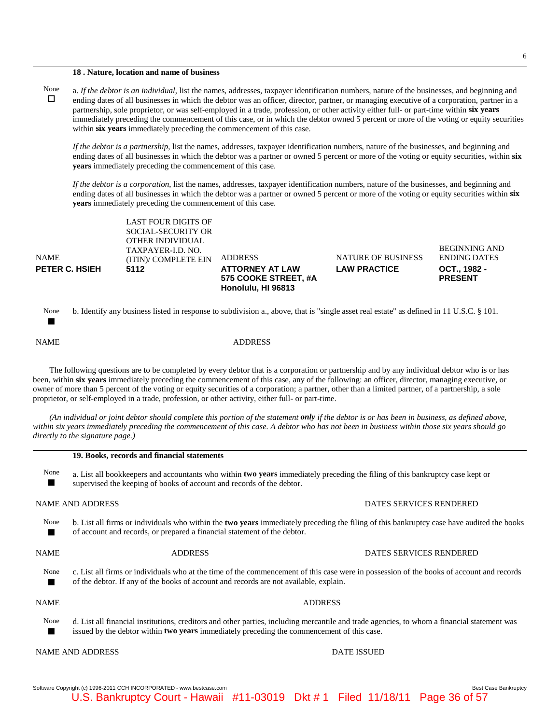### **18 . Nature, location and name of business**

**19. Books, records and financial statements**

None  $\Box$ a. *If the debtor is an individual*, list the names, addresses, taxpayer identification numbers, nature of the businesses, and beginning and ending dates of all businesses in which the debtor was an officer, director, partner, or managing executive of a corporation, partner in a partnership, sole proprietor, or was self-employed in a trade, profession, or other activity either full- or part-time within **six years** immediately preceding the commencement of this case, or in which the debtor owned 5 percent or more of the voting or equity securities within **six years** immediately preceding the commencement of this case.

*If the debtor is a partnership*, list the names, addresses, taxpayer identification numbers, nature of the businesses, and beginning and ending dates of all businesses in which the debtor was a partner or owned 5 percent or more of the voting or equity securities, within **six years** immediately preceding the commencement of this case.

*If the debtor is a corporation*, list the names, addresses, taxpayer identification numbers, nature of the businesses, and beginning and ending dates of all businesses in which the debtor was a partner or owned 5 percent or more of the voting or equity securities within **six years** immediately preceding the commencement of this case.

|                | <b>LAST FOUR DIGITS OF</b><br><b>SOCIAL-SECURITY OR</b> |                                                                      |                     |                                |
|----------------|---------------------------------------------------------|----------------------------------------------------------------------|---------------------|--------------------------------|
|                | OTHER INDIVIDUAL                                        |                                                                      |                     | <b>BEGINNING AND</b>           |
| <b>NAME</b>    | TAXPAYER-I.D. NO.<br>(ITIN)/ COMPLETE EIN               | <b>ADDRESS</b>                                                       | NATURE OF BUSINESS  | <b>ENDING DATES</b>            |
| PETER C. HSIEH | 5112                                                    | <b>ATTORNEY AT LAW</b><br>575 COOKE STREET, #A<br>Honolulu, HI 96813 | <b>LAW PRACTICE</b> | OCT., 1982 -<br><b>PRESENT</b> |

None b. Identify any business listed in response to subdivision a., above, that is "single asset real estate" as defined in 11 U.S.C. § 101.

NAME ADDRESS

The following questions are to be completed by every debtor that is a corporation or partnership and by any individual debtor who is or has been, within **six years** immediately preceding the commencement of this case, any of the following: an officer, director, managing executive, or owner of more than 5 percent of the voting or equity securities of a corporation; a partner, other than a limited partner, of a partnership, a sole proprietor, or self-employed in a trade, profession, or other activity, either full- or part-time.

*(An individual or joint debtor should complete this portion of the statement only if the debtor is or has been in business, as defined above, within six years immediately preceding the commencement of this case. A debtor who has not been in business within those six years should go directly to the signature page.)*

|           | 19. Doors, records and imancial statements                                                        |                                                                                                                                             |
|-----------|---------------------------------------------------------------------------------------------------|---------------------------------------------------------------------------------------------------------------------------------------------|
| None<br>п | supervised the keeping of books of account and records of the debtor.                             | a. List all bookkeepers and accountants who within <b>two years</b> immediately preceding the filing of this bankruptcy case kept or        |
|           | NAME AND ADDRESS                                                                                  | <b>DATES SERVICES RENDERED</b>                                                                                                              |
| None<br>п | of account and records, or prepared a financial statement of the debtor.                          | b. List all firms or individuals who within the two years immediately preceding the filing of this bankruptcy case have audited the books   |
| NAME      | <b>ADDRESS</b>                                                                                    | <b>DATES SERVICES RENDERED</b>                                                                                                              |
| None<br>п | of the debtor. If any of the books of account and records are not available, explain.             | c. List all firms or individuals who at the time of the commencement of this case were in possession of the books of account and records    |
| NAME      |                                                                                                   | <b>ADDRESS</b>                                                                                                                              |
| None<br>п | issued by the debtor within <b>two years</b> immediately preceding the commencement of this case. | d. List all financial institutions, creditors and other parties, including mercantile and trade agencies, to whom a financial statement was |
|           | NAME AND ADDRESS                                                                                  | <b>DATE ISSUED</b>                                                                                                                          |
|           |                                                                                                   |                                                                                                                                             |

Software Copyright (c) 1996-2011 CCH INCORPORATED - www.bestcase.com **Best Case Bankruptcy** Best Case Bankruptcy U.S. Bankruptcy Court - Hawaii #11-03019 Dkt # 1 Filed 11/18/11 Page 36 of 57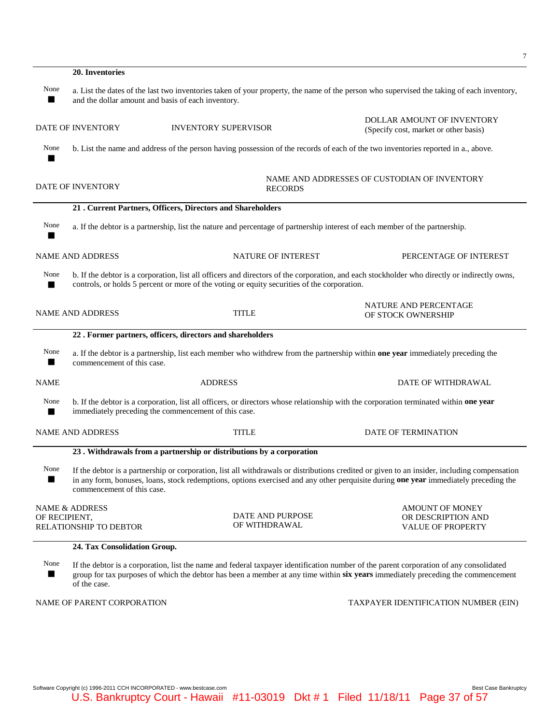7

|                                                                                                                                                                                                                                              | 20. Inventories                                                                                                                                                                                                                                                                                                    |                                                                                             |                                   |                                                                                                                                                                                                                                                                            |
|----------------------------------------------------------------------------------------------------------------------------------------------------------------------------------------------------------------------------------------------|--------------------------------------------------------------------------------------------------------------------------------------------------------------------------------------------------------------------------------------------------------------------------------------------------------------------|---------------------------------------------------------------------------------------------|-----------------------------------|----------------------------------------------------------------------------------------------------------------------------------------------------------------------------------------------------------------------------------------------------------------------------|
| None<br><b>In the contract of the contract of the contract of the contract of the contract of the contract of the contract of the contract of the contract of the contract of the contract of the contract of the contract of the contra</b> |                                                                                                                                                                                                                                                                                                                    | and the dollar amount and basis of each inventory.                                          |                                   | a. List the dates of the last two inventories taken of your property, the name of the person who supervised the taking of each inventory,                                                                                                                                  |
|                                                                                                                                                                                                                                              | DATE OF INVENTORY                                                                                                                                                                                                                                                                                                  | <b>INVENTORY SUPERVISOR</b>                                                                 |                                   | DOLLAR AMOUNT OF INVENTORY<br>(Specify cost, market or other basis)                                                                                                                                                                                                        |
| None                                                                                                                                                                                                                                         |                                                                                                                                                                                                                                                                                                                    |                                                                                             |                                   | b. List the name and address of the person having possession of the records of each of the two inventories reported in a., above.                                                                                                                                          |
|                                                                                                                                                                                                                                              | <b>DATE OF INVENTORY</b>                                                                                                                                                                                                                                                                                           |                                                                                             | <b>RECORDS</b>                    | NAME AND ADDRESSES OF CUSTODIAN OF INVENTORY                                                                                                                                                                                                                               |
|                                                                                                                                                                                                                                              |                                                                                                                                                                                                                                                                                                                    | 21. Current Partners, Officers, Directors and Shareholders                                  |                                   |                                                                                                                                                                                                                                                                            |
| None<br><b>The Second Service</b>                                                                                                                                                                                                            |                                                                                                                                                                                                                                                                                                                    |                                                                                             |                                   | a. If the debtor is a partnership, list the nature and percentage of partnership interest of each member of the partnership.                                                                                                                                               |
|                                                                                                                                                                                                                                              | <b>NAME AND ADDRESS</b>                                                                                                                                                                                                                                                                                            |                                                                                             | <b>NATURE OF INTEREST</b>         | PERCENTAGE OF INTEREST                                                                                                                                                                                                                                                     |
| None<br>ш                                                                                                                                                                                                                                    |                                                                                                                                                                                                                                                                                                                    | controls, or holds 5 percent or more of the voting or equity securities of the corporation. |                                   | b. If the debtor is a corporation, list all officers and directors of the corporation, and each stockholder who directly or indirectly owns,                                                                                                                               |
|                                                                                                                                                                                                                                              | <b>NAME AND ADDRESS</b>                                                                                                                                                                                                                                                                                            | <b>TITLE</b>                                                                                |                                   | NATURE AND PERCENTAGE<br>OF STOCK OWNERSHIP                                                                                                                                                                                                                                |
|                                                                                                                                                                                                                                              |                                                                                                                                                                                                                                                                                                                    | 22. Former partners, officers, directors and shareholders                                   |                                   |                                                                                                                                                                                                                                                                            |
| None<br>ш                                                                                                                                                                                                                                    | commencement of this case.                                                                                                                                                                                                                                                                                         |                                                                                             |                                   | a. If the debtor is a partnership, list each member who withdrew from the partnership within one year immediately preceding the                                                                                                                                            |
| <b>NAME</b>                                                                                                                                                                                                                                  |                                                                                                                                                                                                                                                                                                                    | <b>ADDRESS</b>                                                                              |                                   | DATE OF WITHDRAWAL                                                                                                                                                                                                                                                         |
| None<br>H                                                                                                                                                                                                                                    |                                                                                                                                                                                                                                                                                                                    | immediately preceding the commencement of this case.                                        |                                   | b. If the debtor is a corporation, list all officers, or directors whose relationship with the corporation terminated within one year                                                                                                                                      |
|                                                                                                                                                                                                                                              | <b>NAME AND ADDRESS</b>                                                                                                                                                                                                                                                                                            | <b>TITLE</b>                                                                                |                                   | DATE OF TERMINATION                                                                                                                                                                                                                                                        |
|                                                                                                                                                                                                                                              |                                                                                                                                                                                                                                                                                                                    | 23 . Withdrawals from a partnership or distributions by a corporation                       |                                   |                                                                                                                                                                                                                                                                            |
| None                                                                                                                                                                                                                                         | If the debtor is a partnership or corporation, list all withdrawals or distributions credited or given to an insider, including compensation<br>in any form, bonuses, loans, stock redemptions, options exercised and any other perquisite during one year immediately preceding the<br>commencement of this case. |                                                                                             |                                   |                                                                                                                                                                                                                                                                            |
| OF RECIPIENT,                                                                                                                                                                                                                                | <b>NAME &amp; ADDRESS</b><br>RELATIONSHIP TO DEBTOR                                                                                                                                                                                                                                                                |                                                                                             | DATE AND PURPOSE<br>OF WITHDRAWAL | <b>AMOUNT OF MONEY</b><br>OR DESCRIPTION AND<br><b>VALUE OF PROPERTY</b>                                                                                                                                                                                                   |
|                                                                                                                                                                                                                                              | 24. Tax Consolidation Group.                                                                                                                                                                                                                                                                                       |                                                                                             |                                   |                                                                                                                                                                                                                                                                            |
| None<br><b>The Co</b>                                                                                                                                                                                                                        | of the case.                                                                                                                                                                                                                                                                                                       |                                                                                             |                                   | If the debtor is a corporation, list the name and federal taxpayer identification number of the parent corporation of any consolidated<br>group for tax purposes of which the debtor has been a member at any time within six years immediately preceding the commencement |
|                                                                                                                                                                                                                                              | NAME OF PARENT CORPORATION                                                                                                                                                                                                                                                                                         |                                                                                             |                                   | TAXPAYER IDENTIFICATION NUMBER (EIN)                                                                                                                                                                                                                                       |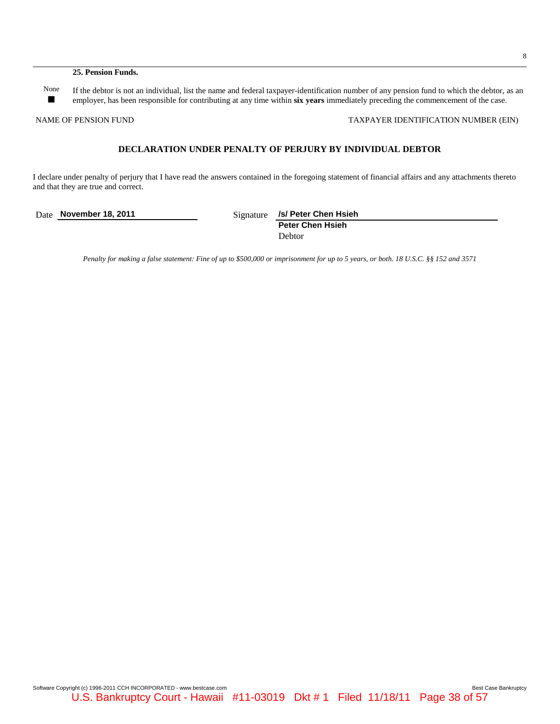**25. Pension Funds.**

#### None п If the debtor is not an individual, list the name and federal taxpayer-identification number of any pension fund to which the debtor, as an employer, has been responsible for contributing at any time within **six years** immediately preceding the commencement of the case.

NAME OF PENSION FUND TAXPAYER IDENTIFICATION NUMBER (EIN)

## **DECLARATION UNDER PENALTY OF PERJURY BY INDIVIDUAL DEBTOR**

I declare under penalty of perjury that I have read the answers contained in the foregoing statement of financial affairs and any attachments thereto and that they are true and correct.

Date **November 18, 2011** Signature **/s/ Peter Chen Hsieh** 

**Peter Chen Hsieh**

Debtor

*Penalty for making a false statement: Fine of up to \$500,000 or imprisonment for up to 5 years, or both. 18 U.S.C. §§ 152 and 3571*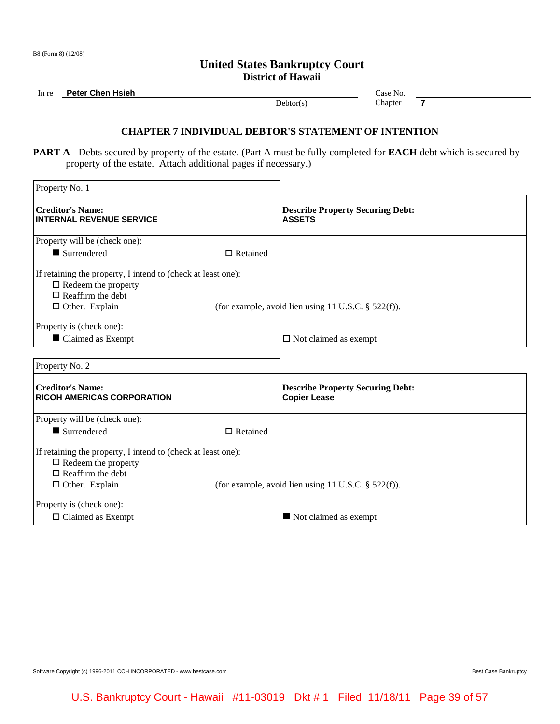# **United States Bankruptcy Court District of Hawaii**

| In re | <b>Peter Chen Hsieh</b> |           | 2ase No.              |  |
|-------|-------------------------|-----------|-----------------------|--|
|       |                         | Dektor(s) | <b>CHI</b><br>Chapter |  |

## **CHAPTER 7 INDIVIDUAL DEBTOR'S STATEMENT OF INTENTION**

**PART A** - Debts secured by property of the estate. (Part A must be fully completed for **EACH** debt which is secured by property of the estate. Attach additional pages if necessary.)

| Property No. 1                                                                                                                                  |                 |                                                                |
|-------------------------------------------------------------------------------------------------------------------------------------------------|-----------------|----------------------------------------------------------------|
| <b>Creditor's Name:</b><br><b>INTERNAL REVENUE SERVICE</b>                                                                                      |                 | <b>Describe Property Securing Debt:</b><br><b>ASSETS</b>       |
| Property will be (check one):                                                                                                                   |                 |                                                                |
| $\blacksquare$ Surrendered                                                                                                                      | $\Box$ Retained |                                                                |
| If retaining the property, I intend to (check at least one):<br>$\Box$ Redeem the property<br>$\Box$ Reaffirm the debt<br>$\Box$ Other. Explain |                 | (for example, avoid lien using 11 U.S.C. $\S$ 522(f)).         |
| Property is (check one):                                                                                                                        |                 |                                                                |
| ■ Claimed as Exempt                                                                                                                             |                 | $\Box$ Not claimed as exempt                                   |
| Property No. 2                                                                                                                                  |                 |                                                                |
| <b>Creditor's Name:</b><br><b>RICOH AMERICAS CORPORATION</b>                                                                                    |                 | <b>Describe Property Securing Debt:</b><br><b>Copier Lease</b> |
| Property will be (check one):                                                                                                                   |                 |                                                                |
| $\blacksquare$ Surrendered                                                                                                                      | $\Box$ Retained |                                                                |
| If retaining the property, I intend to (check at least one):<br>$\Box$ Redeem the property<br>$\Box$ Reaffirm the debt<br>$\Box$ Other. Explain |                 | (for example, avoid lien using 11 U.S.C. $\S$ 522(f)).         |
| Property is (check one):                                                                                                                        |                 |                                                                |
| $\Box$ Claimed as Exempt                                                                                                                        |                 | $\blacksquare$ Not claimed as exempt                           |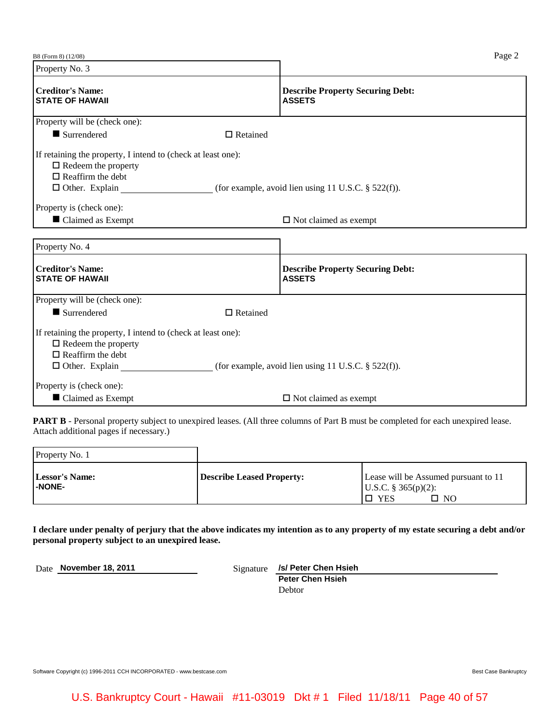| B8 (Form 8) (12/08)                                                                                                                             |                 |                                                          | Page 2 |
|-------------------------------------------------------------------------------------------------------------------------------------------------|-----------------|----------------------------------------------------------|--------|
| Property No. 3                                                                                                                                  |                 |                                                          |        |
| <b>Creditor's Name:</b><br><b>STATE OF HAWAII</b>                                                                                               |                 | <b>Describe Property Securing Debt:</b><br><b>ASSETS</b> |        |
| Property will be (check one):                                                                                                                   |                 |                                                          |        |
| $\blacksquare$ Surrendered                                                                                                                      | $\Box$ Retained |                                                          |        |
| If retaining the property, I intend to (check at least one):<br>$\Box$ Redeem the property<br>$\Box$ Reaffirm the debt<br>$\Box$ Other. Explain |                 | (for example, avoid lien using 11 U.S.C. § 522(f)).      |        |
| Property is (check one):                                                                                                                        |                 |                                                          |        |
| ■ Claimed as Exempt                                                                                                                             |                 | $\Box$ Not claimed as exempt                             |        |
| Property No. 4                                                                                                                                  |                 |                                                          |        |
| <b>Creditor's Name:</b><br><b>STATE OF HAWAII</b>                                                                                               |                 | <b>Describe Property Securing Debt:</b><br><b>ASSETS</b> |        |
| Property will be (check one):                                                                                                                   |                 |                                                          |        |
| Surrendered                                                                                                                                     | $\Box$ Retained |                                                          |        |
| If retaining the property, I intend to (check at least one):<br>$\Box$ Redeem the property<br>$\Box$ Reaffirm the debt<br>$\Box$ Other. Explain |                 | (for example, avoid lien using 11 U.S.C. § 522(f)).      |        |
| Property is (check one):                                                                                                                        |                 |                                                          |        |
| ■ Claimed as Exempt                                                                                                                             |                 | $\Box$ Not claimed as exempt                             |        |

PART B - Personal property subject to unexpired leases. (All three columns of Part B must be completed for each unexpired lease. Attach additional pages if necessary.)

| Property No. 1                   |                           |                                                                                |
|----------------------------------|---------------------------|--------------------------------------------------------------------------------|
| Lessor's Name:<br><b>I-NONE-</b> | Describe Leased Property: | Lease will be Assumed pursuant to 11<br>U.S.C. $\S 365(p)(2)$ :<br>YES<br>□ ΝΟ |

**I declare under penalty of perjury that the above indicates my intention as to any property of my estate securing a debt and/or personal property subject to an unexpired lease.**

Date **November 18, 2011** Signature **/s/ Peter Chen Hsieh** 

**Peter Chen Hsieh** Debtor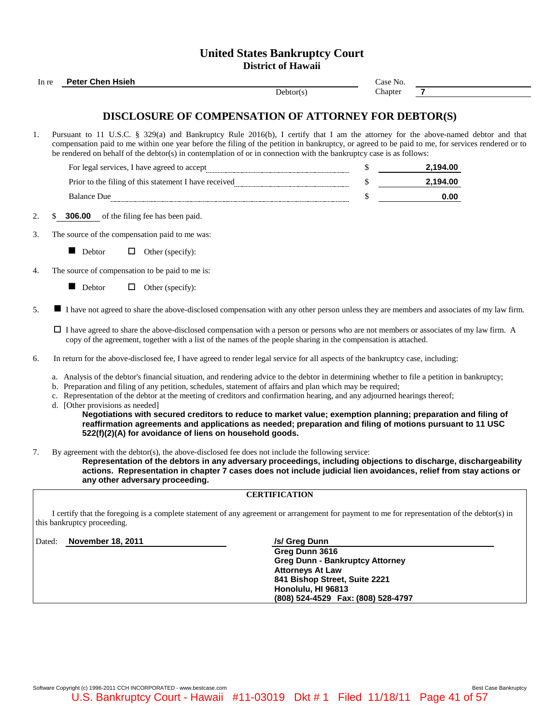| <b>United States Bankruptcy Court</b> |  |
|---------------------------------------|--|
| <b>District of Hawaii</b>             |  |

In re **Peter Chen Hsieh** Case No.

| Debtor(s`                                                                                                                                                                                                                                                                                                                                                                                                   | Chaptei |          |
|-------------------------------------------------------------------------------------------------------------------------------------------------------------------------------------------------------------------------------------------------------------------------------------------------------------------------------------------------------------------------------------------------------------|---------|----------|
| <b>DISCLOSURE OF COMPENSATION OF ATTORNEY FOR DEBTOR(S)</b>                                                                                                                                                                                                                                                                                                                                                 |         |          |
| Pursuant to 11 U.S.C. § 329(a) and Bankruptcy Rule 2016(b), I certify that I am the attorney for the above-named debtor and that<br>compensation paid to me within one year before the filing of the petition in bankruptcy, or agreed to be paid to me, for services rendered or to<br>be rendered on behalf of the debtor(s) in contemplation of or in connection with the bankruptcy case is as follows: |         |          |
|                                                                                                                                                                                                                                                                                                                                                                                                             |         |          |
| For legal services, I have agreed to accept                                                                                                                                                                                                                                                                                                                                                                 |         | 2,194.00 |
| Prior to the filing of this statement I have received                                                                                                                                                                                                                                                                                                                                                       |         | 2,194.00 |

3. The source of the compensation paid to me was:

Debtor  $\Box$  Other (specify):

4. The source of compensation to be paid to me is:

Debtor  $\Box$  Other (specify):

5. I have not agreed to share the above-disclosed compensation with any other person unless they are members and associates of my law firm.

 I have agreed to share the above-disclosed compensation with a person or persons who are not members or associates of my law firm. A copy of the agreement, together with a list of the names of the people sharing in the compensation is attached.

6. In return for the above-disclosed fee, I have agreed to render legal service for all aspects of the bankruptcy case, including:

- a. Analysis of the debtor's financial situation, and rendering advice to the debtor in determining whether to file a petition in bankruptcy;
- b. Preparation and filing of any petition, schedules, statement of affairs and plan which may be required;
- c. Representation of the debtor at the meeting of creditors and confirmation hearing, and any adjourned hearings thereof;
- d. [Other provisions as needed]

**Negotiations with secured creditors to reduce to market value; exemption planning; preparation and filing of reaffirmation agreements and applications as needed; preparation and filing of motions pursuant to 11 USC 522(f)(2)(A) for avoidance of liens on household goods.**

7. By agreement with the debtor(s), the above-disclosed fee does not include the following service:

**Representation of the debtors in any adversary proceedings, including objections to discharge, dischargeability actions. Representation in chapter 7 cases does not include judicial lien avoidances, relief from stay actions or any other adversary proceeding.**

| <b>CERTIFICATION</b> |
|----------------------|
|----------------------|

I certify that the foregoing is a complete statement of any agreement or arrangement for payment to me for representation of the debtor(s) in this bankruptcy proceeding.

| <b>November 18, 2011</b><br>Dated: | /s/ Greg Dunn                          |
|------------------------------------|----------------------------------------|
|                                    | Greg Dunn 3616                         |
|                                    | <b>Greg Dunn - Bankruptcy Attorney</b> |
|                                    | <b>Attorneys At Law</b>                |
|                                    | 841 Bishop Street, Suite 2221          |
|                                    | Honolulu, HI 96813                     |
|                                    | (808) 524-4529  Fax: (808) 528-4797    |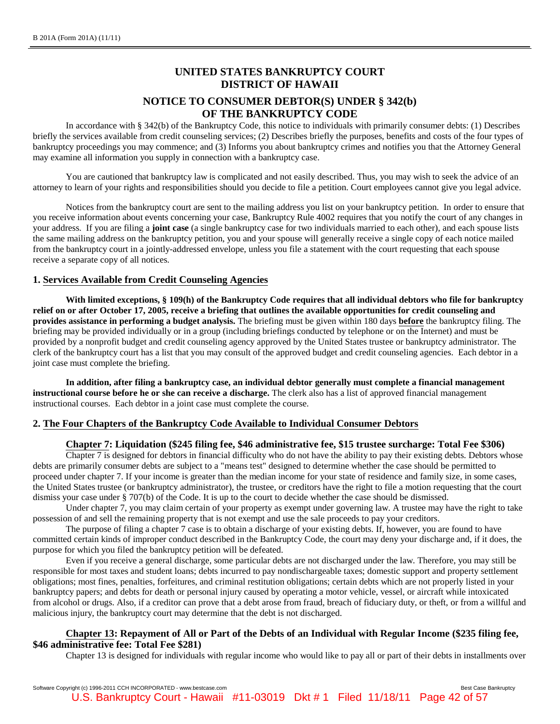# **UNITED STATES BANKRUPTCY COURT DISTRICT OF HAWAII**

# **NOTICE TO CONSUMER DEBTOR(S) UNDER § 342(b) OF THE BANKRUPTCY CODE**

In accordance with § 342(b) of the Bankruptcy Code, this notice to individuals with primarily consumer debts: (1) Describes briefly the services available from credit counseling services; (2) Describes briefly the purposes, benefits and costs of the four types of bankruptcy proceedings you may commence; and (3) Informs you about bankruptcy crimes and notifies you that the Attorney General may examine all information you supply in connection with a bankruptcy case.

You are cautioned that bankruptcy law is complicated and not easily described. Thus, you may wish to seek the advice of an attorney to learn of your rights and responsibilities should you decide to file a petition. Court employees cannot give you legal advice.

Notices from the bankruptcy court are sent to the mailing address you list on your bankruptcy petition. In order to ensure that you receive information about events concerning your case, Bankruptcy Rule 4002 requires that you notify the court of any changes in your address. If you are filing a **joint case** (a single bankruptcy case for two individuals married to each other), and each spouse lists the same mailing address on the bankruptcy petition, you and your spouse will generally receive a single copy of each notice mailed from the bankruptcy court in a jointly-addressed envelope, unless you file a statement with the court requesting that each spouse receive a separate copy of all notices.

## **1. Services Available from Credit Counseling Agencies**

**With limited exceptions, § 109(h) of the Bankruptcy Code requires that all individual debtors who file for bankruptcy relief on or after October 17, 2005, receive a briefing that outlines the available opportunities for credit counseling and provides assistance in performing a budget analysis.** The briefing must be given within 180 days **before** the bankruptcy filing. The briefing may be provided individually or in a group (including briefings conducted by telephone or on the Internet) and must be provided by a nonprofit budget and credit counseling agency approved by the United States trustee or bankruptcy administrator. The clerk of the bankruptcy court has a list that you may consult of the approved budget and credit counseling agencies. Each debtor in a joint case must complete the briefing.

**In addition, after filing a bankruptcy case, an individual debtor generally must complete a financial management instructional course before he or she can receive a discharge.** The clerk also has a list of approved financial management instructional courses. Each debtor in a joint case must complete the course.

## **2. The Four Chapters of the Bankruptcy Code Available to Individual Consumer Debtors**

## **Chapter 7: Liquidation (\$245 filing fee, \$46 administrative fee, \$15 trustee surcharge: Total Fee \$306)**

Chapter 7 is designed for debtors in financial difficulty who do not have the ability to pay their existing debts. Debtors whose debts are primarily consumer debts are subject to a "means test" designed to determine whether the case should be permitted to proceed under chapter 7. If your income is greater than the median income for your state of residence and family size, in some cases, the United States trustee (or bankruptcy administrator), the trustee, or creditors have the right to file a motion requesting that the court dismiss your case under § 707(b) of the Code. It is up to the court to decide whether the case should be dismissed.

Under chapter 7, you may claim certain of your property as exempt under governing law. A trustee may have the right to take possession of and sell the remaining property that is not exempt and use the sale proceeds to pay your creditors.

The purpose of filing a chapter 7 case is to obtain a discharge of your existing debts. If, however, you are found to have committed certain kinds of improper conduct described in the Bankruptcy Code, the court may deny your discharge and, if it does, the purpose for which you filed the bankruptcy petition will be defeated.

Even if you receive a general discharge, some particular debts are not discharged under the law. Therefore, you may still be responsible for most taxes and student loans; debts incurred to pay nondischargeable taxes; domestic support and property settlement obligations; most fines, penalties, forfeitures, and criminal restitution obligations; certain debts which are not properly listed in your bankruptcy papers; and debts for death or personal injury caused by operating a motor vehicle, vessel, or aircraft while intoxicated from alcohol or drugs. Also, if a creditor can prove that a debt arose from fraud, breach of fiduciary duty, or theft, or from a willful and malicious injury, the bankruptcy court may determine that the debt is not discharged.

## **Chapter 13: Repayment of All or Part of the Debts of an Individual with Regular Income (\$235 filing fee, \$46 administrative fee: Total Fee \$281)**

Chapter 13 is designed for individuals with regular income who would like to pay all or part of their debts in installments over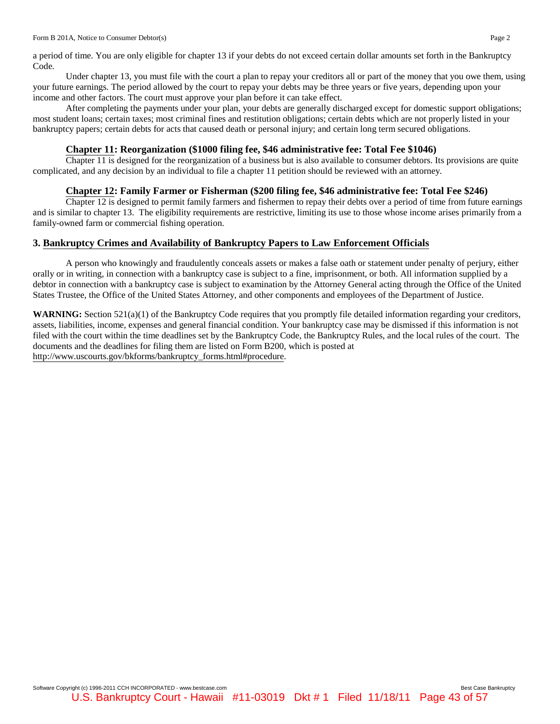a period of time. You are only eligible for chapter 13 if your debts do not exceed certain dollar amounts set forth in the Bankruptcy Code.

Under chapter 13, you must file with the court a plan to repay your creditors all or part of the money that you owe them, using your future earnings. The period allowed by the court to repay your debts may be three years or five years, depending upon your income and other factors. The court must approve your plan before it can take effect.

After completing the payments under your plan, your debts are generally discharged except for domestic support obligations; most student loans; certain taxes; most criminal fines and restitution obligations; certain debts which are not properly listed in your bankruptcy papers; certain debts for acts that caused death or personal injury; and certain long term secured obligations.

## **Chapter 11: Reorganization (\$1000 filing fee, \$46 administrative fee: Total Fee \$1046)**

Chapter 11 is designed for the reorganization of a business but is also available to consumer debtors. Its provisions are quite complicated, and any decision by an individual to file a chapter 11 petition should be reviewed with an attorney.

## **Chapter 12: Family Farmer or Fisherman (\$200 filing fee, \$46 administrative fee: Total Fee \$246)**

Chapter  $12$  is designed to permit family farmers and fishermen to repay their debts over a period of time from future earnings and is similar to chapter 13. The eligibility requirements are restrictive, limiting its use to those whose income arises primarily from a family-owned farm or commercial fishing operation.

## **3. Bankruptcy Crimes and Availability of Bankruptcy Papers to Law Enforcement Officials**

A person who knowingly and fraudulently conceals assets or makes a false oath or statement under penalty of perjury, either orally or in writing, in connection with a bankruptcy case is subject to a fine, imprisonment, or both. All information supplied by a debtor in connection with a bankruptcy case is subject to examination by the Attorney General acting through the Office of the United States Trustee, the Office of the United States Attorney, and other components and employees of the Department of Justice.

**WARNING:** Section 521(a)(1) of the Bankruptcy Code requires that you promptly file detailed information regarding your creditors, assets, liabilities, income, expenses and general financial condition. Your bankruptcy case may be dismissed if this information is not filed with the court within the time deadlines set by the Bankruptcy Code, the Bankruptcy Rules, and the local rules of the court. The documents and the deadlines for filing them are listed on Form B200, which is posted at http://www.uscourts.gov/bkforms/bankruptcy\_forms.html#procedure.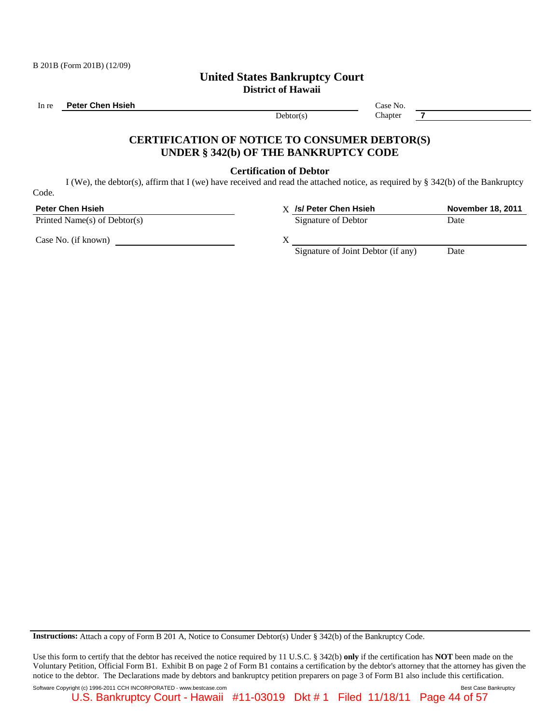# **United States Bankruptcy Court District of Hawaii**

In re **Peter Chen Hsieh** Case No.

Debtor(s) Chapter **7** 

# **CERTIFICATION OF NOTICE TO CONSUMER DEBTOR(S) UNDER § 342(b) OF THE BANKRUPTCY CODE**

## **Certification of Debtor**

I (We), the debtor(s), affirm that I (we) have received and read the attached notice, as required by  $\S 342(b)$  of the Bankruptcy Code.

|  | <b>Peter Chen Hsieh</b> |  |
|--|-------------------------|--|

| Printed Name(s) of Debtor(s) |  |
|------------------------------|--|
|------------------------------|--|

| Peter Chen Hsieh             | $X$ /s/ Peter Chen Hsieh           | <b>November 18, 2011</b> |
|------------------------------|------------------------------------|--------------------------|
| Printed Name(s) of Debtor(s) | Signature of Debtor                | Date                     |
| Case No. (if known)          |                                    |                          |
|                              | Signature of Joint Debtor (if any) | Date                     |

**Instructions:** Attach a copy of Form B 201 A, Notice to Consumer Debtor(s) Under § 342(b) of the Bankruptcy Code.

Use this form to certify that the debtor has received the notice required by 11 U.S.C. § 342(b) **only** if the certification has **NOT** been made on the Voluntary Petition, Official Form B1. Exhibit B on page 2 of Form B1 contains a certification by the debtor's attorney that the attorney has given the notice to the debtor. The Declarations made by debtors and bankruptcy petition preparers on page 3 of Form B1 also include this certification.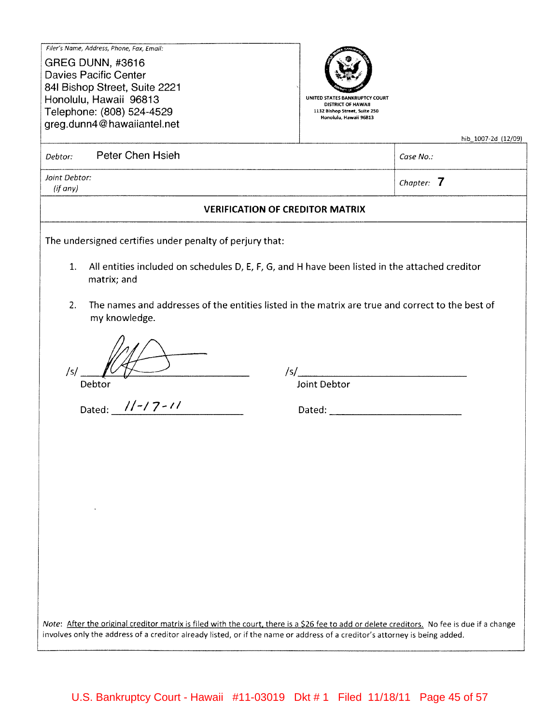Filer's Name, Address, Phone, Fax, Email:

**GREG DUNN, #3616 Davies Pacific Center** 84l Bishop Street, Suite 2221 Honolulu, Hawaii 96813 Telephone: (808) 524-4529



|                           | greg.dunn4@hawaiiantel.net                                                                                        |                                           |                     |
|---------------------------|-------------------------------------------------------------------------------------------------------------------|-------------------------------------------|---------------------|
|                           |                                                                                                                   |                                           | hib_1007-2d (12/09) |
| Debtor:                   | Peter Chen Hsieh                                                                                                  |                                           | Case No.:           |
| Joint Debtor:<br>(if any) |                                                                                                                   |                                           | Chapter: $7$        |
|                           | <b>VERIFICATION OF CREDITOR MATRIX</b>                                                                            |                                           |                     |
|                           | The undersigned certifies under penalty of perjury that:                                                          |                                           |                     |
| 1.                        | All entities included on schedules D, E, F, G, and H have been listed in the attached creditor<br>matrix; and     |                                           |                     |
| 2.                        | The names and addresses of the entities listed in the matrix are true and correct to the best of<br>my knowledge. |                                           |                     |
| /s/                       | Debtor                                                                                                            | Joint Debtor                              |                     |
|                           | Dated: $1/-/7-11$                                                                                                 | Dated: National Commission and Commission |                     |
|                           |                                                                                                                   |                                           |                     |
|                           |                                                                                                                   |                                           |                     |
|                           |                                                                                                                   |                                           |                     |
|                           |                                                                                                                   |                                           |                     |
|                           |                                                                                                                   |                                           |                     |
|                           |                                                                                                                   |                                           |                     |

Note: After the original creditor matrix is filed with the court, there is a \$26 fee to add or delete creditors. No fee is due if a change involves only the address of a creditor already listed, or if the name or address of a creditor's attorney is being added.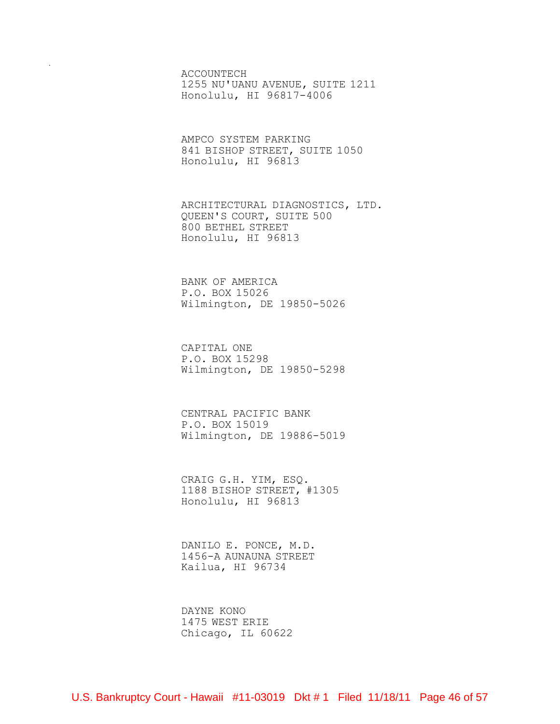ACCOUNTECH 1255 NU'UANU AVENUE, SUITE 1211 Honolulu, HI 96817-4006

AMPCO SYSTEM PARKING 841 BISHOP STREET, SUITE 1050 Honolulu, HI 96813

ARCHITECTURAL DIAGNOSTICS, LTD. QUEEN'S COURT, SUITE 500 800 BETHEL STREET Honolulu, HI 96813

BANK OF AMERICA P.O. BOX 15026 Wilmington, DE 19850-5026

CAPITAL ONE P.O. BOX 15298 Wilmington, DE 19850-5298

CENTRAL PACIFIC BANK P.O. BOX 15019 Wilmington, DE 19886-5019

CRAIG G.H. YIM, ESQ. 1188 BISHOP STREET, #1305 Honolulu, HI 96813

DANILO E. PONCE, M.D. 1456-A AUNAUNA STREET Kailua, HI 96734

DAYNE KONO 1475 WEST ERIE Chicago, IL 60622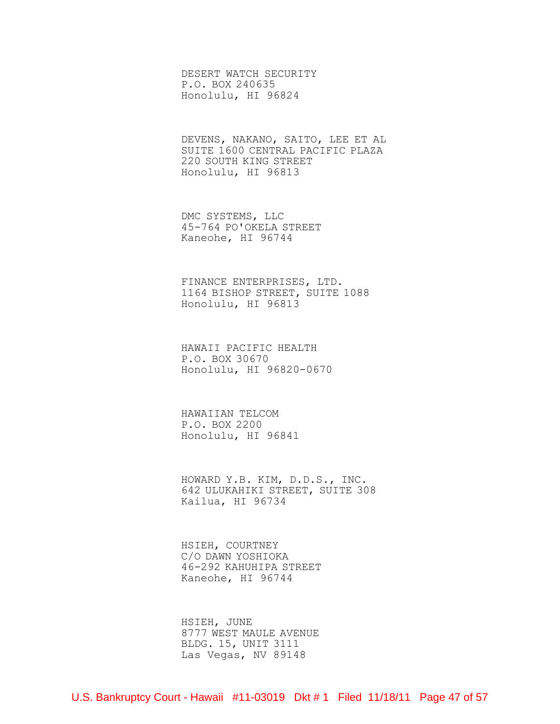DESERT WATCH SECURITY P.O. BOX 240635 Honolulu, HI 96824

DEVENS, NAKANO, SAITO, LEE ET AL SUITE 1600 CENTRAL PACIFIC PLAZA 220 SOUTH KING STREET Honolulu, HI 96813

DMC SYSTEMS, LLC 45-764 PO'OKELA STREET Kaneohe, HI 96744

FINANCE ENTERPRISES, LTD. 1164 BISHOP STREET, SUITE 1088 Honolulu, HI 96813

HAWAII PACIFIC HEALTH P.O. BOX 30670 Honolulu, HI 96820-0670

HAWAIIAN TELCOM P.O. BOX 2200 Honolulu, HI 96841

HOWARD Y.B. KIM, D.D.S., INC. 642 ULUKAHIKI STREET, SUITE 308 Kailua, HI 96734

HSIEH, COURTNEY C/O DAWN YOSHIOKA 46-292 KAHUHIPA STREET Kaneohe, HI 96744

HSIEH, JUNE 8777 WEST MAULE AVENUE BLDG. 15, UNIT 3111 Las Vegas, NV 89148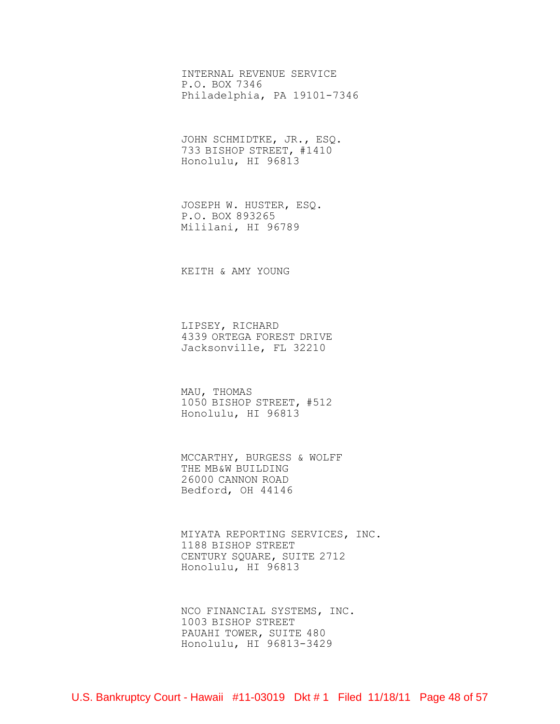INTERNAL REVENUE SERVICE P.O. BOX 7346 Philadelphia, PA 19101-7346

JOHN SCHMIDTKE, JR., ESQ. 733 BISHOP STREET, #1410 Honolulu, HI 96813

JOSEPH W. HUSTER, ESQ. P.O. BOX 893265 Mililani, HI 96789

KEITH & AMY YOUNG

LIPSEY, RICHARD 4339 ORTEGA FOREST DRIVE Jacksonville, FL 32210

MAU, THOMAS 1050 BISHOP STREET, #512 Honolulu, HI 96813

MCCARTHY, BURGESS & WOLFF THE MB&W BUILDING 26000 CANNON ROAD Bedford, OH 44146

MIYATA REPORTING SERVICES, INC. 1188 BISHOP STREET CENTURY SQUARE, SUITE 2712 Honolulu, HI 96813

NCO FINANCIAL SYSTEMS, INC. 1003 BISHOP STREET PAUAHI TOWER, SUITE 480 Honolulu, HI 96813-3429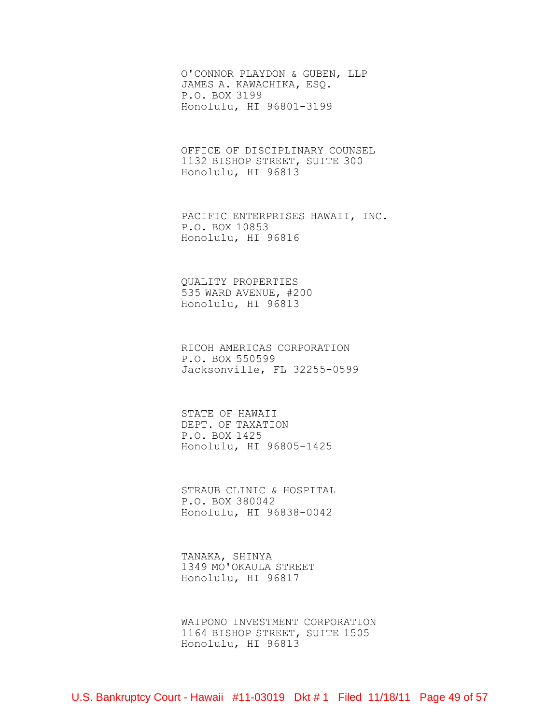O'CONNOR PLAYDON & GUBEN, LLP JAMES A. KAWACHIKA, ESQ. P.O. BOX 3199 Honolulu, HI 96801-3199

OFFICE OF DISCIPLINARY COUNSEL 1132 BISHOP STREET, SUITE 300 Honolulu, HI 96813

PACIFIC ENTERPRISES HAWAII, INC. P.O. BOX 10853 Honolulu, HI 96816

QUALITY PROPERTIES 535 WARD AVENUE, #200 Honolulu, HI 96813

RICOH AMERICAS CORPORATION P.O. BOX 550599 Jacksonville, FL 32255-0599

STATE OF HAWAII DEPT. OF TAXATION P.O. BOX 1425 Honolulu, HI 96805-1425

STRAUB CLINIC & HOSPITAL P.O. BOX 380042 Honolulu, HI 96838-0042

TANAKA, SHINYA 1349 MO'OKAULA STREET Honolulu, HI 96817

WAIPONO INVESTMENT CORPORATION 1164 BISHOP STREET, SUITE 1505 Honolulu, HI 96813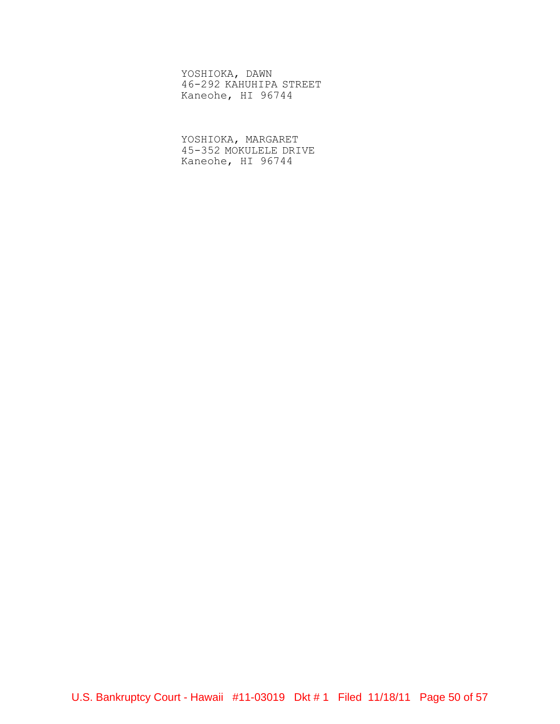YOSHIOKA, DAWN 46-292 KAHUHIPA STREET Kaneohe, HI 96744

YOSHIOKA, MARGARET 45-352 MOKULELE DRIVE Kaneohe, HI 96744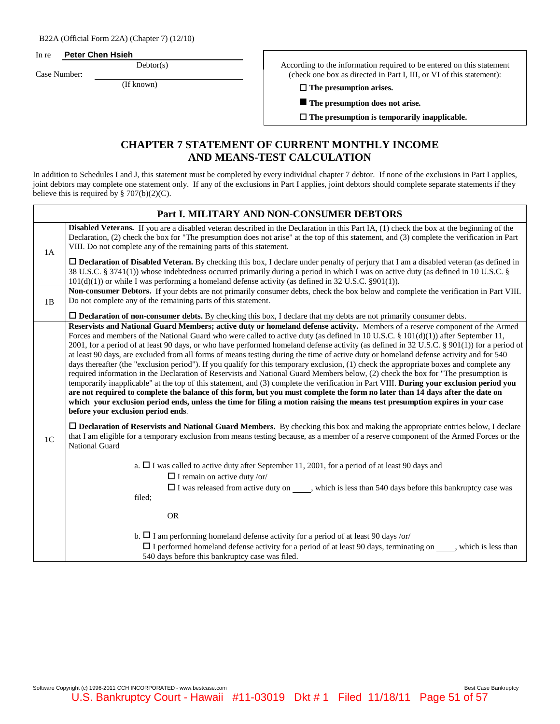B22A (Official Form 22A) (Chapter 7) (12/10)

| In re |  |  | <b>Peter Chen Hsieh</b> |
|-------|--|--|-------------------------|
|-------|--|--|-------------------------|

Case Number:

(If known)

Debtor(s)

According to the information required to be entered on this statement (check one box as directed in Part I, III, or VI of this statement):

- **The presumption arises.**
- The presumption does not arise.
- **The presumption is temporarily inapplicable.**

# **CHAPTER 7 STATEMENT OF CURRENT MONTHLY INCOME AND MEANS-TEST CALCULATION**

In addition to Schedules I and J, this statement must be completed by every individual chapter 7 debtor. If none of the exclusions in Part I applies, joint debtors may complete one statement only. If any of the exclusions in Part I applies, joint debtors should complete separate statements if they believe this is required by  $\S 707(b)(2)(C)$ .

|                | Part I. MILITARY AND NON-CONSUMER DEBTORS                                                                                                                                                                                                                                                                                                                                                                                                                                                                                                                                                                                                                                                                                                                                                                                                                                                                                                                                                                                                                                                                                                                                                                                                                                                     |
|----------------|-----------------------------------------------------------------------------------------------------------------------------------------------------------------------------------------------------------------------------------------------------------------------------------------------------------------------------------------------------------------------------------------------------------------------------------------------------------------------------------------------------------------------------------------------------------------------------------------------------------------------------------------------------------------------------------------------------------------------------------------------------------------------------------------------------------------------------------------------------------------------------------------------------------------------------------------------------------------------------------------------------------------------------------------------------------------------------------------------------------------------------------------------------------------------------------------------------------------------------------------------------------------------------------------------|
| 1A             | <b>Disabled Veterans.</b> If you are a disabled veteran described in the Declaration in this Part IA, (1) check the box at the beginning of the<br>Declaration, (2) check the box for "The presumption does not arise" at the top of this statement, and (3) complete the verification in Part<br>VIII. Do not complete any of the remaining parts of this statement.                                                                                                                                                                                                                                                                                                                                                                                                                                                                                                                                                                                                                                                                                                                                                                                                                                                                                                                         |
|                | $\Box$ <b>Declaration of Disabled Veteran.</b> By checking this box, I declare under penalty of perjury that I am a disabled veteran (as defined in<br>38 U.S.C. § 3741(1)) whose indebtedness occurred primarily during a period in which I was on active duty (as defined in 10 U.S.C. §<br>$101(d)(1)$ ) or while I was performing a homeland defense activity (as defined in 32 U.S.C. §901(1)).                                                                                                                                                                                                                                                                                                                                                                                                                                                                                                                                                                                                                                                                                                                                                                                                                                                                                          |
| 1B             | Non-consumer Debtors. If your debts are not primarily consumer debts, check the box below and complete the verification in Part VIII.<br>Do not complete any of the remaining parts of this statement.                                                                                                                                                                                                                                                                                                                                                                                                                                                                                                                                                                                                                                                                                                                                                                                                                                                                                                                                                                                                                                                                                        |
|                | $\Box$ Declaration of non-consumer debts. By checking this box, I declare that my debts are not primarily consumer debts.                                                                                                                                                                                                                                                                                                                                                                                                                                                                                                                                                                                                                                                                                                                                                                                                                                                                                                                                                                                                                                                                                                                                                                     |
|                | Reservists and National Guard Members; active duty or homeland defense activity. Members of a reserve component of the Armed<br>Forces and members of the National Guard who were called to active duty (as defined in 10 U.S.C. § 101(d)(1)) after September 11,<br>2001, for a period of at least 90 days, or who have performed homeland defense activity (as defined in 32 U.S.C. § 901(1)) for a period of<br>at least 90 days, are excluded from all forms of means testing during the time of active duty or homeland defense activity and for 540<br>days thereafter (the "exclusion period"). If you qualify for this temporary exclusion, (1) check the appropriate boxes and complete any<br>required information in the Declaration of Reservists and National Guard Members below, (2) check the box for "The presumption is<br>temporarily inapplicable" at the top of this statement, and (3) complete the verification in Part VIII. During your exclusion period you<br>are not required to complete the balance of this form, but you must complete the form no later than 14 days after the date on<br>which your exclusion period ends, unless the time for filing a motion raising the means test presumption expires in your case<br>before your exclusion period ends. |
| 1 <sup>C</sup> | $\Box$ Declaration of Reservists and National Guard Members. By checking this box and making the appropriate entries below, I declare<br>that I am eligible for a temporary exclusion from means testing because, as a member of a reserve component of the Armed Forces or the<br>National Guard                                                                                                                                                                                                                                                                                                                                                                                                                                                                                                                                                                                                                                                                                                                                                                                                                                                                                                                                                                                             |
|                | a. $\Box$ I was called to active duty after September 11, 2001, for a period of at least 90 days and<br>$\Box$ I remain on active duty /or/<br>$\Box$ I was released from active duty on , which is less than 540 days before this bankruptcy case was<br>filed:                                                                                                                                                                                                                                                                                                                                                                                                                                                                                                                                                                                                                                                                                                                                                                                                                                                                                                                                                                                                                              |
|                | <b>OR</b>                                                                                                                                                                                                                                                                                                                                                                                                                                                                                                                                                                                                                                                                                                                                                                                                                                                                                                                                                                                                                                                                                                                                                                                                                                                                                     |
|                | b. $\Box$ I am performing homeland defense activity for a period of at least 90 days /or/<br>$\Box$ I performed homeland defense activity for a period of at least 90 days, terminating on , which is less than<br>540 days before this bankruptcy case was filed.                                                                                                                                                                                                                                                                                                                                                                                                                                                                                                                                                                                                                                                                                                                                                                                                                                                                                                                                                                                                                            |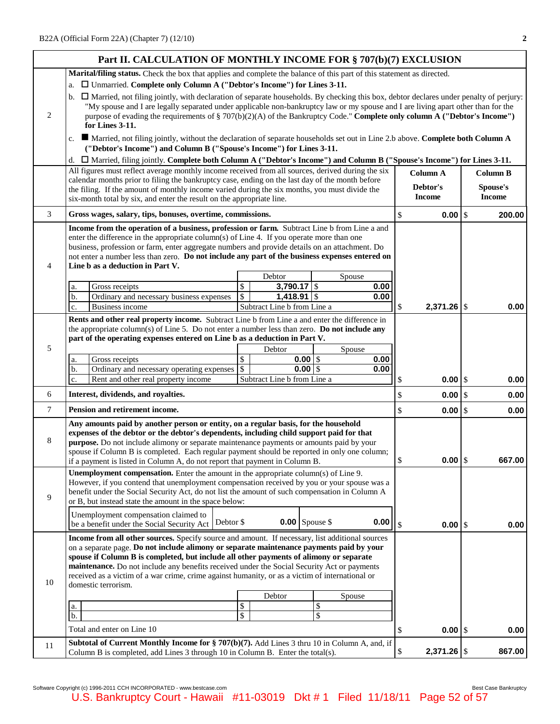|    |                                                                                                 | Part II. CALCULATION OF MONTHLY INCOME FOR § 707(b)(7) EXCLUSION                                                                                                                                                                                               |    |                                         |             |                |             |               |                 |
|----|-------------------------------------------------------------------------------------------------|----------------------------------------------------------------------------------------------------------------------------------------------------------------------------------------------------------------------------------------------------------------|----|-----------------------------------------|-------------|----------------|-------------|---------------|-----------------|
|    |                                                                                                 | Marital/filing status. Check the box that applies and complete the balance of this part of this statement as directed.                                                                                                                                         |    |                                         |             |                |             |               |                 |
|    | a.                                                                                              | □ Unmarried. Complete only Column A ("Debtor's Income") for Lines 3-11.                                                                                                                                                                                        |    |                                         |             |                |             |               |                 |
|    |                                                                                                 | b. $\Box$ Married, not filing jointly, with declaration of separate households. By checking this box, debtor declares under penalty of perjury:                                                                                                                |    |                                         |             |                |             |               |                 |
| 2  |                                                                                                 | "My spouse and I are legally separated under applicable non-bankruptcy law or my spouse and I are living apart other than for the<br>purpose of evading the requirements of § 707(b)(2)(A) of the Bankruptcy Code." Complete only column A ("Debtor's Income") |    |                                         |             |                |             |               |                 |
|    |                                                                                                 | for Lines 3-11.                                                                                                                                                                                                                                                |    |                                         |             |                |             |               |                 |
|    | c.                                                                                              | Married, not filing jointly, without the declaration of separate households set out in Line 2.b above. Complete both Column A                                                                                                                                  |    |                                         |             |                |             |               |                 |
|    |                                                                                                 | ("Debtor's Income") and Column B ("Spouse's Income") for Lines 3-11.                                                                                                                                                                                           |    |                                         |             |                |             |               |                 |
|    | d.                                                                                              | □ Married, filing jointly. Complete both Column A ("Debtor's Income") and Column B ("Spouse's Income") for Lines 3-11.                                                                                                                                         |    |                                         |             |                |             |               |                 |
|    |                                                                                                 | All figures must reflect average monthly income received from all sources, derived during the six                                                                                                                                                              |    |                                         |             |                |             | Column A      | <b>Column B</b> |
|    |                                                                                                 | calendar months prior to filing the bankruptcy case, ending on the last day of the month before<br>the filing. If the amount of monthly income varied during the six months, you must divide the                                                               |    |                                         |             |                |             | Debtor's      | Spouse's        |
|    |                                                                                                 | six-month total by six, and enter the result on the appropriate line.                                                                                                                                                                                          |    |                                         |             |                |             | <b>Income</b> | <b>Income</b>   |
| 3  |                                                                                                 | Gross wages, salary, tips, bonuses, overtime, commissions.                                                                                                                                                                                                     |    |                                         |             |                | \$          | $0.00$ \$     | 200.00          |
|    |                                                                                                 | Income from the operation of a business, profession or farm. Subtract Line b from Line a and                                                                                                                                                                   |    |                                         |             |                |             |               |                 |
|    |                                                                                                 | enter the difference in the appropriate column(s) of Line 4. If you operate more than one                                                                                                                                                                      |    |                                         |             |                |             |               |                 |
|    |                                                                                                 | business, profession or farm, enter aggregate numbers and provide details on an attachment. Do<br>not enter a number less than zero. Do not include any part of the business expenses entered on                                                               |    |                                         |             |                |             |               |                 |
| 4  |                                                                                                 | Line b as a deduction in Part V.                                                                                                                                                                                                                               |    |                                         |             |                |             |               |                 |
|    |                                                                                                 |                                                                                                                                                                                                                                                                |    | Debtor                                  |             | Spouse         |             |               |                 |
|    | a.                                                                                              | Gross receipts                                                                                                                                                                                                                                                 | \$ | 3,790.17 $\frac{1}{3}$<br>$1,418.91$ \$ |             | 0.00<br>0.00   |             |               |                 |
|    | b.<br>c.                                                                                        | Ordinary and necessary business expenses<br>Business income                                                                                                                                                                                                    | \$ | Subtract Line b from Line a             |             |                | \$          | $2,371.26$ \$ | 0.00            |
|    |                                                                                                 | Rents and other real property income. Subtract Line b from Line a and enter the difference in                                                                                                                                                                  |    |                                         |             |                |             |               |                 |
|    |                                                                                                 | the appropriate column(s) of Line 5. Do not enter a number less than zero. Do not include any                                                                                                                                                                  |    |                                         |             |                |             |               |                 |
|    |                                                                                                 | part of the operating expenses entered on Line b as a deduction in Part V.                                                                                                                                                                                     |    |                                         |             |                |             |               |                 |
| 5  |                                                                                                 |                                                                                                                                                                                                                                                                | \$ | Debtor                                  | $0.00$ \ \$ | Spouse<br>0.00 |             |               |                 |
|    | a.<br>b.                                                                                        | Gross receipts<br>Ordinary and necessary operating expenses                                                                                                                                                                                                    | \$ |                                         | $0.00$ \ \$ | 0.00           |             |               |                 |
|    | c.                                                                                              | Rent and other real property income                                                                                                                                                                                                                            |    | Subtract Line b from Line a             |             |                | \$          | $0.00$ \$     | 0.00            |
| 6  |                                                                                                 | Interest, dividends, and royalties.                                                                                                                                                                                                                            |    |                                         |             |                | \$          | $0.00$ \ \$   | 0.00            |
| 7  |                                                                                                 | Pension and retirement income.                                                                                                                                                                                                                                 |    |                                         |             |                | \$          | $0.00$ \ \$   | 0.00            |
|    |                                                                                                 | Any amounts paid by another person or entity, on a regular basis, for the household                                                                                                                                                                            |    |                                         |             |                |             |               |                 |
|    |                                                                                                 | expenses of the debtor or the debtor's dependents, including child support paid for that                                                                                                                                                                       |    |                                         |             |                |             |               |                 |
| 8  |                                                                                                 | <b>purpose.</b> Do not include alimony or separate maintenance payments or amounts paid by your<br>spouse if Column B is completed. Each regular payment should be reported in only one column;                                                                |    |                                         |             |                |             |               |                 |
|    |                                                                                                 | if a payment is listed in Column A, do not report that payment in Column B.                                                                                                                                                                                    |    |                                         |             |                | \$          | $0.00$ \$     | 667.00          |
|    |                                                                                                 | <b>Unemployment compensation.</b> Enter the amount in the appropriate column(s) of Line 9.                                                                                                                                                                     |    |                                         |             |                |             |               |                 |
|    |                                                                                                 | However, if you contend that unemployment compensation received by you or your spouse was a                                                                                                                                                                    |    |                                         |             |                |             |               |                 |
| 9  |                                                                                                 | benefit under the Social Security Act, do not list the amount of such compensation in Column A<br>or B, but instead state the amount in the space below:                                                                                                       |    |                                         |             |                |             |               |                 |
|    |                                                                                                 | Unemployment compensation claimed to                                                                                                                                                                                                                           |    |                                         |             |                |             |               |                 |
|    |                                                                                                 | Debtor \$<br>be a benefit under the Social Security Act                                                                                                                                                                                                        |    | $0.00$ Spouse \$                        |             | 0.00           | $\mathbf S$ | $0.00$ \ \$   | 0.00            |
|    |                                                                                                 | Income from all other sources. Specify source and amount. If necessary, list additional sources                                                                                                                                                                |    |                                         |             |                |             |               |                 |
|    |                                                                                                 | on a separate page. Do not include alimony or separate maintenance payments paid by your                                                                                                                                                                       |    |                                         |             |                |             |               |                 |
|    |                                                                                                 | spouse if Column B is completed, but include all other payments of alimony or separate<br>maintenance. Do not include any benefits received under the Social Security Act or payments                                                                          |    |                                         |             |                |             |               |                 |
|    | received as a victim of a war crime, crime against humanity, or as a victim of international or |                                                                                                                                                                                                                                                                |    |                                         |             |                |             |               |                 |
|    | 10<br>domestic terrorism.                                                                       |                                                                                                                                                                                                                                                                |    |                                         |             |                |             |               |                 |
|    |                                                                                                 |                                                                                                                                                                                                                                                                | \$ | Debtor                                  |             | Spouse<br>\$   |             |               |                 |
|    | a.<br>b.                                                                                        |                                                                                                                                                                                                                                                                | \$ |                                         |             | \$             |             |               |                 |
|    |                                                                                                 | Total and enter on Line 10                                                                                                                                                                                                                                     |    |                                         |             |                | \$          | $0.00$ \$     | 0.00            |
|    |                                                                                                 | Subtotal of Current Monthly Income for § 707(b)(7). Add Lines 3 thru 10 in Column A, and, if                                                                                                                                                                   |    |                                         |             |                |             |               |                 |
| 11 |                                                                                                 | Column B is completed, add Lines 3 through 10 in Column B. Enter the total(s).                                                                                                                                                                                 |    |                                         |             |                | \$          | 2,371.26 \$   | 867.00          |

Software Copyright (c) 1996-2011 CCH INCORPORATED - www.bestcase.com<br>U.S. Bankruptcy Court - Hawaii #11-03019 Dkt # 1 Filed 11/18/11 Page 52 of 57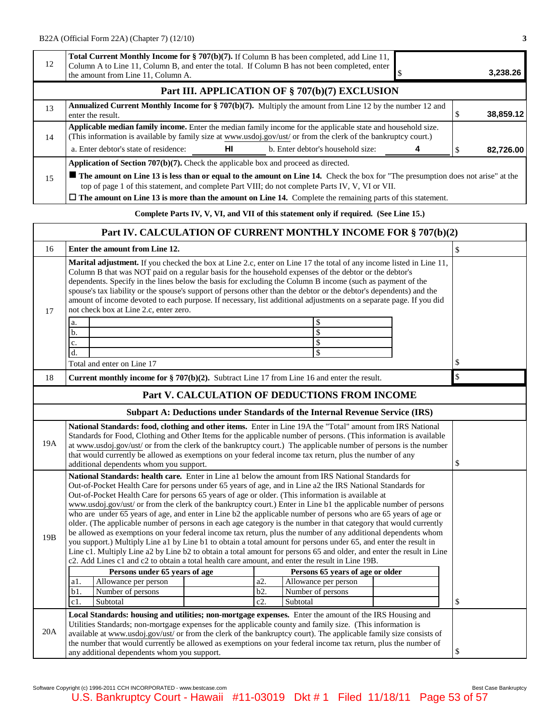| 12 | <b>Total Current Monthly Income for <math>\S 707(b)(7)</math>.</b> If Column B has been completed, add Line 11,<br>Column A to Line 11, Column B, and enter the total. If Column B has not been completed, enter<br>the amount from Line 11, Column A. | 3,238.26  |
|----|--------------------------------------------------------------------------------------------------------------------------------------------------------------------------------------------------------------------------------------------------------|-----------|
|    | Part III. APPLICATION OF § 707(b)(7) EXCLUSION                                                                                                                                                                                                         |           |
| 13 | <b>Annualized Current Monthly Income for § 707(b)(7).</b> Multiply the amount from Line 12 by the number 12 and<br>enter the result.                                                                                                                   | 38,859.12 |
| 14 | <b>Applicable median family income.</b> Enter the median family income for the applicable state and household size.<br>(This information is available by family size at www.usdoj.gov/ust/ or from the clerk of the bankruptcy court.)                 |           |
|    | a. Enter debtor's state of residence:<br>HI<br>b. Enter debtor's household size:<br>4                                                                                                                                                                  | 82,726.00 |
|    | <b>Application of Section 707(b)(7).</b> Check the applicable box and proceed as directed.                                                                                                                                                             |           |
| 15 | <b>The amount on Line 13 is less than or equal to the amount on Line 14.</b> Check the box for "The presumption does not arise" at the<br>top of page 1 of this statement, and complete Part VIII; do not complete Parts IV, V, VI or VII.             |           |
|    | $\Box$ The amount on Line 13 is more than the amount on Line 14. Complete the remaining parts of this statement.                                                                                                                                       |           |

**Complete Parts IV, V, VI, and VII of this statement only if required. (See Line 15.)**

|                                                                                                                                                                                                                                                                                                                                                                                                                                                                                                                                                                                                                                                                                                                                                                                                                                                                                                                                                                                                                                                                                                                                                                            | Part IV. CALCULATION OF CURRENT MONTHLY INCOME FOR § 707(b)(2)                                                                  |  |                          |                                                                             |  |                           |
|----------------------------------------------------------------------------------------------------------------------------------------------------------------------------------------------------------------------------------------------------------------------------------------------------------------------------------------------------------------------------------------------------------------------------------------------------------------------------------------------------------------------------------------------------------------------------------------------------------------------------------------------------------------------------------------------------------------------------------------------------------------------------------------------------------------------------------------------------------------------------------------------------------------------------------------------------------------------------------------------------------------------------------------------------------------------------------------------------------------------------------------------------------------------------|---------------------------------------------------------------------------------------------------------------------------------|--|--------------------------|-----------------------------------------------------------------------------|--|---------------------------|
| 16                                                                                                                                                                                                                                                                                                                                                                                                                                                                                                                                                                                                                                                                                                                                                                                                                                                                                                                                                                                                                                                                                                                                                                         | Enter the amount from Line 12.                                                                                                  |  |                          |                                                                             |  | \$                        |
| Marital adjustment. If you checked the box at Line 2.c, enter on Line 17 the total of any income listed in Line 11,<br>Column B that was NOT paid on a regular basis for the household expenses of the debtor or the debtor's<br>dependents. Specify in the lines below the basis for excluding the Column B income (such as payment of the<br>spouse's tax liability or the spouse's support of persons other than the debtor or the debtor's dependents) and the<br>amount of income devoted to each purpose. If necessary, list additional adjustments on a separate page. If you did<br>not check box at Line 2.c, enter zero.<br>17<br>\$<br>a.<br>\$<br>b.                                                                                                                                                                                                                                                                                                                                                                                                                                                                                                           |                                                                                                                                 |  |                          |                                                                             |  |                           |
|                                                                                                                                                                                                                                                                                                                                                                                                                                                                                                                                                                                                                                                                                                                                                                                                                                                                                                                                                                                                                                                                                                                                                                            | c.<br>d.                                                                                                                        |  |                          | \$<br>\$                                                                    |  |                           |
|                                                                                                                                                                                                                                                                                                                                                                                                                                                                                                                                                                                                                                                                                                                                                                                                                                                                                                                                                                                                                                                                                                                                                                            | Total and enter on Line 17                                                                                                      |  |                          |                                                                             |  | $\boldsymbol{\mathsf{S}}$ |
| 18                                                                                                                                                                                                                                                                                                                                                                                                                                                                                                                                                                                                                                                                                                                                                                                                                                                                                                                                                                                                                                                                                                                                                                         | Current monthly income for $\S 707(b)(2)$ . Subtract Line 17 from Line 16 and enter the result.                                 |  |                          |                                                                             |  | $\mathsf{\$}$             |
|                                                                                                                                                                                                                                                                                                                                                                                                                                                                                                                                                                                                                                                                                                                                                                                                                                                                                                                                                                                                                                                                                                                                                                            |                                                                                                                                 |  |                          | Part V. CALCULATION OF DEDUCTIONS FROM INCOME                               |  |                           |
|                                                                                                                                                                                                                                                                                                                                                                                                                                                                                                                                                                                                                                                                                                                                                                                                                                                                                                                                                                                                                                                                                                                                                                            |                                                                                                                                 |  |                          | Subpart A: Deductions under Standards of the Internal Revenue Service (IRS) |  |                           |
| National Standards: food, clothing and other items. Enter in Line 19A the "Total" amount from IRS National<br>Standards for Food, Clothing and Other Items for the applicable number of persons. (This information is available<br>19A<br>at www.usdoj.gov/ust/ or from the clerk of the bankruptcy court.) The applicable number of persons is the number<br>that would currently be allowed as exemptions on your federal income tax return, plus the number of any<br>additional dependents whom you support.                                                                                                                                                                                                                                                                                                                                                                                                                                                                                                                                                                                                                                                           |                                                                                                                                 |  | \$                       |                                                                             |  |                           |
| National Standards: health care. Enter in Line al below the amount from IRS National Standards for<br>Out-of-Pocket Health Care for persons under 65 years of age, and in Line a2 the IRS National Standards for<br>Out-of-Pocket Health Care for persons 65 years of age or older. (This information is available at<br>www.usdoj.gov/ust/ or from the clerk of the bankruptcy court.) Enter in Line b1 the applicable number of persons<br>who are under $65$ years of age, and enter in Line $b2$ the applicable number of persons who are $65$ years of age or<br>older. (The applicable number of persons in each age category is the number in that category that would currently<br>be allowed as exemptions on your federal income tax return, plus the number of any additional dependents whom<br>19 <sub>B</sub><br>you support.) Multiply Line a1 by Line b1 to obtain a total amount for persons under 65, and enter the result in<br>Line c1. Multiply Line a2 by Line b2 to obtain a total amount for persons 65 and older, and enter the result in Line<br>c2. Add Lines c1 and c2 to obtain a total health care amount, and enter the result in Line 19B. |                                                                                                                                 |  |                          |                                                                             |  |                           |
|                                                                                                                                                                                                                                                                                                                                                                                                                                                                                                                                                                                                                                                                                                                                                                                                                                                                                                                                                                                                                                                                                                                                                                            | Persons under 65 years of age<br>Persons 65 years of age or older<br>Allowance per person<br>a2.<br>Allowance per person<br>a1. |  |                          |                                                                             |  |                           |
|                                                                                                                                                                                                                                                                                                                                                                                                                                                                                                                                                                                                                                                                                                                                                                                                                                                                                                                                                                                                                                                                                                                                                                            | Number of persons<br>b1.<br>c1.<br>Subtotal                                                                                     |  | b2.<br>$\overline{c2}$ . | Number of persons<br>Subtotal                                               |  | \$                        |
| Local Standards: housing and utilities; non-mortgage expenses. Enter the amount of the IRS Housing and<br>Utilities Standards; non-mortgage expenses for the applicable county and family size. (This information is<br>20A<br>available at www.usdoj.gov/ust/ or from the clerk of the bankruptcy court). The applicable family size consists of<br>the number that would currently be allowed as exemptions on your federal income tax return, plus the number of<br>any additional dependents whom you support.                                                                                                                                                                                                                                                                                                                                                                                                                                                                                                                                                                                                                                                         |                                                                                                                                 |  |                          | \$                                                                          |  |                           |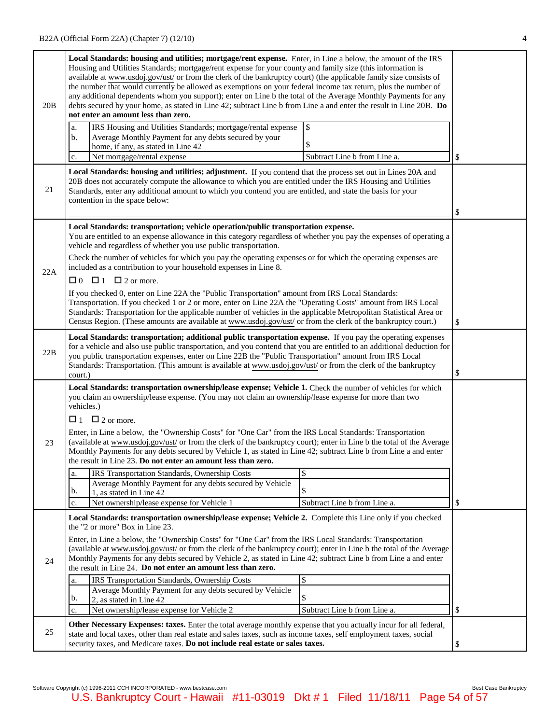| 20B | Local Standards: housing and utilities; mortgage/rent expense. Enter, in Line a below, the amount of the IRS<br>Housing and Utilities Standards; mortgage/rent expense for your county and family size (this information is<br>available at www.usdoj.gov/ust/ or from the clerk of the bankruptcy court) (the applicable family size consists of<br>the number that would currently be allowed as exemptions on your federal income tax return, plus the number of<br>any additional dependents whom you support); enter on Line b the total of the Average Monthly Payments for any<br>debts secured by your home, as stated in Line 42; subtract Line b from Line a and enter the result in Line 20B. Do<br>not enter an amount less than zero. |                              |                           |  |  |
|-----|----------------------------------------------------------------------------------------------------------------------------------------------------------------------------------------------------------------------------------------------------------------------------------------------------------------------------------------------------------------------------------------------------------------------------------------------------------------------------------------------------------------------------------------------------------------------------------------------------------------------------------------------------------------------------------------------------------------------------------------------------|------------------------------|---------------------------|--|--|
|     | IRS Housing and Utilities Standards; mortgage/rental expense<br>a.<br>Average Monthly Payment for any debts secured by your<br>b.                                                                                                                                                                                                                                                                                                                                                                                                                                                                                                                                                                                                                  | \$                           |                           |  |  |
|     | home, if any, as stated in Line 42                                                                                                                                                                                                                                                                                                                                                                                                                                                                                                                                                                                                                                                                                                                 | \$                           |                           |  |  |
|     | Net mortgage/rental expense<br>c.                                                                                                                                                                                                                                                                                                                                                                                                                                                                                                                                                                                                                                                                                                                  | Subtract Line b from Line a. | \$                        |  |  |
| 21  | Local Standards: housing and utilities; adjustment. If you contend that the process set out in Lines 20A and<br>20B does not accurately compute the allowance to which you are entitled under the IRS Housing and Utilities<br>Standards, enter any additional amount to which you contend you are entitled, and state the basis for your<br>contention in the space below:                                                                                                                                                                                                                                                                                                                                                                        |                              | \$                        |  |  |
|     | Local Standards: transportation; vehicle operation/public transportation expense.<br>You are entitled to an expense allowance in this category regardless of whether you pay the expenses of operating a<br>vehicle and regardless of whether you use public transportation.                                                                                                                                                                                                                                                                                                                                                                                                                                                                       |                              |                           |  |  |
| 22A | Check the number of vehicles for which you pay the operating expenses or for which the operating expenses are<br>included as a contribution to your household expenses in Line 8.                                                                                                                                                                                                                                                                                                                                                                                                                                                                                                                                                                  |                              |                           |  |  |
|     | $\Box$ 0 $\Box$ 1 $\Box$ 2 or more.<br>If you checked 0, enter on Line 22A the "Public Transportation" amount from IRS Local Standards:<br>Transportation. If you checked 1 or 2 or more, enter on Line 22A the "Operating Costs" amount from IRS Local<br>Standards: Transportation for the applicable number of vehicles in the applicable Metropolitan Statistical Area or<br>Census Region. (These amounts are available at www.usdoj.gov/ust/ or from the clerk of the bankruptcy court.)                                                                                                                                                                                                                                                     |                              |                           |  |  |
| 22B | Local Standards: transportation; additional public transportation expense. If you pay the operating expenses<br>for a vehicle and also use public transportation, and you contend that you are entitled to an additional deduction for<br>you public transportation expenses, enter on Line 22B the "Public Transportation" amount from IRS Local<br>Standards: Transportation. (This amount is available at www.usdoj.gov/ust/ or from the clerk of the bankruptcy<br>court.)                                                                                                                                                                                                                                                                     |                              |                           |  |  |
| 23  | $\boldsymbol{\mathsf{S}}$<br>Local Standards: transportation ownership/lease expense; Vehicle 1. Check the number of vehicles for which<br>you claim an ownership/lease expense. (You may not claim an ownership/lease expense for more than two<br>vehicles.)<br>$\Box$ 1 $\Box$ 2 or more.<br>Enter, in Line a below, the "Ownership Costs" for "One Car" from the IRS Local Standards: Transportation<br>(available at www.usdoj.gov/ust/ or from the clerk of the bankruptcy court); enter in Line b the total of the Average                                                                                                                                                                                                                  |                              |                           |  |  |
|     | Monthly Payments for any debts secured by Vehicle 1, as stated in Line 42; subtract Line b from Line a and enter<br>the result in Line 23. Do not enter an amount less than zero.                                                                                                                                                                                                                                                                                                                                                                                                                                                                                                                                                                  |                              |                           |  |  |
|     | IRS Transportation Standards, Ownership Costs<br>a.                                                                                                                                                                                                                                                                                                                                                                                                                                                                                                                                                                                                                                                                                                | \$                           |                           |  |  |
|     | Average Monthly Payment for any debts secured by Vehicle<br>b.<br>1, as stated in Line 42                                                                                                                                                                                                                                                                                                                                                                                                                                                                                                                                                                                                                                                          | \$                           |                           |  |  |
|     | Net ownership/lease expense for Vehicle 1<br>c.                                                                                                                                                                                                                                                                                                                                                                                                                                                                                                                                                                                                                                                                                                    | Subtract Line b from Line a. | $\mathcal{S}$             |  |  |
|     | Local Standards: transportation ownership/lease expense; Vehicle 2. Complete this Line only if you checked<br>the "2 or more" Box in Line 23.<br>Enter, in Line a below, the "Ownership Costs" for "One Car" from the IRS Local Standards: Transportation                                                                                                                                                                                                                                                                                                                                                                                                                                                                                          |                              |                           |  |  |
| 24  | (available at www.usdoj.gov/ust/ or from the clerk of the bankruptcy court); enter in Line b the total of the Average<br>Monthly Payments for any debts secured by Vehicle 2, as stated in Line 42; subtract Line b from Line a and enter<br>the result in Line 24. Do not enter an amount less than zero.                                                                                                                                                                                                                                                                                                                                                                                                                                         |                              |                           |  |  |
|     | IRS Transportation Standards, Ownership Costs<br>a.                                                                                                                                                                                                                                                                                                                                                                                                                                                                                                                                                                                                                                                                                                | \$                           |                           |  |  |
|     | Average Monthly Payment for any debts secured by Vehicle<br>b.<br>2, as stated in Line 42                                                                                                                                                                                                                                                                                                                                                                                                                                                                                                                                                                                                                                                          | \$                           |                           |  |  |
|     | Net ownership/lease expense for Vehicle 2<br>c.                                                                                                                                                                                                                                                                                                                                                                                                                                                                                                                                                                                                                                                                                                    | Subtract Line b from Line a. | \$                        |  |  |
| 25  | Other Necessary Expenses: taxes. Enter the total average monthly expense that you actually incur for all federal,<br>state and local taxes, other than real estate and sales taxes, such as income taxes, self employment taxes, social                                                                                                                                                                                                                                                                                                                                                                                                                                                                                                            |                              |                           |  |  |
|     | security taxes, and Medicare taxes. Do not include real estate or sales taxes.                                                                                                                                                                                                                                                                                                                                                                                                                                                                                                                                                                                                                                                                     |                              | $\boldsymbol{\mathsf{S}}$ |  |  |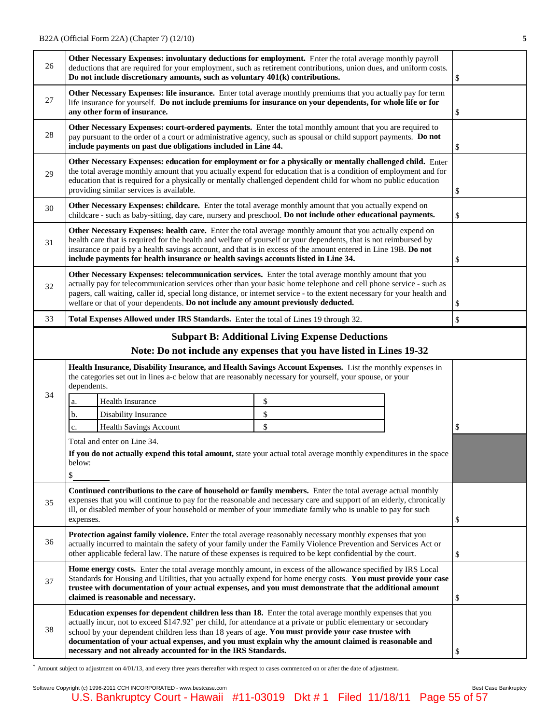| 26     | Other Necessary Expenses: involuntary deductions for employment. Enter the total average monthly payroll<br>Do not include discretionary amounts, such as voluntary 401(k) contributions.                                                                                                                                                                                                                                                                                                                                  | deductions that are required for your employment, such as retirement contributions, union dues, and uniform costs.                                                                                                         | \$   |  |  |
|--------|----------------------------------------------------------------------------------------------------------------------------------------------------------------------------------------------------------------------------------------------------------------------------------------------------------------------------------------------------------------------------------------------------------------------------------------------------------------------------------------------------------------------------|----------------------------------------------------------------------------------------------------------------------------------------------------------------------------------------------------------------------------|------|--|--|
| $27\,$ | Other Necessary Expenses: life insurance. Enter total average monthly premiums that you actually pay for term<br>life insurance for yourself. Do not include premiums for insurance on your dependents, for whole life or for<br>any other form of insurance.                                                                                                                                                                                                                                                              | \$                                                                                                                                                                                                                         |      |  |  |
| $28\,$ | Other Necessary Expenses: court-ordered payments. Enter the total monthly amount that you are required to<br>include payments on past due obligations included in Line 44.                                                                                                                                                                                                                                                                                                                                                 | pay pursuant to the order of a court or administrative agency, such as spousal or child support payments. Do not                                                                                                           | \$   |  |  |
| 29     | Other Necessary Expenses: education for employment or for a physically or mentally challenged child. Enter<br>the total average monthly amount that you actually expend for education that is a condition of employment and for<br>education that is required for a physically or mentally challenged dependent child for whom no public education<br>providing similar services is available.                                                                                                                             |                                                                                                                                                                                                                            |      |  |  |
| 30     | Other Necessary Expenses: childcare. Enter the total average monthly amount that you actually expend on<br>childcare - such as baby-sitting, day care, nursery and preschool. Do not include other educational payments.                                                                                                                                                                                                                                                                                                   |                                                                                                                                                                                                                            | \$   |  |  |
| 31     | Other Necessary Expenses: health care. Enter the total average monthly amount that you actually expend on<br>health care that is required for the health and welfare of yourself or your dependents, that is not reimbursed by<br>insurance or paid by a health savings account, and that is in excess of the amount entered in Line 19B. Do not<br>include payments for health insurance or health savings accounts listed in Line 34.                                                                                    |                                                                                                                                                                                                                            | \$   |  |  |
| 32     | Other Necessary Expenses: telecommunication services. Enter the total average monthly amount that you<br>actually pay for telecommunication services other than your basic home telephone and cell phone service - such as<br>pagers, call waiting, caller id, special long distance, or internet service - to the extent necessary for your health and<br>welfare or that of your dependents. Do not include any amount previously deducted.                                                                              |                                                                                                                                                                                                                            |      |  |  |
| 33     | Total Expenses Allowed under IRS Standards. Enter the total of Lines 19 through 32.                                                                                                                                                                                                                                                                                                                                                                                                                                        |                                                                                                                                                                                                                            | \$   |  |  |
|        |                                                                                                                                                                                                                                                                                                                                                                                                                                                                                                                            | <b>Subpart B: Additional Living Expense Deductions</b><br>Note: Do not include any expenses that you have listed in Lines 19-32                                                                                            |      |  |  |
|        | the categories set out in lines a-c below that are reasonably necessary for yourself, your spouse, or your<br>dependents.                                                                                                                                                                                                                                                                                                                                                                                                  | Health Insurance, Disability Insurance, and Health Savings Account Expenses. List the monthly expenses in                                                                                                                  |      |  |  |
| 34     | Health Insurance<br>a.                                                                                                                                                                                                                                                                                                                                                                                                                                                                                                     | \$                                                                                                                                                                                                                         |      |  |  |
|        | <b>Disability Insurance</b><br>b.                                                                                                                                                                                                                                                                                                                                                                                                                                                                                          | \$                                                                                                                                                                                                                         |      |  |  |
|        | <b>Health Savings Account</b><br>c.                                                                                                                                                                                                                                                                                                                                                                                                                                                                                        | \$                                                                                                                                                                                                                         | \$   |  |  |
|        | Total and enter on Line 34.                                                                                                                                                                                                                                                                                                                                                                                                                                                                                                |                                                                                                                                                                                                                            |      |  |  |
|        | below:<br>\$                                                                                                                                                                                                                                                                                                                                                                                                                                                                                                               | If you do not actually expend this total amount, state your actual total average monthly expenditures in the space                                                                                                         |      |  |  |
| 35     | Continued contributions to the care of household or family members. Enter the total average actual monthly<br>expenses that you will continue to pay for the reasonable and necessary care and support of an elderly, chronically<br>ill, or disabled member of your household or member of your immediate family who is unable to pay for such<br>expenses.                                                                                                                                                               |                                                                                                                                                                                                                            |      |  |  |
| 36     | Protection against family violence. Enter the total average reasonably necessary monthly expenses that you<br>actually incurred to maintain the safety of your family under the Family Violence Prevention and Services Act or<br>other applicable federal law. The nature of these expenses is required to be kept confidential by the court.                                                                                                                                                                             |                                                                                                                                                                                                                            |      |  |  |
| 37     | Home energy costs. Enter the total average monthly amount, in excess of the allowance specified by IRS Local<br>claimed is reasonable and necessary.                                                                                                                                                                                                                                                                                                                                                                       | Standards for Housing and Utilities, that you actually expend for home energy costs. You must provide your case<br>trustee with documentation of your actual expenses, and you must demonstrate that the additional amount | $\$$ |  |  |
| 38     | Education expenses for dependent children less than 18. Enter the total average monthly expenses that you<br>actually incur, not to exceed \$147.92 <sup>*</sup> per child, for attendance at a private or public elementary or secondary<br>school by your dependent children less than 18 years of age. You must provide your case trustee with<br>documentation of your actual expenses, and you must explain why the amount claimed is reasonable and<br>necessary and not already accounted for in the IRS Standards. |                                                                                                                                                                                                                            | \$   |  |  |

\* Amount subject to adjustment on 4/01/13, and every three years thereafter with respect to cases commenced on or after the date of adjustment.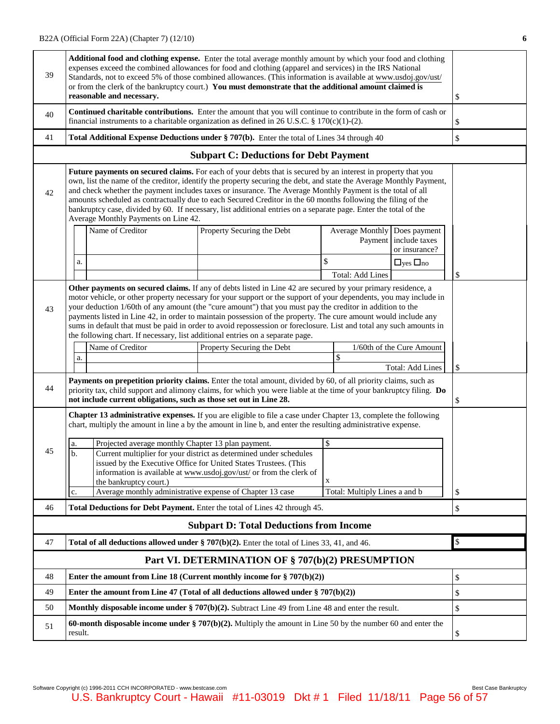$\Gamma$ 

| 39 | Additional food and clothing expense. Enter the total average monthly amount by which your food and clothing<br>expenses exceed the combined allowances for food and clothing (apparel and services) in the IRS National<br>Standards, not to exceed 5% of those combined allowances. (This information is available at www.usdoj.gov/ust/<br>or from the clerk of the bankruptcy court.) You must demonstrate that the additional amount claimed is<br>reasonable and necessary.                                                                                                                                                                                                                                                                                    |                                                                                                                                                                                                                                                                                                                                                                                                                                                                                                                                                                                        |                                          |                                        | \$       |
|----|----------------------------------------------------------------------------------------------------------------------------------------------------------------------------------------------------------------------------------------------------------------------------------------------------------------------------------------------------------------------------------------------------------------------------------------------------------------------------------------------------------------------------------------------------------------------------------------------------------------------------------------------------------------------------------------------------------------------------------------------------------------------|----------------------------------------------------------------------------------------------------------------------------------------------------------------------------------------------------------------------------------------------------------------------------------------------------------------------------------------------------------------------------------------------------------------------------------------------------------------------------------------------------------------------------------------------------------------------------------------|------------------------------------------|----------------------------------------|----------|
| 40 |                                                                                                                                                                                                                                                                                                                                                                                                                                                                                                                                                                                                                                                                                                                                                                      | Continued charitable contributions. Enter the amount that you will continue to contribute in the form of cash or<br>financial instruments to a charitable organization as defined in 26 U.S.C. § 170(c)(1)-(2).                                                                                                                                                                                                                                                                                                                                                                        |                                          |                                        | \$       |
| 41 |                                                                                                                                                                                                                                                                                                                                                                                                                                                                                                                                                                                                                                                                                                                                                                      | Total Additional Expense Deductions under § 707(b). Enter the total of Lines 34 through 40                                                                                                                                                                                                                                                                                                                                                                                                                                                                                             |                                          |                                        | \$       |
|    |                                                                                                                                                                                                                                                                                                                                                                                                                                                                                                                                                                                                                                                                                                                                                                      | <b>Subpart C: Deductions for Debt Payment</b>                                                                                                                                                                                                                                                                                                                                                                                                                                                                                                                                          |                                          |                                        |          |
| 42 | Average Monthly Payments on Line 42.                                                                                                                                                                                                                                                                                                                                                                                                                                                                                                                                                                                                                                                                                                                                 | Future payments on secured claims. For each of your debts that is secured by an interest in property that you<br>own, list the name of the creditor, identify the property securing the debt, and state the Average Monthly Payment,<br>and check whether the payment includes taxes or insurance. The Average Monthly Payment is the total of all<br>amounts scheduled as contractually due to each Secured Creditor in the 60 months following the filing of the<br>bankruptcy case, divided by 60. If necessary, list additional entries on a separate page. Enter the total of the |                                          |                                        |          |
|    | Name of Creditor                                                                                                                                                                                                                                                                                                                                                                                                                                                                                                                                                                                                                                                                                                                                                     | Property Securing the Debt                                                                                                                                                                                                                                                                                                                                                                                                                                                                                                                                                             | Average Monthly Does payment             | Payment include taxes<br>or insurance? |          |
|    | a.                                                                                                                                                                                                                                                                                                                                                                                                                                                                                                                                                                                                                                                                                                                                                                   |                                                                                                                                                                                                                                                                                                                                                                                                                                                                                                                                                                                        | \$                                       | $\Box$ yes $\Box$ no                   |          |
|    |                                                                                                                                                                                                                                                                                                                                                                                                                                                                                                                                                                                                                                                                                                                                                                      |                                                                                                                                                                                                                                                                                                                                                                                                                                                                                                                                                                                        | Total: Add Lines                         |                                        | \$       |
| 43 | Other payments on secured claims. If any of debts listed in Line 42 are secured by your primary residence, a<br>motor vehicle, or other property necessary for your support or the support of your dependents, you may include in<br>your deduction 1/60th of any amount (the "cure amount") that you must pay the creditor in addition to the<br>payments listed in Line 42, in order to maintain possession of the property. The cure amount would include any<br>sums in default that must be paid in order to avoid repossession or foreclosure. List and total any such amounts in<br>the following chart. If necessary, list additional entries on a separate page.<br>Name of Creditor<br>Property Securing the Debt<br>1/60th of the Cure Amount<br>\$<br>a. |                                                                                                                                                                                                                                                                                                                                                                                                                                                                                                                                                                                        |                                          |                                        |          |
| 44 | not include current obligations, such as those set out in Line 28.                                                                                                                                                                                                                                                                                                                                                                                                                                                                                                                                                                                                                                                                                                   | Payments on prepetition priority claims. Enter the total amount, divided by 60, of all priority claims, such as<br>priority tax, child support and alimony claims, for which you were liable at the time of your bankruptcy filing. Do                                                                                                                                                                                                                                                                                                                                                 |                                          | Total: Add Lines                       | \$<br>\$ |
|    |                                                                                                                                                                                                                                                                                                                                                                                                                                                                                                                                                                                                                                                                                                                                                                      | <b>Chapter 13 administrative expenses.</b> If you are eligible to file a case under Chapter 13, complete the following<br>chart, multiply the amount in line a by the amount in line b, and enter the resulting administrative expense.                                                                                                                                                                                                                                                                                                                                                |                                          |                                        |          |
| 45 | Projected average monthly Chapter 13 plan payment.<br>a.<br>b.<br>the bankruptcy court.)<br>c.                                                                                                                                                                                                                                                                                                                                                                                                                                                                                                                                                                                                                                                                       | Current multiplier for your district as determined under schedules<br>issued by the Executive Office for United States Trustees. (This<br>information is available at www.usdoj.gov/ust/ or from the clerk of<br>Average monthly administrative expense of Chapter 13 case                                                                                                                                                                                                                                                                                                             | \$<br>X<br>Total: Multiply Lines a and b |                                        | \$       |
| 46 |                                                                                                                                                                                                                                                                                                                                                                                                                                                                                                                                                                                                                                                                                                                                                                      | Total Deductions for Debt Payment. Enter the total of Lines 42 through 45.                                                                                                                                                                                                                                                                                                                                                                                                                                                                                                             |                                          |                                        | \$       |
|    |                                                                                                                                                                                                                                                                                                                                                                                                                                                                                                                                                                                                                                                                                                                                                                      | <b>Subpart D: Total Deductions from Income</b>                                                                                                                                                                                                                                                                                                                                                                                                                                                                                                                                         |                                          |                                        |          |
| 47 |                                                                                                                                                                                                                                                                                                                                                                                                                                                                                                                                                                                                                                                                                                                                                                      | Total of all deductions allowed under $\S 707(b)(2)$ . Enter the total of Lines 33, 41, and 46.                                                                                                                                                                                                                                                                                                                                                                                                                                                                                        |                                          |                                        | \$       |
|    |                                                                                                                                                                                                                                                                                                                                                                                                                                                                                                                                                                                                                                                                                                                                                                      | Part VI. DETERMINATION OF § 707(b)(2) PRESUMPTION                                                                                                                                                                                                                                                                                                                                                                                                                                                                                                                                      |                                          |                                        |          |
| 48 |                                                                                                                                                                                                                                                                                                                                                                                                                                                                                                                                                                                                                                                                                                                                                                      | Enter the amount from Line 18 (Current monthly income for $\S 707(b)(2)$ )                                                                                                                                                                                                                                                                                                                                                                                                                                                                                                             |                                          |                                        | \$       |
| 49 |                                                                                                                                                                                                                                                                                                                                                                                                                                                                                                                                                                                                                                                                                                                                                                      | Enter the amount from Line 47 (Total of all deductions allowed under $\S 707(b)(2)$ )                                                                                                                                                                                                                                                                                                                                                                                                                                                                                                  |                                          |                                        | \$       |
| 50 |                                                                                                                                                                                                                                                                                                                                                                                                                                                                                                                                                                                                                                                                                                                                                                      | Monthly disposable income under $\S 707(b)(2)$ . Subtract Line 49 from Line 48 and enter the result.                                                                                                                                                                                                                                                                                                                                                                                                                                                                                   |                                          |                                        | \$       |
| 51 | result.                                                                                                                                                                                                                                                                                                                                                                                                                                                                                                                                                                                                                                                                                                                                                              | 60-month disposable income under $\S 707(b)(2)$ . Multiply the amount in Line 50 by the number 60 and enter the                                                                                                                                                                                                                                                                                                                                                                                                                                                                        |                                          |                                        | \$       |